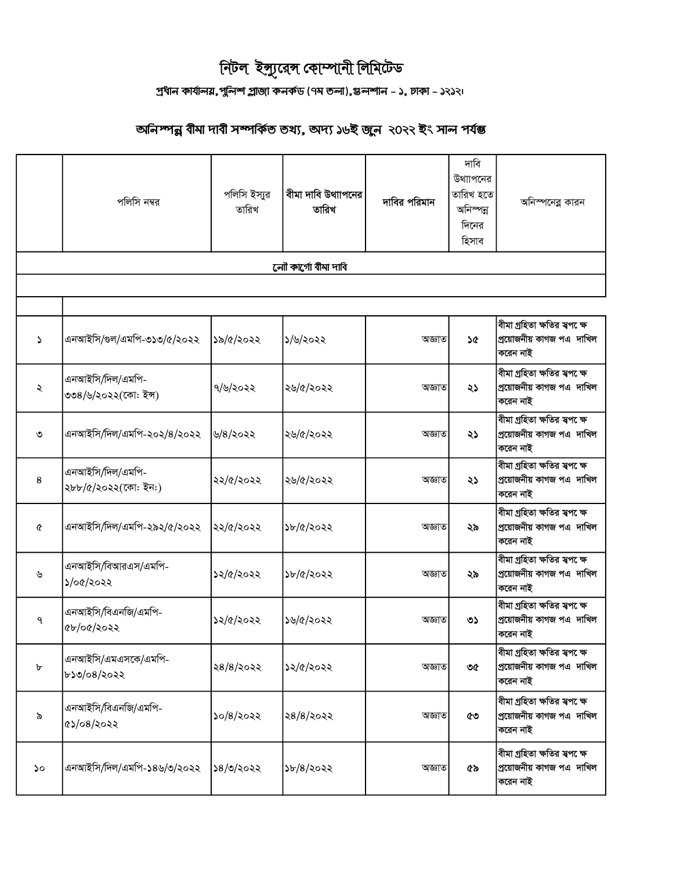## দিটল ইন্সুরেন্স কোম্পানী লিমিটেড

## প্ৰধান কাৰ্যালয়,পুলিশ প্লাজা কনৰ্কড (৭ম তলা),স্তলশান - ১, ঢাকা - ১২১২<sub>'</sub>

## অনিস্পন্ন বীমা দাবী সম্পৰ্কিত তথ্য, অদ্য ১৬ই জুন ২০২২ ইং সাল পৰ্যন্ত

|                       | পলিসি নম্বর                              | পলিসি ইস্যুর<br>তারিখ | বীমা দাবি উথাাপনের<br>তারিখ | দাবির পরিমান | দাবি<br>উথাাপনের<br>তারিখ হতে<br>অনিস্পন্ন<br>দিনের<br>হিসাব | অনিস্পনেব্ল কারন                                                               |  |  |  |
|-----------------------|------------------------------------------|-----------------------|-----------------------------|--------------|--------------------------------------------------------------|--------------------------------------------------------------------------------|--|--|--|
| লোী কাৰ্গো বীমা দাবি  |                                          |                       |                             |              |                                                              |                                                                                |  |  |  |
|                       |                                          |                       |                             |              |                                                              |                                                                                |  |  |  |
| S                     | এনআইসি/গুল/এমপি-৩১৩/৫/২০২২               | ১৯/৫/২০২২             | ১/৬/২০২২                    | অজ্ঞাত       | ነው                                                           | বীমা গ্ৰহিতা ক্ষতির স্বপ েক্ষ<br>প্ৰয়োজনীয় কাগজ পএ দাখিল<br>করেন নাই         |  |  |  |
| ২                     | এনআইসি/দিল/এমপি-<br>৩৩৪/৬/২০২২(কো: ইন্স) | ৭/৬/২০২২              | ২৬/৫/২০২২                   | অজ্ঞাত       | ২১                                                           | বীমা গ্ৰহিতা ক্ষতির স্বপ েক্ষ<br>প্রয়োজনীয় কাগজ পএ দাখিল<br>করেন নাই         |  |  |  |
| ৩                     | এনআইসি/দিল/এমপি-২০২/৪/২০২২               | ৬/৪/২০২২              | ২৬/৫/২০২২                   | অজ্ঞাত       | ২১                                                           | বীমা গ্ৰহিতা ক্ষতির স্বপ েক্ষ<br>প্রয়োজনীয় কাগজ পএ দাখিল<br>করেন নাই         |  |  |  |
| 8                     | এনআইসি/দিল/এমপি-<br>২৮৮/৫/২০২২(কো: ইন:)  | ২২/৫/২০২২             | ২৬/৫/২০২২                   | অজ্ঞাত       | ২১                                                           | ৰীমা গ্ৰহিতা ক্ষতির স্বপ <b>ে</b> ক্ষ<br>প্রয়োজনীয় কাগজ পএ দাখিল<br>করেন নাই |  |  |  |
| $\boldsymbol{\alpha}$ | এনআইসি/দিল/এমপি-২৯২/৫/২০২২               | ২২/৫/২০২২             | ১৮/৫/২০২২                   | অজ্ঞাত       | ২৯                                                           | বীমা গ্ৰহিতা ক্ষতির স্বপ েক্ষ<br>প্রয়োজনীয় কাগজ পএ দাখিল<br>করেন নাই         |  |  |  |
| ৬                     | এনআইসি/বিআরএস/এমপি-<br>১/০৫/২০২২         | ১২/৫/২০২২             | ১৮/৫/২০২২                   | অজ্ঞাত       | ২৯                                                           | বীমা গ্ৰহিতা ক্ষতির স্বপ েক্ষ<br>প্রয়োজনীয় কাগজ পএ দাখিল<br>করেন নাই         |  |  |  |
| ٩                     | এনআইসি/বিএনজি/এমপি-<br>৫৮/০৫/২০২২        | ১২/৫/২০২২             | ১৬/৫/২০২২                   | অজ্ঞাত       | ৩১                                                           | বীমা গ্ৰহিতা ক্ষতির স্বপ েক্ষ<br>প্ৰয়োজনীয় কাগজ পএ দাখিল<br>করেন নাই         |  |  |  |
| b                     | এনআইসি/এমএসকে/এমপি-<br>৮১৩/০৪/২০২২       | ২৪/৪/২০২২             | ১২/৫/২০২২                   | অজ্ঞাত       | ৩৫                                                           | বীমা গ্ৰহিতা ক্ষতির স্বপ েক্ষ<br>প্ৰয়োজনীয় কাগজ পএ দাখিল<br>করেন নাই         |  |  |  |
| ৯                     | এনআইসি/বিএনজি/এমপি-<br>৫১/০৪/২০২২        | ১০/৪/২০২২             | ২৪/৪/২০২২                   | অজ্ঞাত       | ৫৩                                                           | বীমা গ্ৰহিতা ক্ষতির স্বপ েক্ষ<br>প্ৰয়োজনীয় কাগজ পএ দাখিল<br>করেন নাই         |  |  |  |
| ১০                    | এনআইসি/দিল/এমপি-১৪৬/৩/২০২২               | ১৪/৩/২০২২             | 56/8/3022                   | অজ্ঞাত       | ৫৯                                                           | বীমা গ্ৰহিতা ক্ষতির স্বপ েক্ষ<br>প্ৰয়োজনীয় কাগজ পএ দাখিল<br>করেন নাই         |  |  |  |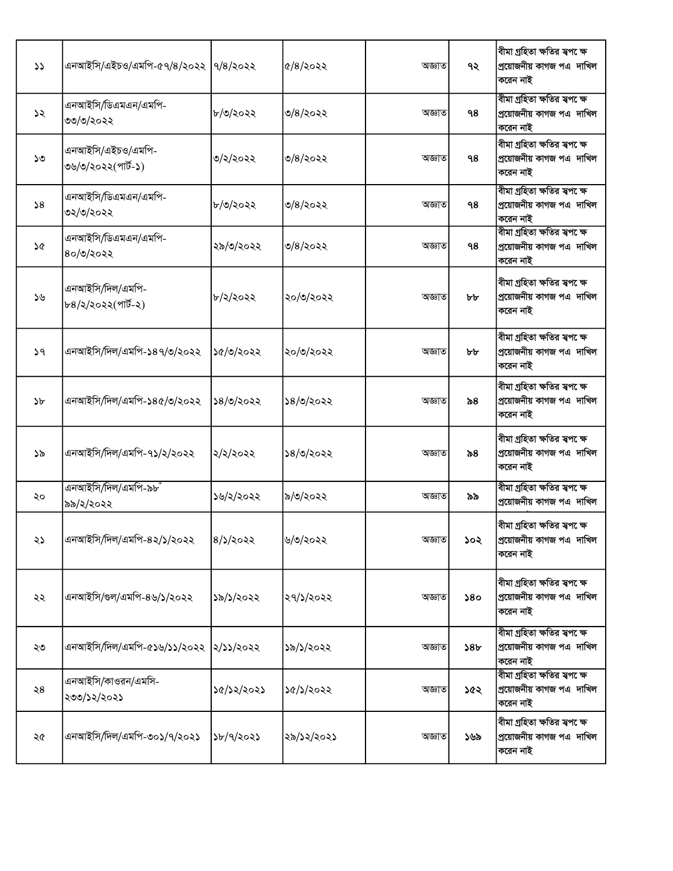| $\mathcal{L}$ | এনআইসি/এইচও/এমপি-৫৭/৪/২০২২  ৭/৪/২০২২    |            | $\alpha/8$ /२०२२ | অজ্ঞাত | ৭২              | বীমা গ্ৰহিতা ক্ষতির স্বপ েক্ষ<br>প্রয়োজনীয় কাগজ পএ দাখিল<br>করেন নাই  |
|---------------|-----------------------------------------|------------|------------------|--------|-----------------|-------------------------------------------------------------------------|
| ১২            | এনআইসি/ডিএমএন/এমপি-<br>৩৩/৩/২০২২        | ৮/৩/২০২২   | ৩/৪/২০২২         | অজ্ঞাত | 98              | বীমা গ্ৰহিতা ক্ষতির স্বপ েক্ষ<br>প্ৰয়োজনীয় কাগজ পএ দাখিল<br>করেন নাই  |
| ১৩            | এনআইসি/এইচও/এমপি-<br>৩৬/৩/২০২২(পার্ট-১) | ৩/২/২০২২   | ৩/৪/২০২২         | অজ্ঞাত | ۹8              | বীমা গ্ৰহিতা ক্ষতির স্বপ েক্ষ<br>প্রয়োজনীয় কাগজ পএ দাখিল<br>করেন নাই  |
| 58            | এনআইসি/ডিএমএন/এমপি-<br>৩২/৩/২০২২        | ৮/৩/২০২২   | ৩/৪/২০২২         | অজ্ঞাত | 98              | বীমা গ্ৰহিতা ক্ষতির স্বপ েক্ষ<br>প্রয়োজনীয় কাগজ পএ দাখিল<br>করেন নাই  |
| ১৫            | এনআইসি/ডিএমএন/এমপি-<br>৪০/৩/২০২২        | ২৯/৩/২০২২  | ৩/৪/২০২২         | অজ্ঞাত | 98              | বীমা গ্ৰহিতা ক্ষতির স্বপ েক্ষ<br>প্ৰয়োজনীয় কাগজ পএ  দাখিল<br>করেন নাই |
| ১৬            | এনআইসি/দিল/এমপি-<br>৮৪/২/২০২২(পার্ট-২)  | ৮/২/২০২২   | ২০/৩/২০২২        | অজ্ঞাত | ৮৮              | বীমা গ্ৰহিতা ক্ষতির স্বপ েক্ষ<br>প্ৰয়োজনীয় কাগজ পএ দাখিল<br>করেন নাই  |
| 59            | এনআইসি/দিল/এমপি-১৪৭/৩/২০২২              | ১৫/৩/২০২২  | ২০/৩/২০২২        | অজ্ঞাত | ৮৮              | বীমা গ্ৰহিতা ক্ষতির স্বপ েক্ষ<br>প্ৰয়োজনীয় কাগজ পএ  দাখিল<br>করেন নাই |
| ১৮            | এনআইসি/দিল/এমপি-১৪৫/৩/২০২২              | ১৪/৩/২০২২  | ১৪/৩/২০২২        | অজ্ঞাত | ৯৪              | বীমা গ্ৰহিতা ক্ষতির স্বপ েক্ষ<br>প্ৰয়োজনীয় কাগজ পএ দাখিল<br>করেন নাই  |
| ১৯            | এনআইসি/দিল/এমপি-৭১/২/২০২২               | ২/২/২০২২   | ১৪/৩/২০২২        | অজ্ঞাত | ৯৪              | বীমা গ্ৰহিতা ক্ষতির স্বপ েক্ষ<br>প্ৰয়োজনীয় কাগজ পএ দাখিল<br>করেন নাই  |
| ২০            | এনআইসি/দিল/এমপি-৯৮ঁ<br>৯৯/২/২০২২        | ১৬/২/২০২২  | ৯/৩/২০২২         | অজ্ঞাত | ৯৯              | বীমা গ্ৰহিতা ক্ষতির স্বপ েক্ষ<br>প্ৰয়োজনীয় কাগজ পএ দাখিল              |
| ২১            | এনআইসি/দিল/এমপি-৪২/১/২০২২               | 8/১/২০২২   | ৬/৩/২০২২         | অজ্ঞাত | ১০২             | বীমা গ্ৰহিতা ক্ষতির স্বপ েক্ষ<br>প্রয়োজনীয় কাগজ পএ  দাখিল<br>করেন নাই |
| ২২            | এনআইসি/গুল/এমপি-৪৬/১/২০২২               | ১৯/১/২০২২  | ২৭/১/২০২২        | অজ্ঞাত | 580             | বীমা গ্ৰহিতা ক্ষতির স্বপ েক্ষ<br>প্ৰয়োজনীয় কাগজ পএ দাখিল<br>করেন নাই  |
| ২৩            | এনআইসি/দিল/এমপি-৫১৬/১১/২০২২             | ২/১১/২০২২  | ১৯/১/২০২২        | অজ্ঞাত | 58 <sub>b</sub> | বীমা গ্ৰহিতা ক্ষতির স্বপ েক্ষ<br>প্ৰয়োজনীয় কাগজ পএ দাখিল<br>করেন নাই  |
| ২8            | এনআইসি/কাওরন/এমসি-<br>২৩৩/১২/২০২১       | ১৫/১২/২০২১ | ১৫/১/২০২২        | অজ্ঞাত | ১৫২             | বীমা গ্ৰহিতা ক্ষতির স্বপক্ষে<br>প্ৰয়োজনীয় কাগজ পএ  দাখিল<br>করেন নাই  |
| ২৫            | এনআইসি/দিল/এমপি-৩০১/৭/২০২১              | ১৮/৭/২০২১  | ২৯/১২/২০২১       | অজ্ঞাত | ১৬৯             | বীমা গ্ৰহিতা ক্ষতির স্বপ েক্ষ<br>প্ৰয়োজনীয় কাগজ পএ  দাখিল<br>করেন নাই |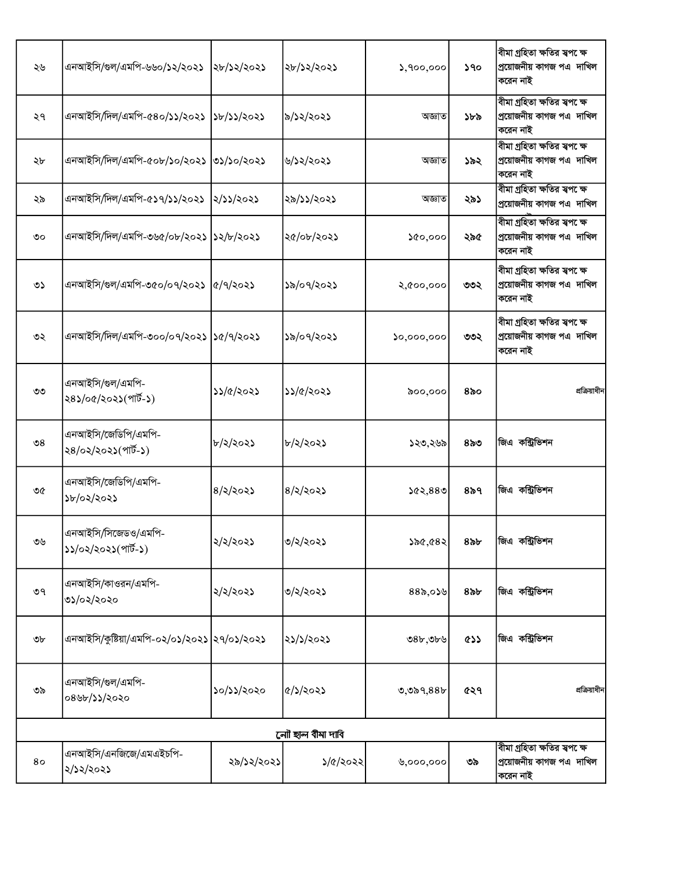| ২৬                    | এনআইসি/গুল/এমপি-৬৬০/১২/২০২১                  | ২৮/১২/২০২১                  | ২৮/১২/২০২১              | 5,900,000  | 590         | বীমা গ্ৰহিতা ক্ষতির স্বপ েক্ষ<br>প্ৰয়োজনীয় কাগজ পএ দাখিল<br>করেন নাই  |  |  |  |
|-----------------------|----------------------------------------------|-----------------------------|-------------------------|------------|-------------|-------------------------------------------------------------------------|--|--|--|
| ২৭                    | এনআইসি/দিল/এমপি-৫৪০/১১/২০২১                  | 3b/35/2025                  | ৯/১২/২০২১               | অজ্ঞাত     | ১৮৯         | বীমা গ্ৰহিতা ক্ষতির স্বপ েক্ষ<br>প্ৰয়োজনীয় কাগজ পএ  দাখিল<br>করেন নাই |  |  |  |
| ২৮                    | এনআইসি/দিল/এমপি-৫০৮/১০/২০২১                  | ৩১/১০/২০২১                  | ৬/১২/২০২১               | অজ্ঞাত     | ১৯২         | বীমা গ্ৰহিতা ক্ষতির স্বপ েক্ষ<br>প্ৰয়োজনীয় কাগজ পএ  দাখিল<br>করেন নাই |  |  |  |
| ২৯                    | এনআইসি/দিল/এমপি-৫১৭/১১/২০২১                  | ২/১১/২০২১                   | ২৯/১১/২০২১              | অজ্ঞাত     | ২৯১         | বীমা গ্ৰহিতা ক্ষতির স্বপ েক্ষ<br>প্ৰয়োজনীয় কাগজ পএ  দাখিল             |  |  |  |
| ৩০                    | এনআইসি/দিল/এমপি-৩৬৫/০৮/২০২১                  | 32/b/3023                   | ২৫/০৮/২০২১              | 00,000     | ২৯৫         | বীমা গ্ৰহিতা ক্ষতির স্বপ েক্ষ<br>প্ৰয়োজনীয় কাগজ পএ  দাখিল<br>করেন নাই |  |  |  |
| ৩১                    | এনআইসি/গুল/এমপি-৩৫০/০৭/২০২১                  | $\frac{1}{2}$ $\frac{1}{2}$ | ১৯/০৭/২০২১              | २,৫००,०००  | ৩৩২         | বীমা গ্ৰহিতা ক্ষতির স্বপ েক্ষ<br>প্ৰয়োজনীয় কাগজ পএ দাখিল<br>করেন নাই  |  |  |  |
| ৩২                    | এনআইসি/দিল/এমপি-৩০০/০৭/২০২১  ১৫/৭/২০২১       |                             | ১৯/০৭/২০২১              | 50,000,000 | ৩৩২         | বীমা গ্ৰহিতা ক্ষতির স্বপ েক্ষ<br>প্ৰয়োজনীয় কাগজ পএ দাখিল<br>করেন নাই  |  |  |  |
| ৩৩                    | এনআইসি/গুল/এমপি-<br>২৪১/০৫/২০২১(পার্ট-১)     | ১১/৫/২০২১                   | ১১/৫/২০২১               | ৯০০,০০০    | ৪৯০         | প্রক্রিয়াধীন                                                           |  |  |  |
| $\mathcal{S}^{\circ}$ | এনআইসি/জেডিপি/এমপি-<br>২৪/০২/২০২১(পার্ট-১)   | ৮/২/২০২১                    | ৮/২/২০২১                | ১২৩,২৬৯    | ৪৯৩         | জিএ কন্ট্রিভিশন                                                         |  |  |  |
| ৩৫                    | এনআইসি/জেডিপি/এমপি-<br>১৮/০২/২০২১            | $8/\sqrt{202}$              | $8/\lambda/\lambda$ 02) | 562,880    | $8\delta$ ٩ | জিএ কন্ট্রিভিশন                                                         |  |  |  |
| ৩৬                    | এনআইসি/সিজেডও/এমপি-<br>১১/০২/২০২১(পার্ট-১)   | ২/২/২০২১                    | ৩/২/২০২১                | ১৯৫,৫৪২    | $8$ ৯৮      | জিএ কন্ট্রিভিশন                                                         |  |  |  |
| ৩৭                    | এনআইসি/কাওরন/এমপি-<br>৩১/০২/২০২০             | ২/২/২০২১                    | ৩/২/২০২১                | $88$ d,059 | $8$ ৯৮      | জিএ কন্ট্রিভিশন                                                         |  |  |  |
| ৩৮                    | এনআইসি/কুষ্টিয়া/এমপি-০২/০১/২০২১  ২৭/০১/২০২১ |                             | ২১/১/২০২১               | 98b,9b9    | css         | জিএ কন্ট্রিভিশন                                                         |  |  |  |
| ৩৯                    | এনআইসি/গুল/এমপি-<br>০৪৬৮/১১/২০২০             | ১০/১১/২০২০                  | $\frac{1}{2}$           | 0,089,885  | ৫২৭         | প্রক্রিয়াধীন                                                           |  |  |  |
|                       | লোী ছাল বীমা দাবি                            |                             |                         |            |             |                                                                         |  |  |  |
| 80                    | এনআইসি/এনজিজে/এমএইচপি-<br>২/১২/২০২১          | ২৯/১২/২০২১                  | ১/৫/২০২২                | 0,000,000  | ৩৯          | বীমা গ্ৰহিতা ক্ষতির স্বপ েক্ষ<br>প্ৰয়োজনীয় কাগজ পএ  দাখিল<br>করেন নাই |  |  |  |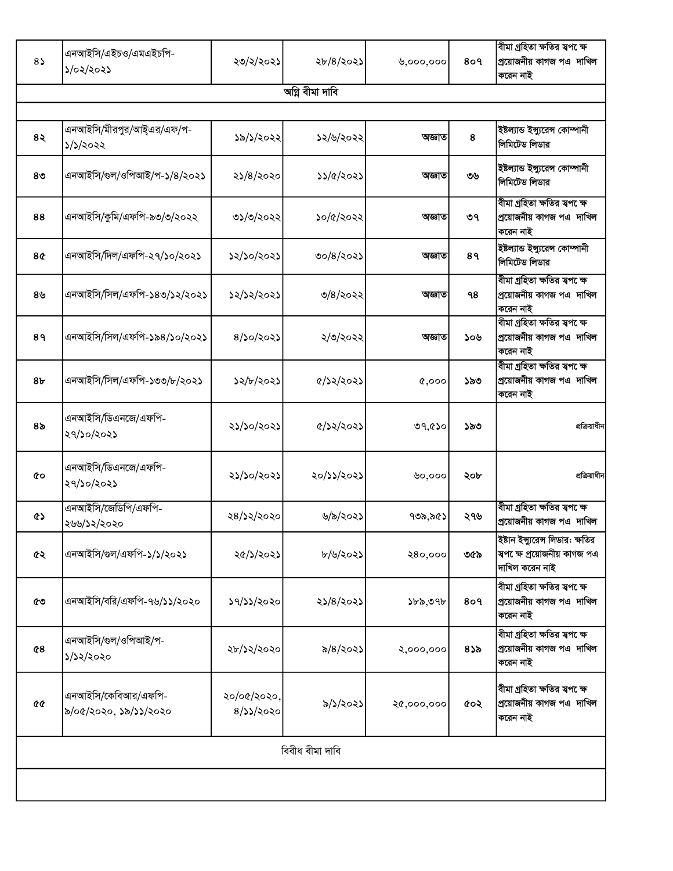| $8\sqrt{2}$    | এনআইসি/এইচও/এমএইচপি-<br>১/০২/২০২১            | ২৩/২/২০২১                | ২৮/৪/২০২১     | 0,000,000  | 809 | বীমা গ্ৰহিতা ক্ষতির স্বপ েক্ষ<br>প্ৰয়োজনীয় কাগজ পএ দাখিল<br>করেন নাই            |  |  |  |  |
|----------------|----------------------------------------------|--------------------------|---------------|------------|-----|-----------------------------------------------------------------------------------|--|--|--|--|
|                | অগ্নি বীমা দাবি                              |                          |               |            |     |                                                                                   |  |  |  |  |
|                |                                              |                          |               |            |     |                                                                                   |  |  |  |  |
| 8२             | এনআইসি/মীরপুর/আই্এর/এফ/প-<br>১/১/২০২২        | ১৯/১/২০২২                | ১২/৬/২০২২     | অজ্ঞাত     | 8   | ইষ্টল্যান্ড ইন্সুরেন্স কোম্পানী<br>লিমিটেড লিডার                                  |  |  |  |  |
| 8 <sub>0</sub> | এনআইসি/গুল/ওপিআই/প-১/৪/২০২১                  | ২১/৪/২০২০                | ১১/৫/২০২১     | অজ্ঞাত     | ৩৬  | ইষ্টল্যান্ড ইন্সুরেন্স কোম্পানী<br>লিমিটেড লিডার                                  |  |  |  |  |
| 88             | এনআইসি/কুমি/এফপি-৯৩/৩/২০২২                   | ৩১/৩/২০২২                | ১০/৫/২০২২     | অজ্ঞাত     | ৩৭  | বীমা গ্ৰহিতা ক্ষতির স্বপ েক্ষ<br>প্ৰয়োজনীয় কাগজ পএ দাখিল<br>করেন নাই            |  |  |  |  |
| 8¢             | এনআইসি/দিল/এফপি-২৭/১০/২০২১                   | ১২/১০/২০২১               | ৩০/৪/২০২১     | অজ্ঞাত     | 89  | ইষ্টল্যান্ড ইন্সুরেন্স কোম্পানী<br>লিমিটেড লিডার                                  |  |  |  |  |
| $8\mathcal{Y}$ | এনআইসি/সিল/এফপি-১৪৩/১২/২০২১                  | ১২/১২/২০২১               | ৩/৪/২০২২      | অজ্ঞাত     | 98  | বীমা গ্ৰহিতা ক্ষতির স্বপ েক্ষ<br>প্ৰয়োজনীয় কাগজ পএ দাখিল<br>করেন নাই            |  |  |  |  |
| 89             | এনআইসি/সিল/এফপি-১৯৪/১০/২০২১                  | 8/50/2025                | ২/৩/২০২২      | অজ্ঞাত     | ১০৬ | বীমা গ্ৰহিতা ক্ষতির স্বপ েক্ষ<br>প্ৰয়োজনীয় কাগজ পএ  দাখিল<br>করেন নাই           |  |  |  |  |
| 8 <sub>b</sub> | এনআইসি/সিল/এফপি-১৩৩/৮/২০২১                   | ১২/৮/২০২১                | ৫/১২/২০২১     | Q,000      | ১৯৩ | বীমা গ্ৰহিতা ক্ষতির স্বপ েক্ষ<br>প্ৰয়োজনীয় কাগজ পএ দাখিল<br>করেন নাই            |  |  |  |  |
| ৪৯             | এনআইসি/ডিএনজে/এফপি-<br>২৭/১০/২০২১            | ২১/১০/২০২১               | $\frac{1}{2}$ | ৩৭,৫১০     | ১৯৩ | প্রক্রিয়াধীন                                                                     |  |  |  |  |
| ¢о             | এনআইসি/ডিএনজে/এফপি-<br>২৭/১০/২০২১            | ২১/১০/২০২১               | ২০/১১/২০২১    | ৬০,০০০     | ২০৮ | প্রক্রিয়াধীন                                                                     |  |  |  |  |
| ৫১             | এনআইসি/জেডিপি/এফপি-<br>২৬৬/১২/২০২০           | ২৪/১২/২০২০               | ৬/৯/২০২১      | ৭৩৯,৯৫১    | ২৭৬ | বীমা গ্ৰহিতা ক্ষতির স্বপক্ষে<br>প্ৰয়োজনীয় কাগজ পএ দাখিল                         |  |  |  |  |
| ৫২             | এনআইসি/গুল/এফপি-১/১/২০২১                     | ২৫/১/২০২১                | ৮/৬/২০২১      | २8०,०००    | ৩৫৯ | ইষ্টান ইন্সুরেন্স লিডার: ক্ষতির<br>স্বপক্ষে প্ৰয়োজনীয় কাগজ পএ<br>দাখিল করেন নাই |  |  |  |  |
| ৫৩             | এনআইসি/বরি/এফপি-৭৬/১১/২০২০                   | ১৭/১১/২০২০               | ২১/৪/২০২১     | ১৮৯,৩৭৮    | 809 | বীমা গ্ৰহিতা ক্ষতির স্বপ েক্ষ<br>প্ৰয়োজনীয় কাগজ পএ দাখিল<br>করেন নাই            |  |  |  |  |
| $^{\circ}$     | এনআইসি/গুল/ওপিআই/প-<br>১/১২/২০২০             | ২৮/১২/২০২০               | ৯/৪/২০২১      | २,०००,०००  | 855 | বীমা গ্ৰহিতা ক্ষতির স্বপ েক্ষ<br>প্ৰয়োজনীয় কাগজ পএ দাখিল<br>করেন নাই            |  |  |  |  |
| <b>QG</b>      | এনআইসি/কেবিআর/এফপি-<br>৯/০৫/২০২০, ১৯/১১/২০২০ | ২০/০৫/২০২০,<br>8/33/2020 | ৯/১/২০২১      | २৫,०००,००० | ৫০২ | বীমা গ্ৰহিতা ক্ষতির স্বপ েক্ষ<br>প্ৰয়োজনীয় কাগজ পএ দাখিল<br>করেন নাই            |  |  |  |  |
|                | বিবীধ বীমা দাবি                              |                          |               |            |     |                                                                                   |  |  |  |  |
|                |                                              |                          |               |            |     |                                                                                   |  |  |  |  |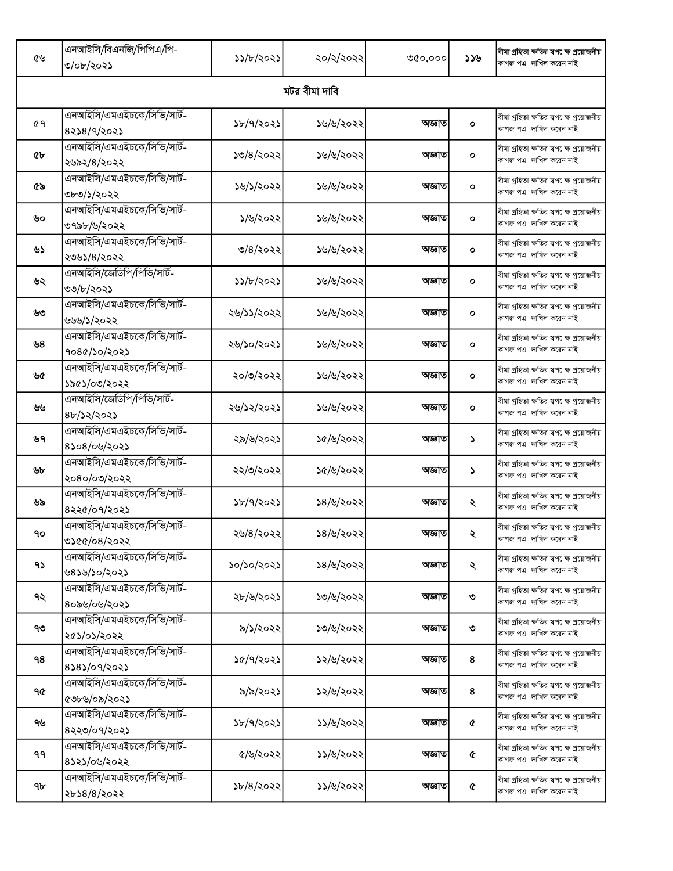| ৫৬            | এনআইসি/বিএনজি/পিপিএ/পি-<br>৩/০৮/২০২১       | ১১/৮/২০২১                | ২০/২/২০২২ | ৩৫০,০০০ | ১১৬          | বীমা গ্ৰহিতা ক্ষতির স্বপ েক্ষ প্ৰয়োজনীয়<br>কাগজ পএ দাখিল করেন নাই  |  |  |
|---------------|--------------------------------------------|--------------------------|-----------|---------|--------------|----------------------------------------------------------------------|--|--|
| মটর বীমা দাবি |                                            |                          |           |         |              |                                                                      |  |  |
| 69            | এনআইসি/এমএইচকে/সিভি/সার্ট-<br>8258/9/2025  | ১৮/৭/২০২১                | ১৬/৬/২০২২ | অজ্ঞাত  | $\circ$      | বীমা গ্ৰহিতা ক্ষতির স্বপ েক্ষ প্ৰয়োজনীয়<br>কাগজ পএ  দাখিল করেন নাই |  |  |
| ¢Ъ            | এনআইসি/এমএইচকে/সিভি/সার্ট-<br>২৬৯২/৪/২০২২  | ১৩/৪/২০২২                | ১৬/৬/২০২২ | অজ্ঞাত  | $\mathbf{o}$ | বীমা গ্ৰহিতা ক্ষতির স্বপ েক্ষ প্ৰয়োজনীয়<br>কাগজ পএ দাখিল করেন নাই  |  |  |
| ৫৯            | এনআইসি/এমএইচকে/সিভি/সার্ট-<br>৩৮৩/১/২০২২   | ১৬/১/২০২২                | ১৬/৬/২০২২ | অজ্ঞাত  | $\circ$      | বীমা গ্ৰহিতা ক্ষতির স্বপ েক্ষ প্ৰয়োজনীয়<br>কাগজ পএ দাখিল করেন নাই  |  |  |
| ৬০            | এনআইসি/এমএইচকে/সিভি/সার্ট-<br>৩৭৯৮/৬/২০২২  | ১/৬/২০২২                 | ১৬/৬/২০২২ | অজ্ঞাত  | $\mathbf{o}$ | বীমা গ্ৰহিতা ক্ষতির স্বপ েক্ষ প্ৰয়োজনীয়<br>কাগজ পএ  দাখিল করেন নাই |  |  |
| ৬১            | এনআইসি/এমএইচকে/সিভি/সার্ট-<br>২৩৬১/৪/২০২২  | ৩/৪/২০২২                 | ১৬/৬/২০২২ | অজ্ঞাত  | O            | বীমা গ্ৰহিতা ক্ষতির স্বপ েক্ষ প্ৰয়োজনীয়<br>কাগজ পএ দাখিল করেন নাই  |  |  |
| ৬২            | এনআইসি/জেডিপি/পিভি/সার্ট-<br>৩৩/৮/২০২১     | ১১/৮/২০২১                | ১৬/৬/২০২২ | অজ্ঞাত  | O            | বীমা গ্ৰহিতা ক্ষতির স্বপ েক্ষ প্ৰয়োজনীয়<br>কাগজ পএ দাখিল করেন নাই  |  |  |
| ৬৩            | এনআইসি/এমএইচকে/সিভি/সার্ট-<br>৬৬৬/১/২০২২   | ২৬/১১/২০২২               | ১৬/৬/২০২২ | অজ্ঞাত  | O            | বীমা গ্ৰহিতা ক্ষতির স্বপ েক্ষ প্ৰয়োজনীয়<br>কাগজ পএ দাখিল করেন নাই  |  |  |
| ৬৪            | এনআইসি/এমএইচকে/সিভি/সার্ট-<br>१०८৫/১०/২०২১ | ২৬/১০/২০২১               | ১৬/৬/২০২২ | অজ্ঞাত  | $\circ$      | বীমা গ্ৰহিতা ক্ষতির স্বপ েক্ষ প্ৰয়োজনীয়<br>কাগজ পএ  দাখিল করেন নাই |  |  |
| ৬৫            | এনআইসি/এমএইচকে/সিভি/সার্ট-<br>১৯৫১/০৩/২০২২ | ২০/৩/২০২২                | ১৬/৬/২০২২ | অজ্ঞাত  | О            | বীমা গ্ৰহিতা ক্ষতির স্বপ েক্ষ প্ৰয়োজনীয়<br>কাগজ পএ  দাখিল করেন নাই |  |  |
| ৬৬            | এনআইসি/জেডিপি/পিভি/সার্ট-<br>8b/32/2023    | ২৬/১২/২০২১               | ১৬/৬/২০২২ | অজ্ঞাত  | O            | বীমা গ্ৰহিতা ক্ষতির স্বপ েক্ষ প্ৰয়োজনীয়<br>কাগজ পএ দাখিল করেন নাই  |  |  |
| ৬৭            | এনআইসি/এমএইচকে/সিভি/সার্ট-<br>8১০৪/০৬/২০২১ | ২৯/৬/২০২১                | ১৫/৬/২০২২ | অজ্ঞাত  | J.           | বীমা গ্ৰহিতা ক্ষতির স্বপ েক্ষ প্ৰয়োজনীয়<br>কাগজ পএ দাখিল করেন নাই  |  |  |
| ৬৮            | এনআইসি/এমএইচকে/সিভি/সার্ট-<br>২০৪০/০৩/২০২২ | ২২/৩/২০২২                | ১৫/৬/২০২২ | অজ্ঞাত  | S            | বীমা গ্ৰহিতা ক্ষতির স্বপ েক্ষ প্ৰয়োজনীয়<br>কাগজ পএ দাখিল করেন নাই  |  |  |
| ৬৯            | এনআইসি/এমএইচকে/সিভি/সার্ট-<br>8२२৫/०१/२०२১ | ১৮/৭/২০২১                | ১৪/৬/২০২২ | অজ্ঞাত  | ২            | বীমা গ্ৰহিতা ক্ষতির স্বপ েক্ষ প্ৰয়োজনীয়<br>কাগজ পএ  দাখিল করেন নাই |  |  |
| ٩o            | এনআইসি/এমএইচকে/সিভি/সার্ট-<br>৩১৫৫/০৪/২০২২ | ২৬/৪/২০২২                | ১৪/৬/২০২২ | অজ্ঞাত  | ₹            | বীমা গ্ৰহিতা ক্ষতির স্বপ েক্ষ প্ৰয়োজনীয়<br>কাগজ পএ দাখিল করেন নাই  |  |  |
| ۹১            | এনআইসি/এমএইচকে/সিভি/সার্ট-<br>৬৪১৬/১০/২০২১ | ১০/১০/২০২১               | ১৪/৬/২০২২ | অজ্ঞাত  | ২            | বীমা গ্ৰহিতা ক্ষতির স্বপ েক্ষ প্ৰয়োজনীয়<br>কাগজ পএ দাখিল করেন নাই  |  |  |
| ৭২            | এনআইসি/এমএইচকে/সিভি/সার্ট-<br>৪০৯৬/০৬/২০২১ | ২৮/৬/২০২১                | ১৩/৬/২০২২ | অজ্ঞাত  | ৩            | বীমা গ্ৰহিতা ক্ষতির স্বপ েক্ষ প্ৰয়োজনীয়<br>কাগজ পএ দাখিল করেন নাই  |  |  |
| ৭৩            | এনআইসি/এমএইচকে/সিভি/সার্ট-<br>২৫১/০১/২০২২  | ৯/১/২০২২                 | ১৩/৬/২০২২ | অজ্ঞাত  | ৩            | বীমা গ্ৰহিতা ক্ষতির স্বপ েক্ষ প্ৰয়োজনীয়<br>কাগজ পএ  দাখিল করেন নাই |  |  |
| 98            | এনআইসি/এমএইচকে/সিভি/সার্ট-<br>8585/09/2025 | ১৫/৭/২০২১                | ১২/৬/২০২২ | অজ্ঞাত  | 8            | বীমা গ্ৰহিতা ক্ষতির স্বপ েক্ষ প্ৰয়োজনীয়<br>কাগজ পএ  দাখিল করেন নাই |  |  |
| ዓ৫            | এনআইসি/এমএইচকে/সিভি/সার্ট-<br>৫৩৮৬/০৯/২০২১ | ৯/৯/২০২১                 | ১২/৬/২০২২ | অজ্ঞাত  | $\bf 8$      | বীমা গ্ৰহিতা ক্ষতির স্বপ েক্ষ প্ৰয়োজনীয়<br>কাগজ পএ দাখিল করেন নাই  |  |  |
| ৭৬            | এনআইসি/এমএইচকে/সিভি/সার্ট-<br>8२२७/०१/२०२১ | ১৮/৭/২০২১                | ১১/৬/২০২২ | অজ্ঞাত  | ¢            | বীমা গ্ৰহিতা ক্ষতির স্বপ েক্ষ প্ৰয়োজনীয়<br>কাগজ পএ দাখিল করেন নাই  |  |  |
| ۹۹            | এনআইসি/এমএইচকে/সিভি/সার্ট-<br>8১২১/০৬/২০২২ | ৫/৬/২০২২                 | ১১/৬/২০২২ | অজ্ঞাত  | ¢            | বীমা গ্ৰহিতা ক্ষতির স্বপ েক্ষ প্ৰয়োজনীয়<br>কাগজ পএ দাখিল করেন নাই  |  |  |
| ঀ৮            | এনআইসি/এমএইচকে/সিভি/সার্ট-<br>২৮১৪/৪/২০২২  | $\frac{5}{6}\frac{1}{8}$ | ১১/৬/২০২২ | অজ্ঞাত  | ¢            | বীমা গ্ৰহিতা ক্ষতির স্বপ েক্ষ প্ৰয়োজনীয়<br>কাগজ পএ  দাখিল করেন নাই |  |  |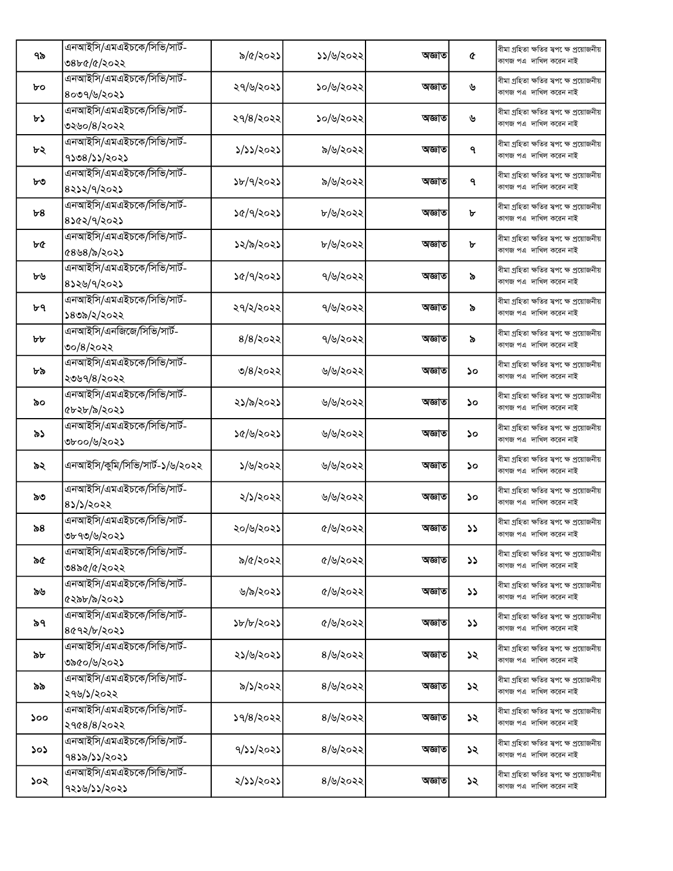|     | এনআইসি/এমএইচকে/সিভি/সার্ট-      |             |           |        |               | বীমা গ্ৰহিতা ক্ষতির স্বপ েক্ষ প্ৰয়োজনীয়                                        |
|-----|---------------------------------|-------------|-----------|--------|---------------|----------------------------------------------------------------------------------|
| ৭৯  | ৩৪৮৫/৫/২০২২                     | ৯/৫/২০২১    | ১১/৬/২০২২ | অজ্ঞাত | ¢             | কাগজ পএ দাখিল করেন নাই                                                           |
|     | এনআইসি/এমএইচকে/সিভি/সার্ট-      |             |           |        |               | বীমা গ্ৰহিতা ক্ষতির স্বপ েক্ষ প্ৰয়োজনীয়                                        |
| bo  | ৪০৩৭/৬/২০২১                     | ২৭/৬/২০২১   | ১০/৬/২০২২ | অজ্ঞাত | ৬             | কাগজ পএ  দাখিল করেন নাই                                                          |
|     | এনআইসি/এমএইচকে/সিভি/সার্ট-      |             |           |        |               | বীমা গ্ৰহিতা ক্ষতির স্বপ েক্ষ প্ৰয়োজনীয়                                        |
| ৮১  | ৩২৬০/৪/২০২২                     | ২৭/৪/২০২২   | ১০/৬/২০২২ | অজ্ঞাত | ৬             | কাগজ পএ দাখিল করেন নাই                                                           |
|     | এনআইসি/এমএইচকে/সিভি/সার্ট-      |             |           |        |               | বীমা গ্ৰহিতা ক্ষতির স্বপ েক্ষ প্ৰয়োজনীয়                                        |
| ৮২  | 9208/22/2022                    | ১/১১/২০২১   | ৯/৬/২০২২  | অজ্ঞাত | ٩             | কাগজ পএ দাখিল করেন নাই                                                           |
|     | এনআইসি/এমএইচকে/সিভি/সার্ট-      |             |           |        |               | বীমা গ্ৰহিতা ক্ষতির স্বপ েক্ষ প্ৰয়োজনীয়                                        |
| ৮৩  | 8222/9/2022                     | ১৮/৭/২০২১   | ৯/৬/২০২২  | অজ্ঞাত | ٩             | কাগজ পএ দাখিল করেন নাই                                                           |
|     | এনআইসি/এমএইচকে/সিভি/সার্ট-      |             |           |        |               | বীমা গ্ৰহিতা ক্ষতির স্বপ েক্ষ প্ৰয়োজনীয়                                        |
| ৮৪  | 8562/9/2025                     | ১৫/৭/২০২১   | ৮/৬/২০২২  | অজ্ঞাত | ৮             | কাগজ পএ দাখিল করেন নাই                                                           |
|     | এনআইসি/এমএইচকে/সিভি/সার্ট-      |             |           |        |               | বীমা গ্ৰহিতা ক্ষতির স্বপ েক্ষ প্ৰয়োজনীয়                                        |
| ৮৫  | $(8\,8/5/202)$                  | ১২/৯/২০২১   | ৮/৬/২০২২  | অজ্ঞাত | ৮             | কাগজ পএ দাখিল করেন নাই                                                           |
|     | এনআইসি/এমএইচকে/সিভি/সার্ট-      |             |           |        |               |                                                                                  |
| ৮৬  | $8$ ১২৬/৭/২০২১                  | ১৫/৭/২০২১   | ৭/৬/২০২২  | অজ্ঞাত | ৯             | বীমা গ্ৰহিতা ক্ষতির স্বপ েক্ষ প্ৰয়োজনীয়<br>কাগজ পএ  দাখিল করেন নাই             |
|     | এনআইসি/এমএইচকে/সিভি/সার্ট-      |             |           |        |               |                                                                                  |
| ৮৭  |                                 | ২৭/২/২০২২   | ৭/৬/২০২২  | অজ্ঞাত | ৯             | ।বীমা গ্ৰহিতা ক্ষতির স্বপ <sup>ে</sup> ক্ষ প্ৰয়োজনীয়<br>কাগজ পএ দাখিল করেন নাই |
|     | ১৪৩৯/২/২০২২                     |             |           |        |               |                                                                                  |
| ৮৮  | এনআইসি/এনজিজে/সিভি/সার্ট-       | $8/8$ /২০২২ | ৭/৬/২০২২  | অজ্ঞাত | ৯             | বীমা গ্ৰহিতা ক্ষতির স্বপ েক্ষ প্ৰয়োজনীয়<br>কাগজ পএ  দাখিল করেন নাই             |
|     | ৩০/৪/২০২২                       |             |           |        |               |                                                                                  |
| ৮৯  | এনআইসি/এমএইচকে/সিভি/সার্ট-      | ৩/৪/২০২২    | ৬/৬/২০২২  | অজ্ঞাত | ১০            | বীমা গ্ৰহিতা ক্ষতির স্বপ েক্ষ প্ৰয়োজনীয়<br>কাগজ পএ  দাখিল করেন নাই             |
|     | ২৩৬৭/৪/২০২২                     |             |           |        |               |                                                                                  |
| ৯০  | এনআইসি/এমএইচকে/সিভি/সার্ট-      | ২১/৯/২০২১   | ৬/৬/২০২২  | অজ্ঞাত | ১০            | বীমা গ্ৰহিতা ক্ষতির স্বপ েক্ষ প্ৰয়োজনীয়                                        |
|     | ৫৮২৮/৯/২০২১                     |             |           |        |               | কাগজ পএ দাখিল করেন নাই                                                           |
| ৯১  | এনআইসি/এমএইচকে/সিভি/সার্ট-      | ১৫/৬/২০২১   | ৬/৬/২০২২  | অজ্ঞাত | ১০            | বীমা গ্ৰহিতা ক্ষতির স্বপ েক্ষ প্ৰয়োজনীয়                                        |
|     | ৩৮০০/৬/২০২১                     |             |           |        |               | কাগজ পএ দাখিল করেন নাই                                                           |
| ৯২  | এনআইসি/কুমি/সিভি/সার্ট-১/৬/২০২২ | ১/৬/২০২২    | ৬/৬/২০২২  | অজ্ঞাত | ১০            | বীমা গ্ৰহিতা ক্ষতির স্বপ েক্ষ প্ৰয়োজনীয়                                        |
|     |                                 |             |           |        |               | কাগজ পএ দাখিল করেন নাই                                                           |
| ৯৩  | এনআইসি/এমএইচকে/সিভি/সার্ট-      | ২/১/২০২২    | ৬/৬/২০২২  | অজ্ঞাত | ১০            | বীমা গ্ৰহিতা ক্ষতির স্বপ েক্ষ প্ৰয়োজনীয়                                        |
|     | 85/5/2022                       |             |           |        |               | কাগজ পএ দাখিল করেন নাই                                                           |
| ৯৪  | এনআইসি/এমএইচকে/সিভি/সার্ট-      | ২০/৬/২০২১   | ৫/৬/২০২২  | অজ্ঞাত | ১১            | বীমা গ্ৰহিতা ক্ষতির স্বপক্ষে প্ৰয়োজনীয়                                         |
|     | ৩৮৭৩/৬/২০২১                     |             |           |        |               | কাগজ পএ  দাখিল করেন নাই                                                          |
| ৯৫  | এনআইসি/এমএইচকে/সিভি/সার্ট-      | ৯/৫/২০২২    | ৫/৬/২০২২  | অজ্ঞাত | <b>SS</b>     | বীমা গ্ৰহিতা ক্ষতির স্বপ েক্ষ প্ৰয়োজনীয়                                        |
|     | ৩৪৯৫/৫/২০২২                     |             |           |        |               | কাগজ পএ দাখিল করেন নাই                                                           |
|     | এনআইসি/এমএইচকে/সিভি/সার্ট-      |             |           | অজ্ঞাত |               | বীমা গ্ৰহিতা ক্ষতির স্বপ েক্ষ প্ৰয়োজনীয়                                        |
| ৯৬  | ৫২৯৮/৯/২০২১                     | ৬/৯/২০২১    | ৫/৬/২০২২  |        | $\mathcal{L}$ | কাগজ পএ দাখিল করেন নাই                                                           |
|     | এনআইসি/এমএইচকে/সিভি/সার্ট-      |             |           |        |               | বীমা গ্ৰহিতা ক্ষতির স্বপ েক্ষ প্ৰয়োজনীয়                                        |
| ৯৭  | 8092/b/2025                     | ১৮/৮/২০২১   | ৫/৬/২০২২  | অজ্ঞাত | ১১            | কাগজ পএ  দাখিল করেন নাই                                                          |
|     | এনআইসি/এমএইচকে/সিভি/সার্ট-      |             |           |        |               | বীমা গ্ৰহিতা ক্ষতির স্বপক্ষে প্ৰয়োজনীয়                                         |
| ৯৮  | ৩৯৫০/৬/২০২১                     | ২১/৬/২০২১   | 8/6/3022  | অজ্ঞাত | ১২            | কাগজ পএ দাখিল করেন নাই                                                           |
|     | এনআইসি/এমএইচকে/সিভি/সার্ট-      |             |           |        |               | বীমা গ্ৰহিতা ক্ষতির স্বপক্ষে প্ৰয়োজনীয়                                         |
| ৯৯  | ২৭৬/১/২০২২                      | ৯/১/২০২২    | 8/6/3022  | অজ্ঞাত | ১২            | কাগজ পএ দাখিল করেন নাই                                                           |
|     | এনআইসি/এমএইচকে/সিভি/সার্ট-      |             |           |        |               | বীমা গ্ৰহিতা ক্ষতির স্বপক্ষে প্ৰয়োজনীয়                                         |
| ১০০ | ২৭৫৪/৪/২০২২                     | ১৭/৪/২০২২   | 8/6/3022  | অজ্ঞাত | ১২            | কাগজ পএ দাখিল করেন নাই                                                           |
|     | এনআইসি/এমএইচকে/সিভি/সার্ট-      |             |           |        |               | বীমা গ্ৰহিতা ক্ষতির স্বপ েক্ষ প্ৰয়োজনীয়                                        |
| ১০১ | 9852/25/2025                    | 9/১১/২০২১   | 8/6/3022  | অজ্ঞাত | ১২            | কাগজ পএ দাখিল করেন নাই                                                           |
|     | এনআইসি/এমএইচকে/সিভি/সার্ট-      |             |           |        |               | বীমা গ্ৰহিতা ক্ষতির স্বপ েক্ষ প্ৰয়োজনীয়                                        |
| ১০২ | 9226/22/2022                    | ২/১১/২০২১   | 8/6/3022  | অজ্ঞাত | ১২            | কাগজ পএ  দাখিল করেন নাই                                                          |
|     |                                 |             |           |        |               |                                                                                  |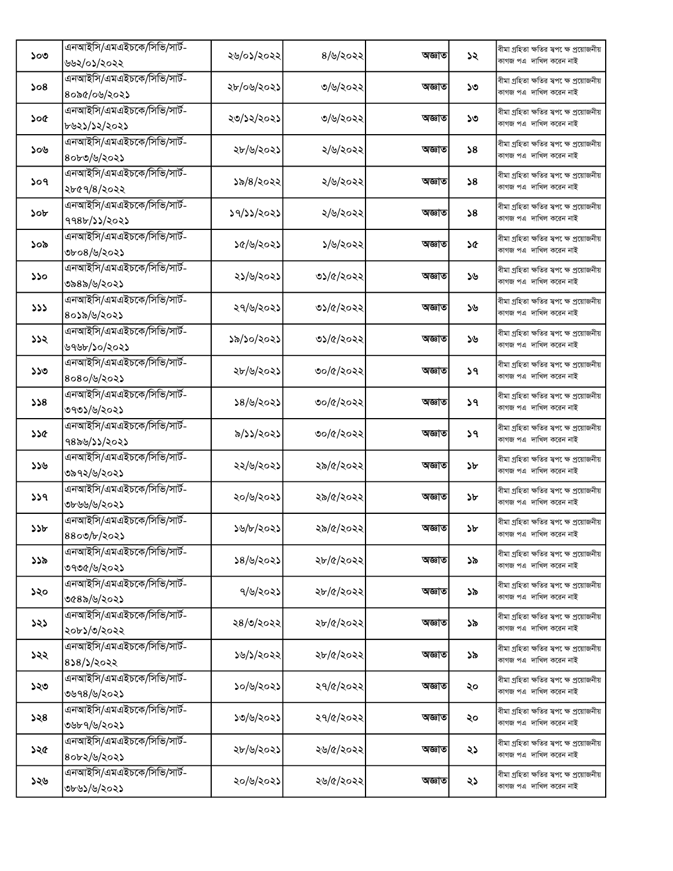|     | এনআইসি/এমএইচকে/সিভি/সার্ট- |            |           |        |             | বীমা গ্ৰহিতা ক্ষতির স্বপক্ষে প্ৰয়োজনীয়                            |
|-----|----------------------------|------------|-----------|--------|-------------|---------------------------------------------------------------------|
| ১০৩ | ৬৬২/০১/২০২২                | ২৬/০১/২০২২ | 8/6/3022  | অজ্ঞাত | ১২          | কাগজ পএ দাখিল করেন নাই                                              |
|     | এনআইসি/এমএইচকে/সিভি/সার্ট- |            |           |        |             | বীমা গ্ৰহিতা ক্ষতির স্বপ েক্ষ প্ৰয়োজনীয়                           |
| 508 | ৪০৯৫/০৬/২০২১               | ২৮/০৬/২০২১ | ৩/৬/২০২২  | অজ্ঞাত | ১৩          | কাগজ পএ দাখিল করেন নাই                                              |
|     | এনআইসি/এমএইচকে/সিভি/সার্ট- |            |           |        |             | বীমা গ্ৰহিতা ক্ষতির স্বপ েক্ষ প্ৰয়োজনীয়                           |
| ১০৫ | ৮৬২১/১২/২০২১               | ২৩/১২/২০২১ | ৩/৬/২০২২  | অজ্ঞাত | ১৩          | কাগজ পএ দাখিল করেন নাই                                              |
|     | এনআইসি/এমএইচকে/সিভি/সার্ট- |            |           |        |             | বীমা গ্ৰহিতা ক্ষতির স্বপ েক্ষ প্ৰয়োজনীয়                           |
| ১০৬ | ৪০৮৩/৬/২০২১                | ২৮/৬/২০২১  | ২/৬/২০২২  | অজ্ঞাত | $\lambda$ 8 | কাগজ পএ দাখিল করেন নাই                                              |
|     | এনআইসি/এমএইচকে/সিভি/সার্ট- |            |           |        |             | বীমা গ্ৰহিতা ক্ষতির স্বপক্ষে প্ৰয়োজনীয়                            |
| ১০৭ | ২৮৫৭/৪/২০২২                | ১৯/৪/২০২২  | ২/৬/২০২২  | অজ্ঞাত | $\lambda$ 8 | কাগজ পএ দাখিল করেন নাই                                              |
|     | এনআইসি/এমএইচকে/সিভি/সার্ট- |            |           |        |             | বীমা গ্ৰহিতা ক্ষতির স্বপ েক্ষ প্ৰয়োজনীয়                           |
| ১০৮ | 998b/১১/২০২১               | ১৭/১১/২০২১ | ২/৬/২০২২  | অজ্ঞাত | $\lambda$ 8 | কাগজ পএ দাখিল করেন নাই                                              |
|     | এনআইসি/এমএইচকে/সিভি/সার্ট- |            |           |        |             | বীমা গ্ৰহিতা ক্ষতির স্বপ েক্ষ প্ৰয়োজনীয়                           |
| ১০৯ | ৩৮০৪/৬/২০২১                | ১৫/৬/২০২১  | ১/৬/২০২২  | অজ্ঞাত | ১৫          | কাগজ পএ দাখিল করেন নাই                                              |
|     | এনআইসি/এমএইচকে/সিভি/সার্ট- |            |           |        |             | বীমা গ্ৰহিতা ক্ষতির স্বপ েক্ষ প্ৰয়োজনীয়                           |
| ১১০ | ৩৯৪৯/৬/২০২১                | ২১/৬/২০২১  | ৩১/৫/২০২২ | অজ্ঞাত | ১৬          | কাগজ পএ দাখিল করেন নাই                                              |
|     | এনআইসি/এমএইচকে/সিভি/সার্ট- |            |           |        |             |                                                                     |
| 222 | ৪০১৯/৬/২০২১                | ২৭/৬/২০২১  | ৩১/৫/২০২২ | অজ্ঞাত | ১৬          | বীমা গ্ৰহিতা ক্ষতির স্বপ েক্ষ প্ৰয়োজনীয়<br>কাগজ পএ দাখিল করেন নাই |
|     | এনআইসি/এমএইচকে/সিভি/সার্ট- |            |           |        |             |                                                                     |
| ১১২ | ৬৭৬৮/১০/২০২১               | ১৯/১০/২০২১ | ৩১/৫/২০২২ | অজ্ঞাত | ১৬          | বীমা গ্ৰহিতা ক্ষতির স্বপক্ষে প্ৰয়োজনীয়<br>কাগজ পএ দাখিল করেন নাই  |
|     | এনআইসি/এমএইচকে/সিভি/সার্ট- |            |           |        |             |                                                                     |
| ১১৩ | ৪০৪০/৬/২০২১                | ২৮/৬/২০২১  | ৩০/৫/২০২২ | অজ্ঞাত | ১৭          | বীমা গ্ৰহিতা ক্ষতির স্বপ েক্ষ প্ৰয়োজনীয়<br>কাগজ পএ দাখিল করেন নাই |
|     | এনআইসি/এমএইচকে/সিভি/সার্ট- |            |           |        |             |                                                                     |
| 358 |                            | ১৪/৬/২০২১  | ৩০/৫/২০২২ | অজ্ঞাত | ১৭          | বীমা গ্ৰহিতা ক্ষতির স্বপ েক্ষ প্ৰয়োজনীয়<br>কাগজ পএ দাখিল করেন নাই |
|     | ৩৭৩১/৬/২০২১                |            |           |        |             |                                                                     |
| ১১৫ | এনআইসি/এমএইচকে/সিভি/সার্ট- | ৯/১১/২০২১  | ৩০/৫/২০২২ | অজ্ঞাত | ১৭          | বীমা গ্ৰহিতা ক্ষতির স্বপ েক্ষ প্ৰয়োজনীয়<br>কাগজ পএ দাখিল করেন নাই |
|     | ৭৪৯৬/১১/২০২১               |            |           |        |             |                                                                     |
| ১১৬ | এনআইসি/এমএইচকে/সিভি/সার্ট- | ২২/৬/২০২১  | ২৯/৫/২০২২ | অজ্ঞাত | ১৮          | বীমা গ্ৰহিতা ক্ষতির স্বপ েক্ষ প্ৰয়োজনীয়<br>কাগজ পএ দাখিল করেন নাই |
|     | ৩৯৭২/৬/২০২১                |            |           |        |             |                                                                     |
| 339 | এনআইসি/এমএইচকে/সিভি/সার্ট- | ২০/৬/২০২১  | ২৯/৫/২০২২ | অজ্ঞাত | ১৮          | বীমা গ্ৰহিতা ক্ষতির স্বপ েক্ষ প্ৰয়োজনীয়<br>কাগজ পএ দাখিল করেন নাই |
|     | ৩৮৬৬/৬/২০২১                |            |           |        |             |                                                                     |
| ১১৮ | এনআইসি/এমএইচকে/সিভি/সার্ট- | ১৬/৮/২০২১  | ২৯/৫/২০২২ | অজ্ঞাত | ১৮          | বীমা গ্ৰহিতা ক্ষতির ম্বপ েক্ষ প্ৰয়োজনীয়<br>কাগজ পএ দাখিল করেন নাই |
|     | 8800/b/2025                |            |           |        |             |                                                                     |
| ১১৯ | এনআইসি/এমএইচকে/সিভি/সার্ট- | ১৪/৬/২০২১  | ২৮/৫/২০২২ | অজ্ঞাত | ১৯          | বীমা গ্ৰহিতা ক্ষতির স্বপ েক্ষ প্ৰয়োজনীয়<br>কাগজ পএ দাখিল করেন নাই |
|     | ৩৭৩৫/৬/২০২১                |            |           |        |             |                                                                     |
| ১২০ | এনআইসি/এমএইচকে/সিভি/সার্ট- | ৭/৬/২০২১   | ২৮/৫/২০২২ | অজ্ঞাত | ১৯          | বীমা গ্ৰহিতা ক্ষতির স্বপ েক্ষ প্ৰয়োজনীয়<br>কাগজ পএ দাখিল করেন নাই |
|     | ৩৫৪৯/৬/২০২১                |            |           |        |             |                                                                     |
| ১২১ | এনআইসি/এমএইচকে/সিভি/সার্ট- | ২৪/৩/২০২২  | ২৮/৫/২০২২ | অজ্ঞাত | ১৯          | বীমা গ্ৰহিতা ক্ষতির স্বপ েক্ষ প্ৰয়োজনীয়                           |
|     | ২০৮১/৩/২০২২                |            |           |        |             | কাগজ পএ দাখিল করেন নাই                                              |
| ১২২ | এনআইসি/এমএইচকে/সিভি/সার্ট- | ১৬/১/২০২২  | ২৮/৫/২০২২ | অজ্ঞাত | ১৯          | বীমা গ্ৰহিতা ক্ষতির স্বপ েক্ষ প্রয়োজনীয়                           |
|     | 838/5/2022                 |            |           |        |             | কাগজ পএ দাখিল করেন নাই                                              |
| ১২৩ | এনআইসি/এমএইচকে/সিভি/সার্ট- | ১০/৬/২০২১  | ২৭/৫/২০২২ | অজ্ঞাত | ২০          | বীমা গ্ৰহিতা ক্ষতির স্বপক্ষে প্ৰয়োজনীয়                            |
|     | ৩৬৭৪/৬/২০২১                |            |           |        |             | কাগজ পএ দাখিল করেন নাই                                              |
| ১২৪ | এনআইসি/এমএইচকে/সিভি/সার্ট- | ১৩/৬/২০২১  | ২৭/৫/২০২২ | অজ্ঞাত | ২০          | বীমা গ্ৰহিতা ক্ষতির স্বপ েক্ষ প্ৰয়োজনীয়                           |
|     | ৩৬৮৭/৬/২০২১                |            |           |        |             | কাগজ পএ দাখিল করেন নাই                                              |
| ১২৫ | এনআইসি/এমএইচকে/সিভি/সার্ট- | ২৮/৬/২০২১  | ২৬/৫/২০২২ | অজ্ঞাত | ২১          | বীমা গ্ৰহিতা ক্ষতির স্বপ েক্ষ প্ৰয়োজনীয়                           |
|     | 80b2/b/2025                |            |           |        |             | কাগজ পএ দাখিল করেন নাই                                              |
| ১২৬ | এনআইসি/এমএইচকে/সিভি/সার্ট- | ২০/৬/২০২১  | ২৬/৫/২০২২ | অজ্ঞাত | ২১          | বীমা গ্ৰহিতা ক্ষতির স্বপ েক্ষ প্ৰয়োজনীয়                           |
|     | ৩৮৬১/৬/২০২১                |            |           |        |             | কাগজ পএ  দাখিল করেন নাই                                             |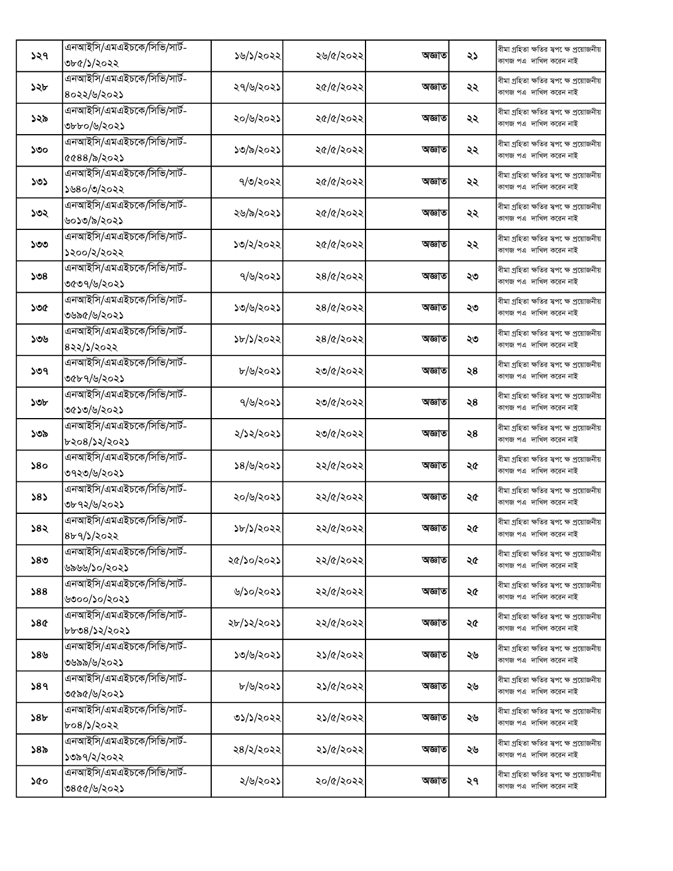| কাগজ পএ দাখিল করেন নাই<br>৩৮৫/১/২০২২<br>এনআইসি/এমএইচকে/সিভি/সার্ট-<br>বীমা গ্ৰহিতা ক্ষতির স্বপ েক্ষ প্ৰয়োজনীয়<br>২৭/৬/২০২১<br>২৫/৫/২০২২<br>১২৮<br>অজ্ঞাত<br>২২<br>কাগজ পএ দাখিল করেন নাই<br>৪০২২/৬/২০২১<br>এনআইসি/এমএইচকে/সিভি/সার্ট-<br>বীমা গ্ৰহিতা ক্ষতির স্বপ েক্ষ প্ৰয়োজনীয়<br>২০/৬/২০২১<br>২৫/৫/২০২২<br>১২৯<br>অজ্ঞাত<br>২২<br>কাগজ পএ দাখিল করেন নাই<br>৩৮৮০/৬/২০২১<br>এনআইসি/এমএইচকে/সিভি/সার্ট-<br>বীমা গ্ৰহিতা ক্ষতির স্বপ েক্ষ প্ৰয়োজনীয়<br>১৩/৯/২০২১<br>২৫/৫/২০২২<br>অজ্ঞাত<br>২২<br>১৩০<br>কাগজ পএ দাখিল করেন নাই<br>৫৫৪৪/৯/২০২১<br>এনআইসি/এমএইচকে/সিভি/সার্ট-<br>বীমা গ্ৰহিতা ক্ষতির স্বপ েক্ষ প্রয়োজনীয়<br>৭/৩/২০২২<br>২৫/৫/২০২২<br>১৩১<br>অজ্ঞাত<br>২২<br>কাগজ পএ দাখিল করেন নাই<br>১৬৪০/৩/২০২২<br>এনআইসি/এমএইচকে/সিভি/সার্ট-<br>বীমা গ্ৰহিতা ক্ষতির স্বপ েক্ষ প্ৰয়োজনীয়<br>২৫/৫/২০২২<br>২৬/৯/২০২১<br>২২<br>১৩২<br>অজ্ঞাত<br>কাগজ পএ দাখিল করেন নাই<br>৬০১৩/৯/২০২১<br>এনআইসি/এমএইচকে/সিভি/সার্ট-<br>বীমা গ্ৰহিতা ক্ষতির স্বপ েক্ষ প্ৰয়োজনীয়<br>১৩/২/২০২২<br>২৫/৫/২০২২<br>১৩৩<br>অজ্ঞাত<br>২২<br>কাগজ পএ দাখিল করেন নাই<br>১২০০/২/২০২২<br>এনআইসি/এমএইচকে/সিভি/সার্ট-<br>বীমা গ্ৰহিতা ক্ষতির স্বপ েক্ষ প্ৰয়োজনীয়<br>৭/৬/২০২১<br>২৪/৫/২০২২<br>১৩৪<br>অজ্ঞাত<br>২৩<br>কাগজ পএ দাখিল করেন নাই<br>৩৫৩৭/৬/২০২১<br>এনআইসি/এমএইচকে/সিভি/সার্ট-<br>বীমা গ্ৰহিতা ক্ষতির স্বপ েক্ষ প্ৰয়োজনীয়<br>১৩/৬/২০২১<br>২৪/৫/২০২২<br>১৩৫<br>অজ্ঞাত<br>২৩<br>কাগজ পএ দাখিল করেন নাই<br>৩৬৯৫/৬/২০২১<br>এনআইসি/এমএইচকে/সিভি/সার্ট-<br>বীমা গ্ৰহিতা ক্ষতির স্বপ েক্ষ প্ৰয়োজনীয়<br>১৮/১/২০২২<br>২৪/৫/২০২২<br>১৩৬<br>অজ্ঞাত<br>২৩<br>কাগজ পএ দাখিল করেন নাই<br>৪২২/১/২০২২<br>এনআইসি/এমএইচকে/সিভি/সার্ট-<br>বীমা গ্ৰহিতা ক্ষতির স্বপ েক্ষ প্ৰয়োজনীয়<br>৮/৬/২০২১<br>২৩/৫/২০২২<br>১৩৭<br>অজ্ঞাত<br>২৪<br>কাগজ পএ দাখিল করেন নাই<br>৩৫৮৭/৬/২০২১<br>এনআইসি/এমএইচকে/সিভি/সার্ট-<br>বীমা গ্ৰহিতা ক্ষতির স্বপ েক্ষ প্ৰয়োজনীয়<br>৭/৬/২০২১<br>২৩/৫/২০২২<br>১৩৮<br>অজ্ঞাত<br>২৪<br>কাগজ পএ দাখিল করেন নাই<br>৩৫১৩/৬/২০২১<br>এনআইসি/এমএইচকে/সিভি/সার্ট-<br>বীমা গ্ৰহিতা ক্ষতির স্বপ েক্ষ প্ৰয়োজনীয়<br>২/১২/২০২১<br>২৩/৫/২০২২<br>২৪<br>১৩৯<br>অজ্ঞাত<br>কাগজ পএ দাখিল করেন নাই<br>৮২০৪/১২/২০২১<br>এনআইসি/এমএইচকে/সিভি/সার্ট-<br>বীমা গ্ৰহিতা ক্ষতির স্বপ েক্ষ প্রয়োজনীয়<br>১৪/৬/২০২১<br>২২/৫/২০২২<br>২৫<br>১৪০<br>অজ্ঞাত<br>কাগজ পএ দাখিল করেন নাই<br>৩৭২৩/৬/২০২১<br>এনআইসি/এমএইচকে/সিভি/সার্ট-<br>বীমা গ্ৰহিতা ক্ষতির স্বপ েক্ষ প্ৰয়োজনীয়<br>২০/৬/২০২১<br>২২/৫/২০২২<br>383<br>অজ্ঞাত<br>২৫<br>কাগজ পএ দাখিল করেন নাই<br>৩৮৭২/৬/২০২১<br>এনআইসি/এমএইচকে/সিভি/সার্ট-<br>বীমা গ্ৰহিতা ক্ষতির স্বপক্ষে প্ৰয়োজনীয়<br>২২/৫/২০২২<br>১৮/১/২০২২<br>১৪২<br>অজ্ঞাত<br>২৫<br>কাগজ পএ  দাখিল করেন নাই<br>8b9/5/2022<br>এনআইসি/এমএইচকে/সিভি/সার্ট-<br>বীমা গ্ৰহিতা ক্ষতির স্বপ েক্ষ প্ৰয়োজনীয়<br>২৫/১০/২০২১<br>২২/৫/২০২২<br>১৪৩<br>অজ্ঞাত<br>২৫<br>কাগজ পএ দাখিল করেন নাই<br>৬৯৬৬/১০/২০২১<br>এনআইসি/এমএইচকে/সিভি/সার্ট-<br>বীমা গ্ৰহিতা ক্ষতির স্বপক্ষে প্ৰয়োজনীয়<br>৬/১০/২০২১<br>২২/৫/২০২২<br>588<br>অজ্ঞাত<br>২৫<br>কাগজ পএ দাখিল করেন নাই<br>৬৩০০/১০/২০২১<br>এনআইসি/এমএইচকে/সিভি/সার্ট-<br>বীমা গ্ৰহিতা ক্ষতির স্বপ েক্ষ প্ৰয়োজনীয়<br>২২/৫/২০২২<br>58 <sub>C</sub><br>২৮/১২/২০২১<br>অজ্ঞাত<br>২৫<br>কাগজ পএ দাখিল করেন নাই<br>৮৮৩৪/১২/২০২১<br>এনআইসি/এমএইচকে/সিভি/সার্ট-<br>বীমা গ্ৰহিতা ক্ষতির স্বপক্ষে প্ৰয়োজনীয়<br>১৩/৬/২০২১<br>২১/৫/২০২২<br>১৪৬<br>অজ্ঞাত<br>২৬<br>কাগজ পএ দাখিল করেন নাই<br>৩৬৯৯/৬/২০২১<br>এনআইসি/এমএইচকে/সিভি/সার্ট-<br>বীমা গ্ৰহিতা ক্ষতির স্বপক্ষে প্ৰয়োজনীয়<br>৮/৬/২০২১<br>২১/৫/২০২২<br>589<br>অজ্ঞাত<br>২৬<br>কাগজ পএ দাখিল করেন নাই<br>৩৫৯৫/৬/২০২১<br>এনআইসি/এমএইচকে/সিভি/সার্ট-<br>বীমা গ্ৰহিতা ক্ষতির স্বপ েক্ষ প্ৰয়োজনীয়<br>৩১/১/২০২২<br>২১/৫/২০২২<br>১৪৮<br>অজ্ঞাত<br>২৬<br>কাগজ পএ দাখিল করেন নাই<br>৮০৪/১/২০২২<br>এনআইসি/এমএইচকে/সিভি/সার্ট-<br>বীমা গ্ৰহিতা ক্ষতির স্বপক্ষে প্ৰয়োজনীয়<br>২৪/২/২০২২<br>২১/৫/২০২২<br>১৪৯<br>অজ্ঞাত<br>২৬<br>কাগজ পএ দাখিল করেন নাই<br>১৩৯৭/২/২০২২<br>এনআইসি/এমএইচকে/সিভি/সার্ট-<br>বীমা গ্ৰহিতা ক্ষতির স্বপ েক্ষ প্ৰয়োজনীয়<br>২/৬/২০২১<br>২০/৫/২০২২<br>অজ্ঞাত<br>২৭<br>১৫০<br>কাগজ পএ দাখিল করেন নাই |     | এনআইসি/এমএইচকে/সিভি/সার্ট- |           |           |        |    | বীমা গ্ৰহিতা ক্ষতির স্বপ েক্ষ প্ৰয়োজনীয় |
|-------------------------------------------------------------------------------------------------------------------------------------------------------------------------------------------------------------------------------------------------------------------------------------------------------------------------------------------------------------------------------------------------------------------------------------------------------------------------------------------------------------------------------------------------------------------------------------------------------------------------------------------------------------------------------------------------------------------------------------------------------------------------------------------------------------------------------------------------------------------------------------------------------------------------------------------------------------------------------------------------------------------------------------------------------------------------------------------------------------------------------------------------------------------------------------------------------------------------------------------------------------------------------------------------------------------------------------------------------------------------------------------------------------------------------------------------------------------------------------------------------------------------------------------------------------------------------------------------------------------------------------------------------------------------------------------------------------------------------------------------------------------------------------------------------------------------------------------------------------------------------------------------------------------------------------------------------------------------------------------------------------------------------------------------------------------------------------------------------------------------------------------------------------------------------------------------------------------------------------------------------------------------------------------------------------------------------------------------------------------------------------------------------------------------------------------------------------------------------------------------------------------------------------------------------------------------------------------------------------------------------------------------------------------------------------------------------------------------------------------------------------------------------------------------------------------------------------------------------------------------------------------------------------------------------------------------------------------------------------------------------------------------------------------------------------------------------------------------------------------------------------------------------------------------------------------------------------------------------------------------------------------------------------------------------------------------------------------------------------------------------------------------------------------------------------------------------------------------------------------------------------------------------------------------------------------------------------------------------------------------------------------------------------------------------------------------------------------------------------------------------------------------------------------------------------------------------------------------------------------------------------------------------------------------------------------------------------------------------|-----|----------------------------|-----------|-----------|--------|----|-------------------------------------------|
|                                                                                                                                                                                                                                                                                                                                                                                                                                                                                                                                                                                                                                                                                                                                                                                                                                                                                                                                                                                                                                                                                                                                                                                                                                                                                                                                                                                                                                                                                                                                                                                                                                                                                                                                                                                                                                                                                                                                                                                                                                                                                                                                                                                                                                                                                                                                                                                                                                                                                                                                                                                                                                                                                                                                                                                                                                                                                                                                                                                                                                                                                                                                                                                                                                                                                                                                                                                                                                                                                                                                                                                                                                                                                                                                                                                                                                                                                                                                                                               | ১২৭ |                            | ১৬/১/২০২২ | ২৬/৫/২০২২ | অজ্ঞাত | ২১ |                                           |
|                                                                                                                                                                                                                                                                                                                                                                                                                                                                                                                                                                                                                                                                                                                                                                                                                                                                                                                                                                                                                                                                                                                                                                                                                                                                                                                                                                                                                                                                                                                                                                                                                                                                                                                                                                                                                                                                                                                                                                                                                                                                                                                                                                                                                                                                                                                                                                                                                                                                                                                                                                                                                                                                                                                                                                                                                                                                                                                                                                                                                                                                                                                                                                                                                                                                                                                                                                                                                                                                                                                                                                                                                                                                                                                                                                                                                                                                                                                                                                               |     |                            |           |           |        |    |                                           |
|                                                                                                                                                                                                                                                                                                                                                                                                                                                                                                                                                                                                                                                                                                                                                                                                                                                                                                                                                                                                                                                                                                                                                                                                                                                                                                                                                                                                                                                                                                                                                                                                                                                                                                                                                                                                                                                                                                                                                                                                                                                                                                                                                                                                                                                                                                                                                                                                                                                                                                                                                                                                                                                                                                                                                                                                                                                                                                                                                                                                                                                                                                                                                                                                                                                                                                                                                                                                                                                                                                                                                                                                                                                                                                                                                                                                                                                                                                                                                                               |     |                            |           |           |        |    |                                           |
|                                                                                                                                                                                                                                                                                                                                                                                                                                                                                                                                                                                                                                                                                                                                                                                                                                                                                                                                                                                                                                                                                                                                                                                                                                                                                                                                                                                                                                                                                                                                                                                                                                                                                                                                                                                                                                                                                                                                                                                                                                                                                                                                                                                                                                                                                                                                                                                                                                                                                                                                                                                                                                                                                                                                                                                                                                                                                                                                                                                                                                                                                                                                                                                                                                                                                                                                                                                                                                                                                                                                                                                                                                                                                                                                                                                                                                                                                                                                                                               |     |                            |           |           |        |    |                                           |
|                                                                                                                                                                                                                                                                                                                                                                                                                                                                                                                                                                                                                                                                                                                                                                                                                                                                                                                                                                                                                                                                                                                                                                                                                                                                                                                                                                                                                                                                                                                                                                                                                                                                                                                                                                                                                                                                                                                                                                                                                                                                                                                                                                                                                                                                                                                                                                                                                                                                                                                                                                                                                                                                                                                                                                                                                                                                                                                                                                                                                                                                                                                                                                                                                                                                                                                                                                                                                                                                                                                                                                                                                                                                                                                                                                                                                                                                                                                                                                               |     |                            |           |           |        |    |                                           |
|                                                                                                                                                                                                                                                                                                                                                                                                                                                                                                                                                                                                                                                                                                                                                                                                                                                                                                                                                                                                                                                                                                                                                                                                                                                                                                                                                                                                                                                                                                                                                                                                                                                                                                                                                                                                                                                                                                                                                                                                                                                                                                                                                                                                                                                                                                                                                                                                                                                                                                                                                                                                                                                                                                                                                                                                                                                                                                                                                                                                                                                                                                                                                                                                                                                                                                                                                                                                                                                                                                                                                                                                                                                                                                                                                                                                                                                                                                                                                                               |     |                            |           |           |        |    |                                           |
|                                                                                                                                                                                                                                                                                                                                                                                                                                                                                                                                                                                                                                                                                                                                                                                                                                                                                                                                                                                                                                                                                                                                                                                                                                                                                                                                                                                                                                                                                                                                                                                                                                                                                                                                                                                                                                                                                                                                                                                                                                                                                                                                                                                                                                                                                                                                                                                                                                                                                                                                                                                                                                                                                                                                                                                                                                                                                                                                                                                                                                                                                                                                                                                                                                                                                                                                                                                                                                                                                                                                                                                                                                                                                                                                                                                                                                                                                                                                                                               |     |                            |           |           |        |    |                                           |
|                                                                                                                                                                                                                                                                                                                                                                                                                                                                                                                                                                                                                                                                                                                                                                                                                                                                                                                                                                                                                                                                                                                                                                                                                                                                                                                                                                                                                                                                                                                                                                                                                                                                                                                                                                                                                                                                                                                                                                                                                                                                                                                                                                                                                                                                                                                                                                                                                                                                                                                                                                                                                                                                                                                                                                                                                                                                                                                                                                                                                                                                                                                                                                                                                                                                                                                                                                                                                                                                                                                                                                                                                                                                                                                                                                                                                                                                                                                                                                               |     |                            |           |           |        |    |                                           |
|                                                                                                                                                                                                                                                                                                                                                                                                                                                                                                                                                                                                                                                                                                                                                                                                                                                                                                                                                                                                                                                                                                                                                                                                                                                                                                                                                                                                                                                                                                                                                                                                                                                                                                                                                                                                                                                                                                                                                                                                                                                                                                                                                                                                                                                                                                                                                                                                                                                                                                                                                                                                                                                                                                                                                                                                                                                                                                                                                                                                                                                                                                                                                                                                                                                                                                                                                                                                                                                                                                                                                                                                                                                                                                                                                                                                                                                                                                                                                                               |     |                            |           |           |        |    |                                           |
|                                                                                                                                                                                                                                                                                                                                                                                                                                                                                                                                                                                                                                                                                                                                                                                                                                                                                                                                                                                                                                                                                                                                                                                                                                                                                                                                                                                                                                                                                                                                                                                                                                                                                                                                                                                                                                                                                                                                                                                                                                                                                                                                                                                                                                                                                                                                                                                                                                                                                                                                                                                                                                                                                                                                                                                                                                                                                                                                                                                                                                                                                                                                                                                                                                                                                                                                                                                                                                                                                                                                                                                                                                                                                                                                                                                                                                                                                                                                                                               |     |                            |           |           |        |    |                                           |
|                                                                                                                                                                                                                                                                                                                                                                                                                                                                                                                                                                                                                                                                                                                                                                                                                                                                                                                                                                                                                                                                                                                                                                                                                                                                                                                                                                                                                                                                                                                                                                                                                                                                                                                                                                                                                                                                                                                                                                                                                                                                                                                                                                                                                                                                                                                                                                                                                                                                                                                                                                                                                                                                                                                                                                                                                                                                                                                                                                                                                                                                                                                                                                                                                                                                                                                                                                                                                                                                                                                                                                                                                                                                                                                                                                                                                                                                                                                                                                               |     |                            |           |           |        |    |                                           |
|                                                                                                                                                                                                                                                                                                                                                                                                                                                                                                                                                                                                                                                                                                                                                                                                                                                                                                                                                                                                                                                                                                                                                                                                                                                                                                                                                                                                                                                                                                                                                                                                                                                                                                                                                                                                                                                                                                                                                                                                                                                                                                                                                                                                                                                                                                                                                                                                                                                                                                                                                                                                                                                                                                                                                                                                                                                                                                                                                                                                                                                                                                                                                                                                                                                                                                                                                                                                                                                                                                                                                                                                                                                                                                                                                                                                                                                                                                                                                                               |     |                            |           |           |        |    |                                           |
|                                                                                                                                                                                                                                                                                                                                                                                                                                                                                                                                                                                                                                                                                                                                                                                                                                                                                                                                                                                                                                                                                                                                                                                                                                                                                                                                                                                                                                                                                                                                                                                                                                                                                                                                                                                                                                                                                                                                                                                                                                                                                                                                                                                                                                                                                                                                                                                                                                                                                                                                                                                                                                                                                                                                                                                                                                                                                                                                                                                                                                                                                                                                                                                                                                                                                                                                                                                                                                                                                                                                                                                                                                                                                                                                                                                                                                                                                                                                                                               |     |                            |           |           |        |    |                                           |
|                                                                                                                                                                                                                                                                                                                                                                                                                                                                                                                                                                                                                                                                                                                                                                                                                                                                                                                                                                                                                                                                                                                                                                                                                                                                                                                                                                                                                                                                                                                                                                                                                                                                                                                                                                                                                                                                                                                                                                                                                                                                                                                                                                                                                                                                                                                                                                                                                                                                                                                                                                                                                                                                                                                                                                                                                                                                                                                                                                                                                                                                                                                                                                                                                                                                                                                                                                                                                                                                                                                                                                                                                                                                                                                                                                                                                                                                                                                                                                               |     |                            |           |           |        |    |                                           |
|                                                                                                                                                                                                                                                                                                                                                                                                                                                                                                                                                                                                                                                                                                                                                                                                                                                                                                                                                                                                                                                                                                                                                                                                                                                                                                                                                                                                                                                                                                                                                                                                                                                                                                                                                                                                                                                                                                                                                                                                                                                                                                                                                                                                                                                                                                                                                                                                                                                                                                                                                                                                                                                                                                                                                                                                                                                                                                                                                                                                                                                                                                                                                                                                                                                                                                                                                                                                                                                                                                                                                                                                                                                                                                                                                                                                                                                                                                                                                                               |     |                            |           |           |        |    |                                           |
|                                                                                                                                                                                                                                                                                                                                                                                                                                                                                                                                                                                                                                                                                                                                                                                                                                                                                                                                                                                                                                                                                                                                                                                                                                                                                                                                                                                                                                                                                                                                                                                                                                                                                                                                                                                                                                                                                                                                                                                                                                                                                                                                                                                                                                                                                                                                                                                                                                                                                                                                                                                                                                                                                                                                                                                                                                                                                                                                                                                                                                                                                                                                                                                                                                                                                                                                                                                                                                                                                                                                                                                                                                                                                                                                                                                                                                                                                                                                                                               |     |                            |           |           |        |    |                                           |
|                                                                                                                                                                                                                                                                                                                                                                                                                                                                                                                                                                                                                                                                                                                                                                                                                                                                                                                                                                                                                                                                                                                                                                                                                                                                                                                                                                                                                                                                                                                                                                                                                                                                                                                                                                                                                                                                                                                                                                                                                                                                                                                                                                                                                                                                                                                                                                                                                                                                                                                                                                                                                                                                                                                                                                                                                                                                                                                                                                                                                                                                                                                                                                                                                                                                                                                                                                                                                                                                                                                                                                                                                                                                                                                                                                                                                                                                                                                                                                               |     |                            |           |           |        |    |                                           |
|                                                                                                                                                                                                                                                                                                                                                                                                                                                                                                                                                                                                                                                                                                                                                                                                                                                                                                                                                                                                                                                                                                                                                                                                                                                                                                                                                                                                                                                                                                                                                                                                                                                                                                                                                                                                                                                                                                                                                                                                                                                                                                                                                                                                                                                                                                                                                                                                                                                                                                                                                                                                                                                                                                                                                                                                                                                                                                                                                                                                                                                                                                                                                                                                                                                                                                                                                                                                                                                                                                                                                                                                                                                                                                                                                                                                                                                                                                                                                                               |     |                            |           |           |        |    |                                           |
|                                                                                                                                                                                                                                                                                                                                                                                                                                                                                                                                                                                                                                                                                                                                                                                                                                                                                                                                                                                                                                                                                                                                                                                                                                                                                                                                                                                                                                                                                                                                                                                                                                                                                                                                                                                                                                                                                                                                                                                                                                                                                                                                                                                                                                                                                                                                                                                                                                                                                                                                                                                                                                                                                                                                                                                                                                                                                                                                                                                                                                                                                                                                                                                                                                                                                                                                                                                                                                                                                                                                                                                                                                                                                                                                                                                                                                                                                                                                                                               |     |                            |           |           |        |    |                                           |
|                                                                                                                                                                                                                                                                                                                                                                                                                                                                                                                                                                                                                                                                                                                                                                                                                                                                                                                                                                                                                                                                                                                                                                                                                                                                                                                                                                                                                                                                                                                                                                                                                                                                                                                                                                                                                                                                                                                                                                                                                                                                                                                                                                                                                                                                                                                                                                                                                                                                                                                                                                                                                                                                                                                                                                                                                                                                                                                                                                                                                                                                                                                                                                                                                                                                                                                                                                                                                                                                                                                                                                                                                                                                                                                                                                                                                                                                                                                                                                               |     |                            |           |           |        |    |                                           |
|                                                                                                                                                                                                                                                                                                                                                                                                                                                                                                                                                                                                                                                                                                                                                                                                                                                                                                                                                                                                                                                                                                                                                                                                                                                                                                                                                                                                                                                                                                                                                                                                                                                                                                                                                                                                                                                                                                                                                                                                                                                                                                                                                                                                                                                                                                                                                                                                                                                                                                                                                                                                                                                                                                                                                                                                                                                                                                                                                                                                                                                                                                                                                                                                                                                                                                                                                                                                                                                                                                                                                                                                                                                                                                                                                                                                                                                                                                                                                                               |     |                            |           |           |        |    |                                           |
|                                                                                                                                                                                                                                                                                                                                                                                                                                                                                                                                                                                                                                                                                                                                                                                                                                                                                                                                                                                                                                                                                                                                                                                                                                                                                                                                                                                                                                                                                                                                                                                                                                                                                                                                                                                                                                                                                                                                                                                                                                                                                                                                                                                                                                                                                                                                                                                                                                                                                                                                                                                                                                                                                                                                                                                                                                                                                                                                                                                                                                                                                                                                                                                                                                                                                                                                                                                                                                                                                                                                                                                                                                                                                                                                                                                                                                                                                                                                                                               |     |                            |           |           |        |    |                                           |
|                                                                                                                                                                                                                                                                                                                                                                                                                                                                                                                                                                                                                                                                                                                                                                                                                                                                                                                                                                                                                                                                                                                                                                                                                                                                                                                                                                                                                                                                                                                                                                                                                                                                                                                                                                                                                                                                                                                                                                                                                                                                                                                                                                                                                                                                                                                                                                                                                                                                                                                                                                                                                                                                                                                                                                                                                                                                                                                                                                                                                                                                                                                                                                                                                                                                                                                                                                                                                                                                                                                                                                                                                                                                                                                                                                                                                                                                                                                                                                               |     |                            |           |           |        |    |                                           |
|                                                                                                                                                                                                                                                                                                                                                                                                                                                                                                                                                                                                                                                                                                                                                                                                                                                                                                                                                                                                                                                                                                                                                                                                                                                                                                                                                                                                                                                                                                                                                                                                                                                                                                                                                                                                                                                                                                                                                                                                                                                                                                                                                                                                                                                                                                                                                                                                                                                                                                                                                                                                                                                                                                                                                                                                                                                                                                                                                                                                                                                                                                                                                                                                                                                                                                                                                                                                                                                                                                                                                                                                                                                                                                                                                                                                                                                                                                                                                                               |     |                            |           |           |        |    |                                           |
|                                                                                                                                                                                                                                                                                                                                                                                                                                                                                                                                                                                                                                                                                                                                                                                                                                                                                                                                                                                                                                                                                                                                                                                                                                                                                                                                                                                                                                                                                                                                                                                                                                                                                                                                                                                                                                                                                                                                                                                                                                                                                                                                                                                                                                                                                                                                                                                                                                                                                                                                                                                                                                                                                                                                                                                                                                                                                                                                                                                                                                                                                                                                                                                                                                                                                                                                                                                                                                                                                                                                                                                                                                                                                                                                                                                                                                                                                                                                                                               |     |                            |           |           |        |    |                                           |
|                                                                                                                                                                                                                                                                                                                                                                                                                                                                                                                                                                                                                                                                                                                                                                                                                                                                                                                                                                                                                                                                                                                                                                                                                                                                                                                                                                                                                                                                                                                                                                                                                                                                                                                                                                                                                                                                                                                                                                                                                                                                                                                                                                                                                                                                                                                                                                                                                                                                                                                                                                                                                                                                                                                                                                                                                                                                                                                                                                                                                                                                                                                                                                                                                                                                                                                                                                                                                                                                                                                                                                                                                                                                                                                                                                                                                                                                                                                                                                               |     |                            |           |           |        |    |                                           |
|                                                                                                                                                                                                                                                                                                                                                                                                                                                                                                                                                                                                                                                                                                                                                                                                                                                                                                                                                                                                                                                                                                                                                                                                                                                                                                                                                                                                                                                                                                                                                                                                                                                                                                                                                                                                                                                                                                                                                                                                                                                                                                                                                                                                                                                                                                                                                                                                                                                                                                                                                                                                                                                                                                                                                                                                                                                                                                                                                                                                                                                                                                                                                                                                                                                                                                                                                                                                                                                                                                                                                                                                                                                                                                                                                                                                                                                                                                                                                                               |     |                            |           |           |        |    |                                           |
|                                                                                                                                                                                                                                                                                                                                                                                                                                                                                                                                                                                                                                                                                                                                                                                                                                                                                                                                                                                                                                                                                                                                                                                                                                                                                                                                                                                                                                                                                                                                                                                                                                                                                                                                                                                                                                                                                                                                                                                                                                                                                                                                                                                                                                                                                                                                                                                                                                                                                                                                                                                                                                                                                                                                                                                                                                                                                                                                                                                                                                                                                                                                                                                                                                                                                                                                                                                                                                                                                                                                                                                                                                                                                                                                                                                                                                                                                                                                                                               |     |                            |           |           |        |    |                                           |
|                                                                                                                                                                                                                                                                                                                                                                                                                                                                                                                                                                                                                                                                                                                                                                                                                                                                                                                                                                                                                                                                                                                                                                                                                                                                                                                                                                                                                                                                                                                                                                                                                                                                                                                                                                                                                                                                                                                                                                                                                                                                                                                                                                                                                                                                                                                                                                                                                                                                                                                                                                                                                                                                                                                                                                                                                                                                                                                                                                                                                                                                                                                                                                                                                                                                                                                                                                                                                                                                                                                                                                                                                                                                                                                                                                                                                                                                                                                                                                               |     |                            |           |           |        |    |                                           |
|                                                                                                                                                                                                                                                                                                                                                                                                                                                                                                                                                                                                                                                                                                                                                                                                                                                                                                                                                                                                                                                                                                                                                                                                                                                                                                                                                                                                                                                                                                                                                                                                                                                                                                                                                                                                                                                                                                                                                                                                                                                                                                                                                                                                                                                                                                                                                                                                                                                                                                                                                                                                                                                                                                                                                                                                                                                                                                                                                                                                                                                                                                                                                                                                                                                                                                                                                                                                                                                                                                                                                                                                                                                                                                                                                                                                                                                                                                                                                                               |     |                            |           |           |        |    |                                           |
|                                                                                                                                                                                                                                                                                                                                                                                                                                                                                                                                                                                                                                                                                                                                                                                                                                                                                                                                                                                                                                                                                                                                                                                                                                                                                                                                                                                                                                                                                                                                                                                                                                                                                                                                                                                                                                                                                                                                                                                                                                                                                                                                                                                                                                                                                                                                                                                                                                                                                                                                                                                                                                                                                                                                                                                                                                                                                                                                                                                                                                                                                                                                                                                                                                                                                                                                                                                                                                                                                                                                                                                                                                                                                                                                                                                                                                                                                                                                                                               |     |                            |           |           |        |    |                                           |
|                                                                                                                                                                                                                                                                                                                                                                                                                                                                                                                                                                                                                                                                                                                                                                                                                                                                                                                                                                                                                                                                                                                                                                                                                                                                                                                                                                                                                                                                                                                                                                                                                                                                                                                                                                                                                                                                                                                                                                                                                                                                                                                                                                                                                                                                                                                                                                                                                                                                                                                                                                                                                                                                                                                                                                                                                                                                                                                                                                                                                                                                                                                                                                                                                                                                                                                                                                                                                                                                                                                                                                                                                                                                                                                                                                                                                                                                                                                                                                               |     |                            |           |           |        |    |                                           |
|                                                                                                                                                                                                                                                                                                                                                                                                                                                                                                                                                                                                                                                                                                                                                                                                                                                                                                                                                                                                                                                                                                                                                                                                                                                                                                                                                                                                                                                                                                                                                                                                                                                                                                                                                                                                                                                                                                                                                                                                                                                                                                                                                                                                                                                                                                                                                                                                                                                                                                                                                                                                                                                                                                                                                                                                                                                                                                                                                                                                                                                                                                                                                                                                                                                                                                                                                                                                                                                                                                                                                                                                                                                                                                                                                                                                                                                                                                                                                                               |     |                            |           |           |        |    |                                           |
|                                                                                                                                                                                                                                                                                                                                                                                                                                                                                                                                                                                                                                                                                                                                                                                                                                                                                                                                                                                                                                                                                                                                                                                                                                                                                                                                                                                                                                                                                                                                                                                                                                                                                                                                                                                                                                                                                                                                                                                                                                                                                                                                                                                                                                                                                                                                                                                                                                                                                                                                                                                                                                                                                                                                                                                                                                                                                                                                                                                                                                                                                                                                                                                                                                                                                                                                                                                                                                                                                                                                                                                                                                                                                                                                                                                                                                                                                                                                                                               |     |                            |           |           |        |    |                                           |
|                                                                                                                                                                                                                                                                                                                                                                                                                                                                                                                                                                                                                                                                                                                                                                                                                                                                                                                                                                                                                                                                                                                                                                                                                                                                                                                                                                                                                                                                                                                                                                                                                                                                                                                                                                                                                                                                                                                                                                                                                                                                                                                                                                                                                                                                                                                                                                                                                                                                                                                                                                                                                                                                                                                                                                                                                                                                                                                                                                                                                                                                                                                                                                                                                                                                                                                                                                                                                                                                                                                                                                                                                                                                                                                                                                                                                                                                                                                                                                               |     |                            |           |           |        |    |                                           |
|                                                                                                                                                                                                                                                                                                                                                                                                                                                                                                                                                                                                                                                                                                                                                                                                                                                                                                                                                                                                                                                                                                                                                                                                                                                                                                                                                                                                                                                                                                                                                                                                                                                                                                                                                                                                                                                                                                                                                                                                                                                                                                                                                                                                                                                                                                                                                                                                                                                                                                                                                                                                                                                                                                                                                                                                                                                                                                                                                                                                                                                                                                                                                                                                                                                                                                                                                                                                                                                                                                                                                                                                                                                                                                                                                                                                                                                                                                                                                                               |     |                            |           |           |        |    |                                           |
|                                                                                                                                                                                                                                                                                                                                                                                                                                                                                                                                                                                                                                                                                                                                                                                                                                                                                                                                                                                                                                                                                                                                                                                                                                                                                                                                                                                                                                                                                                                                                                                                                                                                                                                                                                                                                                                                                                                                                                                                                                                                                                                                                                                                                                                                                                                                                                                                                                                                                                                                                                                                                                                                                                                                                                                                                                                                                                                                                                                                                                                                                                                                                                                                                                                                                                                                                                                                                                                                                                                                                                                                                                                                                                                                                                                                                                                                                                                                                                               |     |                            |           |           |        |    |                                           |
|                                                                                                                                                                                                                                                                                                                                                                                                                                                                                                                                                                                                                                                                                                                                                                                                                                                                                                                                                                                                                                                                                                                                                                                                                                                                                                                                                                                                                                                                                                                                                                                                                                                                                                                                                                                                                                                                                                                                                                                                                                                                                                                                                                                                                                                                                                                                                                                                                                                                                                                                                                                                                                                                                                                                                                                                                                                                                                                                                                                                                                                                                                                                                                                                                                                                                                                                                                                                                                                                                                                                                                                                                                                                                                                                                                                                                                                                                                                                                                               |     |                            |           |           |        |    |                                           |
|                                                                                                                                                                                                                                                                                                                                                                                                                                                                                                                                                                                                                                                                                                                                                                                                                                                                                                                                                                                                                                                                                                                                                                                                                                                                                                                                                                                                                                                                                                                                                                                                                                                                                                                                                                                                                                                                                                                                                                                                                                                                                                                                                                                                                                                                                                                                                                                                                                                                                                                                                                                                                                                                                                                                                                                                                                                                                                                                                                                                                                                                                                                                                                                                                                                                                                                                                                                                                                                                                                                                                                                                                                                                                                                                                                                                                                                                                                                                                                               |     |                            |           |           |        |    |                                           |
|                                                                                                                                                                                                                                                                                                                                                                                                                                                                                                                                                                                                                                                                                                                                                                                                                                                                                                                                                                                                                                                                                                                                                                                                                                                                                                                                                                                                                                                                                                                                                                                                                                                                                                                                                                                                                                                                                                                                                                                                                                                                                                                                                                                                                                                                                                                                                                                                                                                                                                                                                                                                                                                                                                                                                                                                                                                                                                                                                                                                                                                                                                                                                                                                                                                                                                                                                                                                                                                                                                                                                                                                                                                                                                                                                                                                                                                                                                                                                                               |     |                            |           |           |        |    |                                           |
|                                                                                                                                                                                                                                                                                                                                                                                                                                                                                                                                                                                                                                                                                                                                                                                                                                                                                                                                                                                                                                                                                                                                                                                                                                                                                                                                                                                                                                                                                                                                                                                                                                                                                                                                                                                                                                                                                                                                                                                                                                                                                                                                                                                                                                                                                                                                                                                                                                                                                                                                                                                                                                                                                                                                                                                                                                                                                                                                                                                                                                                                                                                                                                                                                                                                                                                                                                                                                                                                                                                                                                                                                                                                                                                                                                                                                                                                                                                                                                               |     |                            |           |           |        |    |                                           |
|                                                                                                                                                                                                                                                                                                                                                                                                                                                                                                                                                                                                                                                                                                                                                                                                                                                                                                                                                                                                                                                                                                                                                                                                                                                                                                                                                                                                                                                                                                                                                                                                                                                                                                                                                                                                                                                                                                                                                                                                                                                                                                                                                                                                                                                                                                                                                                                                                                                                                                                                                                                                                                                                                                                                                                                                                                                                                                                                                                                                                                                                                                                                                                                                                                                                                                                                                                                                                                                                                                                                                                                                                                                                                                                                                                                                                                                                                                                                                                               |     |                            |           |           |        |    |                                           |
|                                                                                                                                                                                                                                                                                                                                                                                                                                                                                                                                                                                                                                                                                                                                                                                                                                                                                                                                                                                                                                                                                                                                                                                                                                                                                                                                                                                                                                                                                                                                                                                                                                                                                                                                                                                                                                                                                                                                                                                                                                                                                                                                                                                                                                                                                                                                                                                                                                                                                                                                                                                                                                                                                                                                                                                                                                                                                                                                                                                                                                                                                                                                                                                                                                                                                                                                                                                                                                                                                                                                                                                                                                                                                                                                                                                                                                                                                                                                                                               |     |                            |           |           |        |    |                                           |
|                                                                                                                                                                                                                                                                                                                                                                                                                                                                                                                                                                                                                                                                                                                                                                                                                                                                                                                                                                                                                                                                                                                                                                                                                                                                                                                                                                                                                                                                                                                                                                                                                                                                                                                                                                                                                                                                                                                                                                                                                                                                                                                                                                                                                                                                                                                                                                                                                                                                                                                                                                                                                                                                                                                                                                                                                                                                                                                                                                                                                                                                                                                                                                                                                                                                                                                                                                                                                                                                                                                                                                                                                                                                                                                                                                                                                                                                                                                                                                               |     |                            |           |           |        |    |                                           |
|                                                                                                                                                                                                                                                                                                                                                                                                                                                                                                                                                                                                                                                                                                                                                                                                                                                                                                                                                                                                                                                                                                                                                                                                                                                                                                                                                                                                                                                                                                                                                                                                                                                                                                                                                                                                                                                                                                                                                                                                                                                                                                                                                                                                                                                                                                                                                                                                                                                                                                                                                                                                                                                                                                                                                                                                                                                                                                                                                                                                                                                                                                                                                                                                                                                                                                                                                                                                                                                                                                                                                                                                                                                                                                                                                                                                                                                                                                                                                                               |     |                            |           |           |        |    |                                           |
|                                                                                                                                                                                                                                                                                                                                                                                                                                                                                                                                                                                                                                                                                                                                                                                                                                                                                                                                                                                                                                                                                                                                                                                                                                                                                                                                                                                                                                                                                                                                                                                                                                                                                                                                                                                                                                                                                                                                                                                                                                                                                                                                                                                                                                                                                                                                                                                                                                                                                                                                                                                                                                                                                                                                                                                                                                                                                                                                                                                                                                                                                                                                                                                                                                                                                                                                                                                                                                                                                                                                                                                                                                                                                                                                                                                                                                                                                                                                                                               |     |                            |           |           |        |    |                                           |
|                                                                                                                                                                                                                                                                                                                                                                                                                                                                                                                                                                                                                                                                                                                                                                                                                                                                                                                                                                                                                                                                                                                                                                                                                                                                                                                                                                                                                                                                                                                                                                                                                                                                                                                                                                                                                                                                                                                                                                                                                                                                                                                                                                                                                                                                                                                                                                                                                                                                                                                                                                                                                                                                                                                                                                                                                                                                                                                                                                                                                                                                                                                                                                                                                                                                                                                                                                                                                                                                                                                                                                                                                                                                                                                                                                                                                                                                                                                                                                               |     | ৩৪৫৫/৬/২০২১                |           |           |        |    |                                           |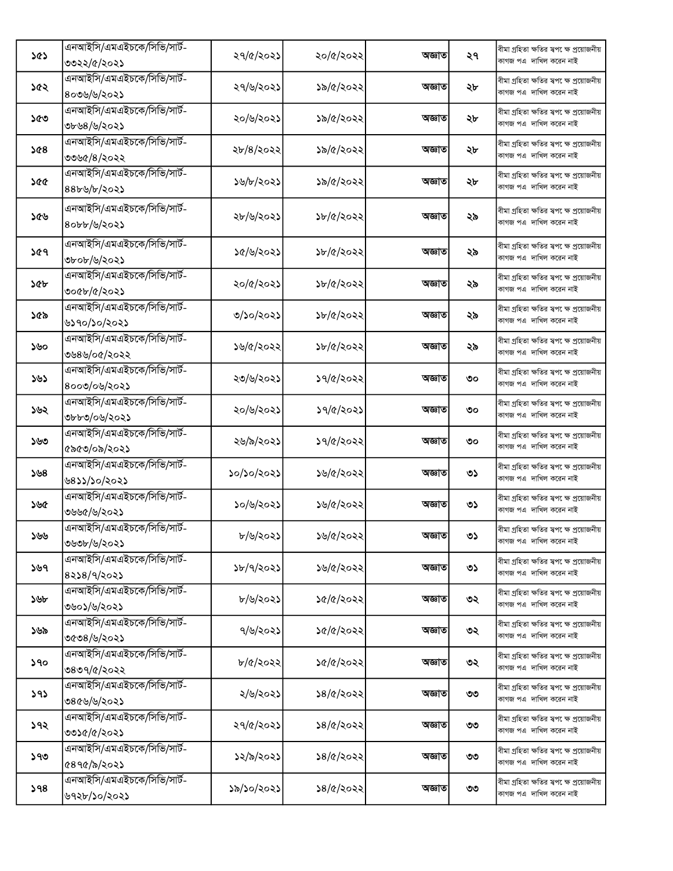|     | এনআইসি/এমএইচকে/সিভি/সার্ট-       |            |           |        |    | বীমা গ্ৰহিতা ক্ষতির স্বপ েক্ষ প্ৰয়োজনীয়                           |
|-----|----------------------------------|------------|-----------|--------|----|---------------------------------------------------------------------|
| ১৫১ | ৩৩২২/৫/২০২১                      | ২৭/৫/২০২১  | ২০/৫/২০২২ | অজ্ঞাত | ২৭ | কাগজ পএ দাখিল করেন নাই                                              |
|     | এনআইসি/এমএইচকে/সিভি/সার্ট-       |            |           |        |    | বীমা গ্ৰহিতা ক্ষতির স্বপ েক্ষ প্ৰয়োজনীয়                           |
| ১৫২ | ৪০৩৬/৬/২০২১                      | ২৭/৬/২০২১  | ১৯/৫/২০২২ | অজ্ঞাত | ২৮ | কাগজ পএ দাখিল করেন নাই                                              |
|     | এনআইসি/এমএইচকে/সিভি/সার্ট-       |            |           |        |    | বীমা গ্ৰহিতা ক্ষতির স্বপক্ষে প্ৰয়োজনীয়                            |
| ১৫৩ | ৩৮৬৪/৬/২০২১                      | ২০/৬/২০২১  | ১৯/৫/২০২২ | অজ্ঞাত | ২৮ | কাগজ পএ দাখিল করেন নাই                                              |
|     | এনআইসি/এমএইচকে/সিভি/সার্ট-       |            |           |        |    | বীমা গ্ৰহিতা ক্ষতির স্বপ েক্ষ প্ৰয়োজনীয়                           |
| ১৫৪ | ৩৩৬৫/৪/২০২২                      | ২৮/৪/২০২২  | ১৯/৫/২০২২ | অজ্ঞাত | ২৮ | কাগজ পএ দাখিল করেন নাই                                              |
|     | এনআইসি/এমএইচকে/সিভি/সার্ট-       |            |           |        |    | বীমা গ্ৰহিতা ক্ষতির স্বপ েক্ষ প্ৰয়োজনীয়                           |
| ১৫৫ | $88b\frac{b}{c}\frac{b}{c}$ 2025 | ১৬/৮/২০২১  | ১৯/৫/২০২২ | অজ্ঞাত | ২৮ | কাগজ পএ দাখিল করেন নাই                                              |
|     | এনআইসি/এমএইচকে/সিভি/সার্ট-       |            |           |        |    |                                                                     |
| ১৫৬ | ৪০৮৮/৬/২০২১                      | ২৮/৬/২০২১  | ১৮/৫/২০২২ | অজ্ঞাত | ২৯ | বীমা গ্ৰহিতা ক্ষতির স্বপ েক্ষ প্ৰয়োজনীয়<br>কাগজ পএ দাখিল করেন নাই |
|     |                                  |            |           |        |    |                                                                     |
| ১৫৭ | এনআইসি/এমএইচকে/সিভি/সার্ট-       | ১৫/৬/২০২১  | ১৮/৫/২০২২ | অজ্ঞাত | ২৯ | বীমা গ্ৰহিতা ক্ষতির স্বপ েক্ষ প্ৰয়োজনীয়                           |
|     | ৩৮০৮/৬/২০২১                      |            |           |        |    | কাগজ পএ দাখিল করেন নাই                                              |
| ১৫৮ | এনআইসি/এমএইচকে/সিভি/সার্ট-       | ২০/৫/২০২১  | ১৮/৫/২০২২ | অজ্ঞাত | ২৯ | বীমা গ্ৰহিতা ক্ষতির স্বপক্ষে প্ৰয়োজনীয়                            |
|     | ৩০৫৮/৫/২০২১                      |            |           |        |    | কাগজ পএ দাখিল করেন নাই                                              |
| ১৫৯ | এনআইসি/এমএইচকে/সিভি/সার্ট-       | ৩/১০/২০২১  | ১৮/৫/২০২২ | অজ্ঞাত | ২৯ | বীমা গ্ৰহিতা ক্ষতির স্বপ েক্ষ প্ৰয়োজনীয়                           |
|     | ৬১৭০/১০/২০২১                     |            |           |        |    | কাগজ পএ দাখিল করেন নাই                                              |
| ১৬০ | এনআইসি/এমএইচকে/সিভি/সার্ট-       | ১৬/৫/২০২২  | ১৮/৫/২০২২ | অজ্ঞাত | ২৯ | বীমা গ্ৰহিতা ক্ষতির স্বপক্ষে প্ৰয়োজনীয়                            |
|     | ৩৬৪৬/০৫/২০২২                     |            |           |        |    | কাগজ পএ দাখিল করেন নাই                                              |
| ১৬১ | এনআইসি/এমএইচকে/সিভি/সার্ট-       | ২৩/৬/২০২১  | ১৭/৫/২০২২ | অজ্ঞাত | ৩০ | বীমা গ্ৰহিতা ক্ষতির স্বপ েক্ষ প্ৰয়োজনীয়                           |
|     | ৪০০৩/০৬/২০২১                     |            |           |        |    | কাগজ পএ দাখিল করেন নাই                                              |
| ১৬২ | এনআইসি/এমএইচকে/সিভি/সার্ট-       | ২০/৬/২০২১  | ১৭/৫/২০২১ | অজ্ঞাত | ৩০ | বীমা গ্ৰহিতা ক্ষতির স্বপ েক্ষ প্ৰয়োজনীয়                           |
|     | ৩৮৮৩/০৬/২০২১                     |            |           |        |    | কাগজ পএ দাখিল করেন নাই                                              |
| ১৬৩ | এনআইসি/এমএইচকে/সিভি/সার্ট-       | ২৬/৯/২০২১  | ১৭/৫/২০২২ | অজ্ঞাত | ৩০ | বীমা গ্ৰহিতা ক্ষতির স্বপ েক্ষ প্ৰয়োজনীয়                           |
|     | ৫৯৫৩/০৯/২০২১                     |            |           |        |    | কাগজ পএ দাখিল করেন নাই                                              |
| ১৬৪ | এনআইসি/এমএইচকে/সিভি/সার্ট-       | ১০/১০/২০২১ | ১৬/৫/২০২২ | অজ্ঞাত | ৩১ | বীমা গ্ৰহিতা ক্ষতির স্বপক্ষে প্ৰয়োজনীয়                            |
|     | ৬৪১১/১০/২০২১                     |            |           |        |    | কাগজ পএ দাখিল করেন নাই                                              |
| ১৬৫ | এনআইসি/এমএইচকে/সিভি/সার্ট-       | ১০/৬/২০২১  | ১৬/৫/২০২২ | অজ্ঞাত | ৩১ | বীমা গ্ৰহিতা ক্ষতির স্বপ েক্ষ প্ৰয়োজনীয়                           |
|     | ৩৬৬৫/৬/২০২১                      |            |           |        |    | কাগজ পএ দাখিল করেন নাই                                              |
| ১৬৬ | এনআইসি/এমএইচকে/সিভি/সার্ট-       | ৮/৬/২০২১   | ১৬/৫/২০২২ | অজ্ঞাত | ৩১ | বীমা গ্ৰহিতা ক্ষতির স্বপক্ষে প্ৰয়োজনীয়                            |
|     | ৩৬৩৮/৬/২০২১                      |            |           |        |    | কাগজ পএ দাখিল করেন নাই                                              |
| ১৬৭ | এনআইসি/এমএইচকে/সিভি/সার্ট-       | ১৮/৭/২০২১  | ১৬/৫/২০২২ | অজ্ঞাত | ৩১ | বীমা গ্ৰহিতা ক্ষতির স্বপ েক্ষ প্ৰয়োজনীয়                           |
|     | 8258/9/2025                      |            |           |        |    | কাগজ পএ দাখিল করেন নাই                                              |
| ১৬৮ | এনআইসি/এমএইচকে/সিভি/সার্ট-       | ৮/৬/২০২১   | ১৫/৫/২০২২ | অজ্ঞাত | ৩২ | বীমা গ্ৰহিতা ক্ষতির স্বপ েক্ষ প্ৰয়োজনীয়                           |
|     | ৩৬০১/৬/২০২১                      |            |           |        |    | কাগজ পএ দাখিল করেন নাই                                              |
| ১৬৯ | এনআইসি/এমএইচকে/সিভি/সার্ট-       | ৭/৬/২০২১   | ১৫/৫/২০২২ | অজ্ঞাত | ৩২ | বীমা গ্ৰহিতা ক্ষতির স্বপক্ষে প্রয়োজনীয়                            |
|     | ৩৫৩৪/৬/২০২১                      |            |           |        |    | কাগজ পএ দাখিল করেন নাই                                              |
| ১৭০ | এনআইসি/এমএইচকে/সিভি/সার্ট-       | ৮/৫/২০২২   | ১৫/৫/২০২২ | অজ্ঞাত | ৩২ | বীমা গ্ৰহিতা ক্ষতির স্বপ েক্ষ প্ৰয়োজনীয়                           |
|     | ৩৪৩৭/৫/২০২২                      |            |           |        |    | কাগজ পএ দাখিল করেন নাই                                              |
| 393 | এনআইসি/এমএইচকে/সিভি/সার্ট-       | ২/৬/২০২১   | ১৪/৫/২০২২ | অজ্ঞাত | ৩৩ | বীমা গ্ৰহিতা ক্ষতির স্বপক্ষে প্ৰয়োজনীয়                            |
|     | ৩৪৫৬/৬/২০২১                      |            |           |        |    | কাগজ পএ দাখিল করেন নাই                                              |
| ১৭২ | এনআইসি/এমএইচকে/সিভি/সার্ট-       | ২৭/৫/২০২১  | ১৪/৫/২০২২ | অজ্ঞাত | ৩৩ | বীমা গ্ৰহিতা ক্ষতির স্বপ েক্ষ প্ৰয়োজনীয়                           |
|     | ৩৩১৫/৫/২০২১                      |            |           |        |    | কাগজ পএ দাখিল করেন নাই                                              |
| ১৭৩ | এনআইসি/এমএইচকে/সিভি/সার্ট-       | ১২/৯/২০২১  | ১৪/৫/২০২২ | অজ্ঞাত | ৩৩ | বীমা গ্ৰহিতা ক্ষতির স্বপ েক্ষ প্ৰয়োজনীয়                           |
|     | ৫৪৭৫/৯/২০২১                      |            |           |        |    | কাগজ পএ দাখিল করেন নাই                                              |
| 598 | এনআইসি/এমএইচকে/সিভি/সার্ট-       | ১৯/১০/২০২১ | ১৪/৫/২০২২ | অজ্ঞাত | ৩৩ | বীমা গ্ৰহিতা ক্ষতির স্বপক্ষে প্ৰয়োজনীয়                            |
|     | ৬৭২৮/১০/২০২১                     |            |           |        |    | কাগজ পএ দাখিল করেন নাই                                              |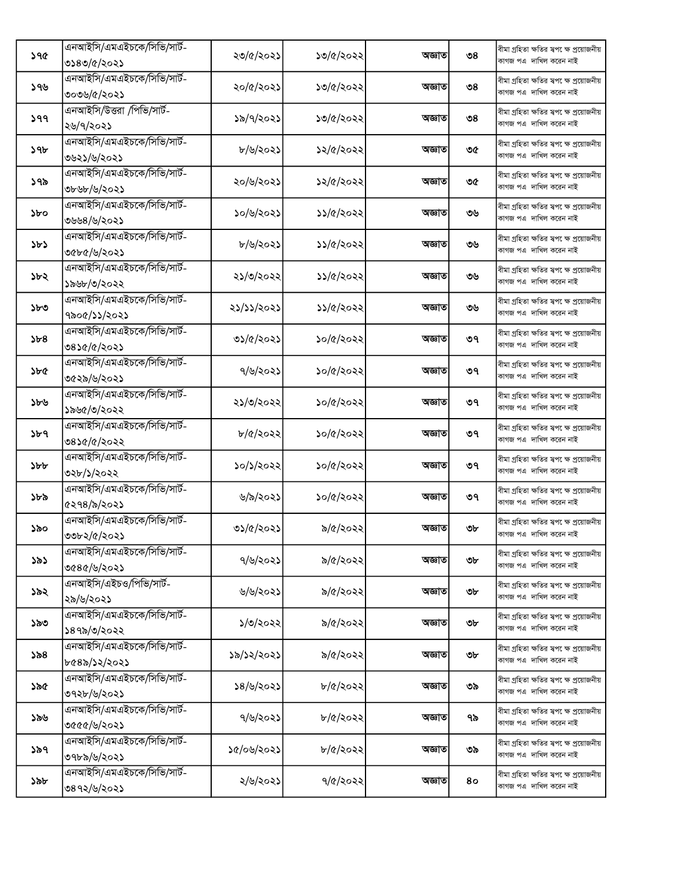|     | এনআইসি/এমএইচকে/সিভি/সার্ট- |            |                |        |                | বীমা গ্ৰহিতা ক্ষতির স্বপ েক্ষ প্ৰয়োজনীয়                            |
|-----|----------------------------|------------|----------------|--------|----------------|----------------------------------------------------------------------|
| ১৭৫ | ৩১৪৩/৫/২০২১                | ২৩/৫/২০২১  | ১৩/৫/২০২২      | অজ্ঞাত | ৩৪             | কাগজ পএ দাখিল করেন নাই                                               |
|     | এনআইসি/এমএইচকে/সিভি/সার্ট- |            |                |        |                | বীমা গ্ৰহিতা ক্ষতির স্বপ েক্ষ প্ৰয়োজনীয়                            |
| ১৭৬ | ৩০৩৬/৫/২০২১                | ২০/৫/২০২১  | ১৩/৫/২০২২      | অজ্ঞাত | ৩৪             | কাগজ পএ দাখিল করেন নাই                                               |
|     | এনআইসি/উত্তরা /পিভি/সার্ট- |            |                |        |                | বীমা গ্ৰহিতা ক্ষতির স্বপ েক্ষ প্ৰয়োজনীয়                            |
| ১৭৭ | ২৬/৭/২০২১                  | ১৯/৭/২০২১  | ১৩/৫/২০২২      | অজ্ঞাত | $\mathcal{O}8$ | কাগজ পএ দাখিল করেন নাই                                               |
|     | এনআইসি/এমএইচকে/সিভি/সার্ট- |            |                |        |                | বীমা গ্ৰহিতা ক্ষতির স্বপ েক্ষ প্ৰয়োজনীয়                            |
| ১৭৮ | ৩৬২১/৬/২০২১                | ৮/৬/২০২১   | ১২/৫/২০২২      | অজ্ঞাত | ৩৫             | কাগজ পএ দাখিল করেন নাই                                               |
|     | এনআইসি/এমএইচকে/সিভি/সার্ট- |            |                |        |                | বীমা গ্ৰহিতা ক্ষতির স্বপ েক্ষ প্ৰয়োজনীয়                            |
| ১৭৯ | ৩৮৬৮/৬/২০২১                | ২০/৬/২০২১  | ১২/৫/২০২২      | অজ্ঞাত | ৩৫             | কাগজ পএ দাখিল করেন নাই                                               |
|     | এনআইসি/এমএইচকে/সিভি/সার্ট- |            |                |        |                | বীমা গ্ৰহিতা ক্ষতির স্বপ েক্ষ প্ৰয়োজনীয়                            |
| ১৮০ | ৩৬৬৪/৬/২০২১                | ১০/৬/২০২১  | ১১/৫/২০২২      | অজ্ঞাত | ৩৬             | কাগজ পএ দাখিল করেন নাই                                               |
|     | এনআইসি/এমএইচকে/সিভি/সার্ট- |            |                |        |                |                                                                      |
| ১৮১ | ৩৫৮৫/৬/২০২১                | ৮/৬/২০২১   | ১১/৫/২০২২      | অজ্ঞাত | ৩৬             | বীমা গ্ৰহিতা ক্ষতির স্বপ েক্ষ প্ৰয়োজনীয়<br>কাগজ পএ দাখিল করেন নাই  |
|     | এনআইসি/এমএইচকে/সিভি/সার্ট- |            |                |        |                |                                                                      |
| ১৮২ |                            | ২১/৩/২০২২  | ১১/৫/২০২২      | অজ্ঞাত | ৩৬             | বীমা গ্ৰহিতা ক্ষতির স্বপ েক্ষ প্ৰয়োজনীয়<br>কাগজ পএ দাখিল করেন নাই  |
|     | ১৯৬৮/৩/২০২২                |            |                |        |                |                                                                      |
| ১৮৩ | এনআইসি/এমএইচকে/সিভি/সার্ট- | ২১/১১/২০২১ | ১১/৫/২০২২      | অজ্ঞাত | ৩৬             | বীমা গ্ৰহিতা ক্ষতির স্বপ েক্ষ প্ৰয়োজনীয়<br>কাগজ পএ দাখিল করেন নাই  |
|     | ৭৯০৫/১১/২০২১               |            |                |        |                |                                                                      |
| 5b8 | এনআইসি/এমএইচকে/সিভি/সার্ট- | ৩১/৫/২০২১  | ১০/৫/২০২২      | অজ্ঞাত | ৩৭             | বীমা গ্ৰহিতা ক্ষতির স্বপক্ষে প্ৰয়োজনীয়                             |
|     | ৩৪১৫/৫/২০২১                |            |                |        |                | কাগজ পএ দাখিল করেন নাই                                               |
| ১৮৫ | এনআইসি/এমএইচকে/সিভি/সার্ট- | ৭/৬/২০২১   | ১০/৫/২০২২      | অজ্ঞাত | ৩৭             | বীমা গ্ৰহিতা ক্ষতির স্বপ েক্ষ প্ৰয়োজনীয়                            |
|     | ৩৫২৯/৬/২০২১                |            |                |        |                | কাগজ পএ দাখিল করেন নাই                                               |
| ১৮৬ | এনআইসি/এমএইচকে/সিভি/সার্ট- | ২১/৩/২০২২  | ১০/৫/২০২২      | অজ্ঞাত | ৩৭             | বীমা গ্ৰহিতা ক্ষতির স্বপক্ষে প্ৰয়োজনীয়                             |
|     | ১৯৬৫/৩/২০২২                |            |                |        |                | কাগজ পএ দাখিল করেন নাই                                               |
| ১৮৭ | এনআইসি/এমএইচকে/সিভি/সার্ট- | ৮/৫/২০২২   | ১০/৫/২০২২      | অজ্ঞাত | ৩৭             | বীমা গ্ৰহিতা ক্ষতির স্বপ েক্ষ প্ৰয়োজনীয়                            |
|     | ৩৪১৫/৫/২০২২                |            |                |        |                | কাগজ পএ দাখিল করেন নাই                                               |
| ১৮৮ | এনআইসি/এমএইচকে/সিভি/সার্ট- | ১০/১/২০২২  | ১০/৫/২০২২      | অজ্ঞাত | ৩৭             | বীমা গ্ৰহিতা ক্ষতির স্বপ েক্ষ প্ৰয়োজনীয়                            |
|     | ৩২৮/১/২০২২                 |            |                |        |                | কাগজ পএ দাখিল করেন নাই                                               |
|     | এনআইসি/এমএইচকে/সিভি/সার্ট- |            |                |        |                | বীমা গ্ৰহিতা ক্ষতির স্বপ েক্ষ প্ৰয়োজনীয়                            |
| ১৮৯ | ৫২৭৪/৯/২০২১                | ৬/৯/২০২১   | ১০/৫/২০২২      | অজ্ঞাত | ৩৭             | কাগজ পএ দাখিল করেন নাই                                               |
|     | এনআইসি/এমএইচকে/সিভি/সার্ট- |            |                |        |                | বীমা গ্ৰহিতা ক্ষতির স্বপক্ষে প্ৰয়োজনীয়                             |
| ১৯০ | ৩৩৮২/৫/২০২১                | ৩১/৫/২০২১  | ৯/৫/২০২২       | অজ্ঞাত | ৩৮             | কাগজ পএ দাখিল করেন নাই                                               |
|     | এনআইসি/এমএইচকে/সিভি/সার্ট- |            |                |        |                | বীমা গ্ৰহিতা ক্ষতির স্বপ েক্ষ প্ৰয়োজনীয়                            |
| ১৯১ | ৩৫৪৫/৬/২০২১                | ৭/৬/২০২১   | ৯/৫/২০২২       | অজ্ঞাত | ৩৮             | কাগজ পএ দাখিল করেন নাই                                               |
|     | এনআইসি/এইচও/পিভি/সার্ট-    |            |                |        |                | বীমা গ্ৰহিতা ক্ষতির স্বপ েক্ষ প্ৰয়োজনীয়                            |
| ১৯২ | ২৯/৬/২০২১                  | ৬/৬/২০২১   | ৯/৫/২০২২       | অজ্ঞাত | ৩৮             | কাগজ পএ দাখিল করেন নাই                                               |
|     | এনআইসি/এমএইচকে/সিভি/সার্ট- |            |                |        |                | বীমা গ্ৰহিতা ক্ষতির স্বপ েক্ষ প্ৰয়োজনীয়                            |
| ১৯৩ | ১৪৭৯/৩/২০২২                | ১/৩/২০২২   | ৯/৫/২০২২       | অজ্ঞাত | ৩৮             | কাগজ পএ দাখিল করেন নাই                                               |
|     | এনআইসি/এমএইচকে/সিভি/সার্ট- |            |                |        |                | বীমা গ্ৰহিতা ক্ষতির স্বপ েক্ষ প্রয়োজনীয়                            |
| ১৯৪ | ৮৫৪৯/১২/২০২১               | ১৯/১২/২০২১ | ৯/৫/২০২২       | অজ্ঞাত | ৩৮             | কাগজ পএ  দাখিল করেন নাই                                              |
|     | এনআইসি/এমএইচকে/সিভি/সার্ট- |            |                |        |                | বীমা গ্ৰহিতা ক্ষতির স্বপক্ষে প্ৰয়োজনীয়                             |
| ১৯৫ | ৩৭২৮/৬/২০২১                | ১৪/৬/২০২১  | ৮/৫/২০২২       | অজ্ঞাত | ৩৯             | কাগজ পএ দাখিল করেন নাই                                               |
|     | এনআইসি/এমএইচকে/সিভি/সার্ট- |            |                |        |                | বীমা গ্ৰহিতা ক্ষতির স্বপ েক্ষ প্ৰয়োজনীয়                            |
| ১৯৬ | ৩৫৫৫/৬/২০২১                | ৭/৬/২০২১   | $b/(c/c)$ ২০২২ | অজ্ঞাত | ৭৯             | কাগজ পএ দাখিল করেন নাই                                               |
|     | এনআইসি/এমএইচকে/সিভি/সার্ট- |            |                |        |                |                                                                      |
| ১৯৭ | ৩৭৮৯/৬/২০২১                | ১৫/০৬/২০২১ | $b/(c/c)$ ২০২২ | অজ্ঞাত | ৩৯             | বীমা গ্ৰহিতা ক্ষতির স্বপ েক্ষ প্ৰয়োজনীয়<br>কাগজ পএ দাখিল করেন নাই  |
|     | এনআইসি/এমএইচকে/সিভি/সার্ট- |            |                |        |                |                                                                      |
| ১৯৮ |                            | ২/৬/২০২১   | ৭/৫/২০২২       | অজ্ঞাত | 80             | বীমা গ্ৰহিতা ক্ষতির স্বপ েক্ষ প্ৰয়োজনীয়<br>কাগজ পএ  দাখিল করেন নাই |
|     | ৩৪৭২/৬/২০২১                |            |                |        |                |                                                                      |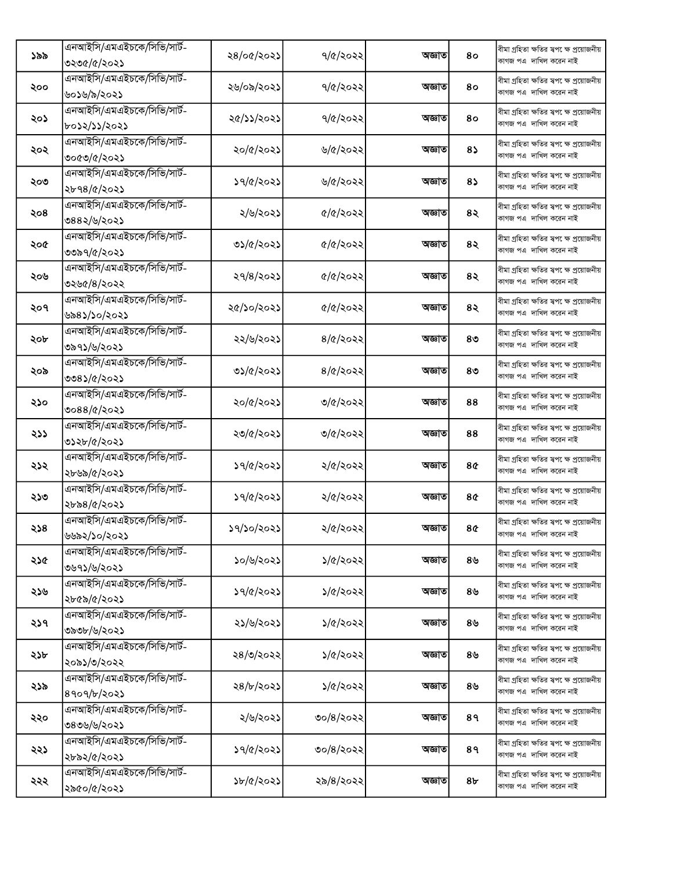|     | এনআইসি/এমএইচকে/সিভি/সার্ট- |            |                  |        |               | বীমা গ্ৰহিতা ক্ষতির স্বপ েক্ষ প্ৰয়োজনীয়                           |
|-----|----------------------------|------------|------------------|--------|---------------|---------------------------------------------------------------------|
| ১৯৯ | ৩২৩৫/৫/২০২১                | ২৪/০৫/২০২১ | ৭/৫/২০২২         | অজ্ঞাত | 80            | কাগজ পএ দাখিল করেন নাই                                              |
|     | এনআইসি/এমএইচকে/সিভি/সার্ট- |            |                  |        |               | বীমা গ্ৰহিতা ক্ষতির স্বপ েক্ষ প্ৰয়োজনীয়                           |
| ২০০ | ৬০১৬/৯/২০২১                | ২৬/০৯/২০২১ | ৭/৫/২০২২         | অজ্ঞাত | 80            | কাগজ পএ দাখিল করেন নাই                                              |
|     | এনআইসি/এমএইচকে/সিভি/সার্ট- |            |                  |        |               | বীমা গ্ৰহিতা ক্ষতির স্বপ েক্ষ প্ৰয়োজনীয়                           |
| ২০১ | ৮০১২/১১/২০২১               | ২৫/১১/২০২১ | 9/8/3022         | অজ্ঞাত | 80            | কাগজ পএ দাখিল করেন নাই                                              |
|     | এনআইসি/এমএইচকে/সিভি/সার্ট- |            |                  |        |               | বীমা গ্ৰহিতা ক্ষতির স্বপ েক্ষ প্ৰয়োজনীয়                           |
| ২০২ | ৩০৫৩/৫/২০২১                | ২০/৫/২০২১  | ৬/৫/২০২২         | অজ্ঞাত | 85            | কাগজ পএ দাখিল করেন নাই                                              |
|     | এনআইসি/এমএইচকে/সিভি/সার্ট- |            |                  |        |               |                                                                     |
| ২০৩ |                            | ১৭/৫/২০২১  | ৬/৫/২০২২         | অজ্ঞাত | 85            | বীমা গ্ৰহিতা ক্ষতির স্বপ েক্ষ প্ৰয়োজনীয়<br>কাগজ পএ দাখিল করেন নাই |
|     | ২৮৭৪/৫/২০২১                |            |                  |        |               |                                                                     |
| ২০৪ | এনআইসি/এমএইচকে/সিভি/সার্ট- | ২/৬/২০২১   | ৫/৫/২০২২         | অজ্ঞাত | 8२            | বীমা গ্ৰহিতা ক্ষতির স্বপ েক্ষ প্ৰয়োজনীয়<br>কাগজ পএ দাখিল করেন নাই |
|     | ৩৪৪২/৬/২০২১                |            |                  |        |               |                                                                     |
| ২০৫ | এনআইসি/এমএইচকে/সিভি/সার্ট- | ৩১/৫/২০২১  | ৫/৫/২০২২         | অজ্ঞাত | 8२            | বীমা গ্ৰহিতা ক্ষতির স্বপক্ষে প্ৰয়োজনীয়                            |
|     | ৩৩৯৭/৫/২০২১                |            |                  |        |               | কাগজ পএ দাখিল করেন নাই                                              |
| ২০৬ | এনআইসি/এমএইচকে/সিভি/সার্ট- | ২৭/৪/২০২১  | ৫/৫/২০২২         | অজ্ঞাত | 8२            | বীমা গ্ৰহিতা ক্ষতির স্বপ েক্ষ প্ৰয়োজনীয়                           |
|     | ৩২৬৫/৪/২০২২                |            |                  |        |               | কাগজ পএ দাখিল করেন নাই                                              |
|     | এনআইসি/এমএইচকে/সিভি/সার্ট- |            |                  |        |               | বীমা গ্ৰহিতা ক্ষতির স্বপ েক্ষ প্ৰয়োজনীয়                           |
| ২০৭ | ৬৯৪১/১০/২০২১               | ২৫/১০/২০২১ | ৫/৫/২০২২         | অজ্ঞাত | 8२            | কাগজ পএ দাখিল করেন নাই                                              |
|     | এনআইসি/এমএইচকে/সিভি/সার্ট- |            |                  |        |               | বীমা গ্ৰহিতা ক্ষতির স্বপ েক্ষ প্ৰয়োজনীয়                           |
| ২০৮ | ৩৯৭১/৬/২০২১                | ২২/৬/২০২১  | $8/\alpha$ /২০২২ | অজ্ঞাত | ৪৩            | কাগজ পএ দাখিল করেন নাই                                              |
|     | এনআইসি/এমএইচকে/সিভি/সার্ট- |            |                  |        |               | বীমা গ্ৰহিতা ক্ষতির স্বপ েক্ষ প্ৰয়োজনীয়                           |
| ২০৯ | ৩৩৪১/৫/২০২১                | ৩১/৫/২০২১  | $8/\alpha$ /২০২২ | অজ্ঞাত | ৪৩            | কাগজ পএ দাখিল করেন নাই                                              |
|     | এনআইসি/এমএইচকে/সিভি/সার্ট- |            |                  |        |               | বীমা গ্ৰহিতা ক্ষতির স্বপ েক্ষ প্ৰয়োজনীয়                           |
| ২১০ | ৩০৪৪/৫/২০২১                | ২০/৫/২০২১  | ৩/৫/২০২২         | অজ্ঞাত | 88            | কাগজ পএ দাখিল করেন নাই                                              |
|     | এনআইসি/এমএইচকে/সিভি/সার্ট- |            |                  |        |               | বীমা গ্ৰহিতা ক্ষতির স্বপ েক্ষ প্ৰয়োজনীয়                           |
| ২১১ | ৩১২৮/৫/২০২১                | ২৩/৫/২০২১  | ৩/৫/২০২২         | অজ্ঞাত | 88            | কাগজ পএ দাখিল করেন নাই                                              |
|     | এনআইসি/এমএইচকে/সিভি/সার্ট- |            |                  |        |               |                                                                     |
| ২১২ |                            | ১৭/৫/২০২১  | ২/৫/২০২২         | অজ্ঞাত | 8¢            | বীমা গ্ৰহিতা ক্ষতির স্বপ েক্ষ প্ৰয়োজনীয়<br>কাগজ পএ দাখিল করেন নাই |
|     | ২৮৬৯/৫/২০২১                |            |                  |        |               |                                                                     |
| ২১৩ | এনআইসি/এমএইচকে/সিভি/সার্ট- | ১৭/৫/২০২১  | ২/৫/২০২২         | অজ্ঞাত | 8¢            | বীমা গ্ৰহিতা ক্ষতির স্বপ েক্ষ প্ৰয়োজনীয়<br>কাগজ পএ দাখিল করেন নাই |
|     | ২৮৯৪/৫/২০২১                |            |                  |        |               |                                                                     |
| ২১৪ | এনআইসি/এমএইচকে/সিভি/সার্ট- | ১৭/১০/২০২১ | ২/৫/২০২২         | অজ্ঞাত | 8¢            | বীমা গ্ৰহিতা ক্ষতির স্বপ েক্ষ প্ৰয়োজনীয়                           |
|     | ৬৬৯২/১০/২০২১               |            |                  |        |               | কাগজ পএ  দাখিল করেন নাই                                             |
| ২১৫ | এনআইসি/এমএইচকে/সিভি/সার্ট- | ১০/৬/২০২১  | ১/৫/২০২২         | অজ্ঞাত | $8\mathsf{b}$ | বীমা গ্ৰহিতা ক্ষতির স্বপ েক্ষ প্ৰয়োজনীয়                           |
|     | ৩৬৭১/৬/২০২১                |            |                  |        |               | কাগজ পএ দাখিল করেন নাই                                              |
| ২১৬ | এনআইসি/এমএইচকে/সিভি/সার্ট- | ১৭/৫/২০২১  | ১/৫/২০২২         | অজ্ঞাত | ৪৬            | বীমা গ্ৰহিতা ক্ষতির স্বপক্ষে প্ৰয়োজনীয়                            |
|     | ২৮৫৯/৫/২০২১                |            |                  |        |               | কাগজ পএ দাখিল করেন নাই                                              |
|     | এনআইসি/এমএইচকে/সিভি/সার্ট- |            |                  |        |               | বীমা গ্ৰহিতা ক্ষতির স্বপ েক্ষ প্ৰয়োজনীয়                           |
| ২১৭ | ৩৯৩৮/৬/২০২১                | ২১/৬/২০২১  | ১/৫/২০২২         | অজ্ঞাত | ৪৬            | কাগজ পএ দাখিল করেন নাই                                              |
|     | এনআইসি/এমএইচকে/সিভি/সার্ট- |            |                  |        |               | বীমা গ্ৰহিতা ক্ষতির স্বপ েক্ষ প্ৰয়োজনীয়                           |
| ২১৮ | ২০৯১/৩/২০২২                | ২৪/৩/২০২২  | ১/৫/২০২২         | অজ্ঞাত | ৪৬            | কাগজ পএ দাখিল করেন নাই                                              |
|     | এনআইসি/এমএইচকে/সিভি/সার্ট- |            |                  |        |               | বীমা গ্ৰহিতা ক্ষতির স্বপক্ষে প্ৰয়োজনীয়                            |
| ২১৯ | 8909/b/202                 | ২৪/৮/২০২১  | ১/৫/২০২২         | অজ্ঞাত | ৪৬            | কাগজ পএ দাখিল করেন নাই                                              |
|     | এনআইসি/এমএইচকে/সিভি/সার্ট- |            |                  |        |               | বীমা গ্ৰহিতা ক্ষতির স্বপ েক্ষ প্ৰয়োজনীয়                           |
| ২২০ | ৩৪৩৬/৬/২০২১                | ২/৬/২০২১   | ৩০/৪/২০২২        | অজ্ঞাত | 8१            | কাগজ পএ দাখিল করেন নাই                                              |
|     | এনআইসি/এমএইচকে/সিভি/সার্ট- |            |                  |        |               |                                                                     |
| ২২১ |                            | ১৭/৫/২০২১  | ৩০/৪/২০২২        | অজ্ঞাত | 8१            | বীমা গ্ৰহিতা ক্ষতির স্বপক্ষে প্ৰয়োজনীয়<br>কাগজ পএ দাখিল করেন নাই  |
|     | ২৮৯২/৫/২০২১                |            |                  |        |               |                                                                     |
| ২২২ | এনআইসি/এমএইচকে/সিভি/সার্ট- | ১৮/৫/২০২১  | ২৯/৪/২০২২        | অজ্ঞাত | 8৮            | বীমা গ্ৰহিতা ক্ষতির স্বপ েক্ষ প্ৰয়োজনীয়                           |
|     | ২৯৫০/৫/২০২১                |            |                  |        |               | কাগজ পএ  দাখিল করেন নাই                                             |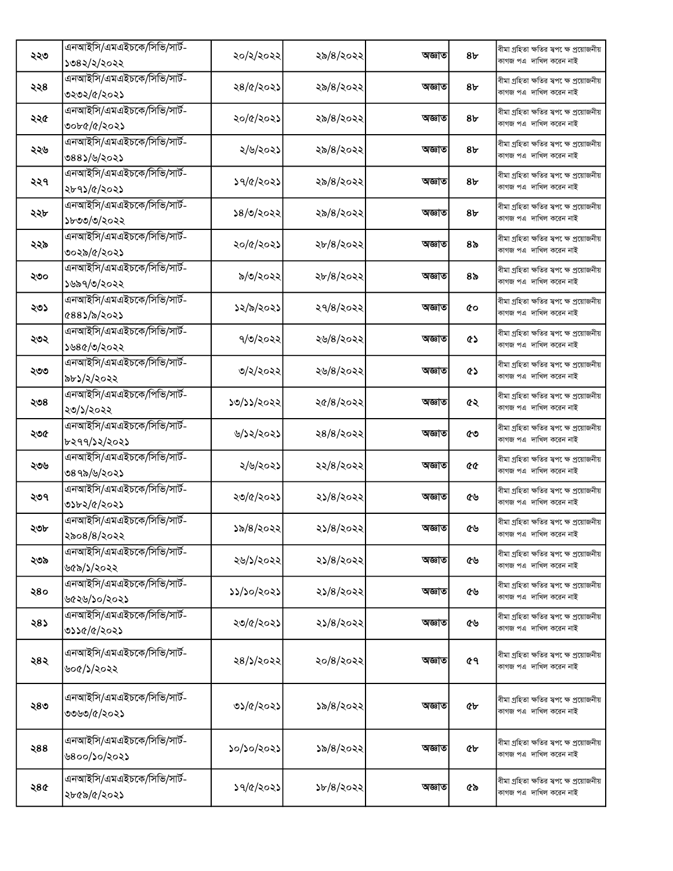|     | এনআইসি/এমএইচকে/সিভি/সার্ট-                 | ২০/২/২০২২  | ২৯/৪/২০২২ | অজ্ঞাত | 8 <sub>b</sub> | বীমা গ্ৰহিতা ক্ষতির স্বপ েক্ষ প্ৰয়োজনীয়                           |
|-----|--------------------------------------------|------------|-----------|--------|----------------|---------------------------------------------------------------------|
| ২২৩ | ১৩৪২/২/২০২২                                |            |           |        |                | কাগজ পএ দাখিল করেন নাই                                              |
|     | এনআইসি/এমএইচকে/সিভি/সার্ট-                 |            |           |        |                | বীমা গ্ৰহিতা ক্ষতির স্বপ েক্ষ প্ৰয়োজনীয়                           |
| ২২৪ | ৩২৩২/৫/২০২১                                | ২৪/৫/২০২১  | ২৯/৪/২০২২ | অজ্ঞাত | 8 <sub>b</sub> | কাগজ পএ দাখিল করেন নাই                                              |
|     | এনআইসি/এমএইচকে/সিভি/সার্ট-                 |            |           |        |                | বীমা গ্ৰহিতা ক্ষতির স্বপ েক্ষ প্ৰয়োজনীয়                           |
| ২২৫ | ৩০৮৫/৫/২০২১                                | ২০/৫/২০২১  | ২৯/৪/২০২২ | অজ্ঞাত | 8৮             | কাগজ পএ দাখিল করেন নাই                                              |
|     | এনআইসি/এমএইচকে/সিভি/সার্ট-                 |            |           |        |                | বীমা গ্ৰহিতা ক্ষতির স্বপ েক্ষ প্ৰয়োজনীয়                           |
| ২২৬ | ৩৪৪১/৬/২০২১                                | ২/৬/২০২১   | ২৯/৪/২০২২ | অজ্ঞাত | 8৮             | কাগজ পএ দাখিল করেন নাই                                              |
|     | এনআইসি/এমএইচকে/সিভি/সার্ট-                 |            |           |        |                | বীমা গ্ৰহিতা ক্ষতির স্বপ েক্ষ প্ৰয়োজনীয়                           |
| ২২৭ | ২৮৭১/৫/২০২১                                | ১৭/৫/২০২১  | ২৯/৪/২০২২ | অজ্ঞাত | 8৮             | কাগজ পএ দাখিল করেন নাই                                              |
|     | এনআইসি/এমএইচকে/সিভি/সার্ট-                 |            |           |        |                | বীমা গ্ৰহিতা ক্ষতির স্বপ েক্ষ প্ৰয়োজনীয়                           |
| ২২৮ | ১৮৩৩/৩/২০২২                                | ১৪/৩/২০২২  | ২৯/৪/২০২২ | অজ্ঞাত | 8৮             | কাগজ পএ দাখিল করেন নাই                                              |
|     | এনআইসি/এমএইচকে/সিভি/সার্ট-                 |            |           |        |                | বীমা গ্ৰহিতা ক্ষতির স্বপ েক্ষ প্ৰয়োজনীয়                           |
| ২২৯ | ৩০২৯/৫/২০২১                                | ২০/৫/২০২১  | ২৮/৪/২০২২ | অজ্ঞাত | ৪৯             | কাগজ পএ দাখিল করেন নাই                                              |
|     | এনআইসি/এমএইচকে/সিভি/সার্ট-                 |            |           |        |                | বীমা গ্ৰহিতা ক্ষতির স্বপ েক্ষ প্ৰয়োজনীয়                           |
| ২৩০ | ১৬৯৭/৩/২০২২                                | ৯/৩/২০২২   | ২৮/৪/২০২২ | অজ্ঞাত | ৪৯             | কাগজ পএ দাখিল করেন নাই                                              |
|     | এনআইসি/এমএইচকে/সিভি/সার্ট-                 | ১২/৯/২০২১  |           |        |                | বীমা গ্ৰহিতা ক্ষতির স্বপক্ষে প্ৰয়োজনীয়                            |
| ২৩১ | ৫৪৪১/৯/২০২১                                |            | ২৭/৪/২০২২ | অজ্ঞাত | ¢о             | কাগজ পএ দাখিল করেন নাই                                              |
| ২৩২ | এনআইসি/এমএইচকে/সিভি/সার্ট-                 | ৭/৩/২০২২   | ২৬/৪/২০২২ | অজ্ঞাত | ৫১             | বীমা গ্ৰহিতা ক্ষতির স্বপক্ষে প্ৰয়োজনীয়                            |
|     | ১৬৪৫/৩/২০২২                                |            |           |        |                | কাগজ পএ দাখিল করেন নাই                                              |
| ২৩৩ | এনআইসি/এমএইচকে/সিভি/সার্ট-                 | ৩/২/২০২২   | ২৬/৪/২০২২ | অজ্ঞাত | ৫১             | বীমা গ্ৰহিতা ক্ষতির স্বপ েক্ষ প্ৰয়োজনীয়                           |
|     | ৯৮১/২/২০২২                                 |            |           |        |                | কাগজ পএ দাখিল করেন নাই                                              |
| ২৩৪ | এনআইসি/এমএইচকে/পিভি/সার্ট-                 | ১৩/১১/২০২২ | ২৫/৪/২০২২ | অজ্ঞাত | ৫২             | বীমা গ্ৰহিতা ক্ষতির স্বপ েক্ষ প্ৰয়োজনীয়                           |
|     | ২৩/১/২০২২                                  |            |           |        |                | কাগজ পএ দাখিল করেন নাই                                              |
| ২৩৫ | এনআইসি/এমএইচকে/সিভি/সার্ট-                 | ৬/১২/২০২১  | ২৪/৪/২০২২ | অজ্ঞাত | ৫৩             | বীমা গ্ৰহিতা ক্ষতির স্বপ েক্ষ প্ৰয়োজনীয়                           |
|     | ৮২৭৭/১২/২০২১                               |            |           |        |                | কাগজ পএ দাখিল করেন নাই                                              |
| ২৩৬ | এনআইসি/এমএইচকে/সিভি/সার্ট-                 | ২/৬/২০২১   | ২২/৪/২০২২ | অজ্ঞাত | QQ             | বীমা গ্ৰহিতা ক্ষতির স্বপ েক্ষ প্রয়োজনীয়                           |
|     | ৩৪৭৯/৬/২০২১                                |            |           |        |                | কাগজ পএ দাখিল করেন নাই                                              |
| ২৩৭ | এনআইসি/এমএইচকে/সিভি/সার্ট-                 | ২৩/৫/২০২১  | ২১/৪/২০২২ | অজ্ঞাত | ৫৬             | বীমা গ্ৰহিতা ক্ষতির স্বপ েক্ষ প্ৰয়োজনীয়                           |
|     | ৩১৮২/৫/২০২১                                |            |           |        |                | কাগজ পএ দাখিল করেন নাই                                              |
| ২৩৮ | এনআইসি/এমএইচকে/সিভি/সার্ট-                 | ১৯/৪/২০২২  | ২১/৪/২০২২ | অজ্ঞাত | ৫৬             | বীমা গ্ৰহিতা ক্ষতির ম্বপ েক্ষ প্ৰয়োজনীয়                           |
|     | ২৯০৪/৪/২০২২                                |            |           |        |                | কাগজ পএ  দাখিল করেন নাই                                             |
| ২৩৯ | এনআইসি/এমএইচকে/সিভি/সার্ট-                 | ২৬/১/২০২২  | ২১/৪/২০২২ | অজ্ঞাত | ৫৬             | বীমা গ্ৰহিতা ক্ষতির স্বপ েক্ষ প্ৰয়োজনীয়<br>কাগজ পএ দাখিল করেন নাই |
|     | ৬৫৯/১/২০২২                                 |            |           |        |                |                                                                     |
| ২৪০ | এনআইসি/এমএইচকে/সিভি/সার্ট-                 | ১১/১০/২০২১ | ২১/৪/২০২২ | অজ্ঞাত | ৫৬             | বীমা গ্ৰহিতা ক্ষতির স্বপ েক্ষ প্ৰয়োজনীয়<br>কাগজ পএ দাখিল করেন নাই |
|     | ৬৫২৬/১০/২০২১<br>এনআইসি/এমএইচকে/সিভি/সার্ট- |            |           |        |                |                                                                     |
| ২৪১ |                                            | ২৩/৫/২০২১  | ২১/৪/২০২২ | অজ্ঞাত | ৫৬             | বীমা গ্ৰহিতা ক্ষতির স্বপ েক্ষ প্ৰয়োজনীয়<br>কাগজ পএ দাখিল করেন নাই |
|     | ৩১১৫/৫/২০২১                                |            |           |        |                |                                                                     |
| ২৪২ | এনআইসি/এমএইচকে/সিভি/সার্ট-                 | ২৪/১/২০২২  | ২০/৪/২০২২ | অজ্ঞাত | ৫٩             | বীমা গ্ৰহিতা ক্ষতির স্বপক্ষে প্ৰয়োজনীয়                            |
|     | ৬০৫/১/২০২২                                 |            |           |        |                | কাগজ পএ দাখিল করেন নাই                                              |
|     |                                            |            |           |        |                |                                                                     |
| ২৪৩ | এনআইসি/এমএইচকে/সিভি/সার্ট-                 | ৩১/৫/২০২১  | ১৯/৪/২০২২ | অজ্ঞাত | ৫৮             | বীমা গ্ৰহিতা ক্ষতির স্বপ েক্ষ প্ৰয়োজনীয়<br>কাগজ পএ দাখিল করেন নাই |
|     | ৩৩৬৩/৫/২০২১                                |            |           |        |                |                                                                     |
|     | এনআইসি/এমএইচকে/সিভি/সার্ট-                 |            |           |        |                | বীমা গ্ৰহিতা ক্ষতির স্বপ েক্ষ প্ৰয়োজনীয়                           |
| ২88 | ৬৪০০/১০/২০২১                               | ১০/১০/২০২১ | ১৯/৪/২০২২ | অজ্ঞাত | ৫৮             | কাগজ পএ দাখিল করেন নাই                                              |
|     |                                            |            |           |        |                |                                                                     |
| ২৪৫ | এনআইসি/এমএইচকে/সিভি/সার্ট-                 | ১৭/৫/২০২১  | ১৮/৪/২০২২ | অজ্ঞাত | ৫৯             | বীমা গ্ৰহিতা ক্ষতির স্বপ েক্ষ প্ৰয়োজনীয়                           |
|     | ২৮৫৯/৫/২০২১                                |            |           |        |                | কাগজ পএ দাখিল করেন নাই                                              |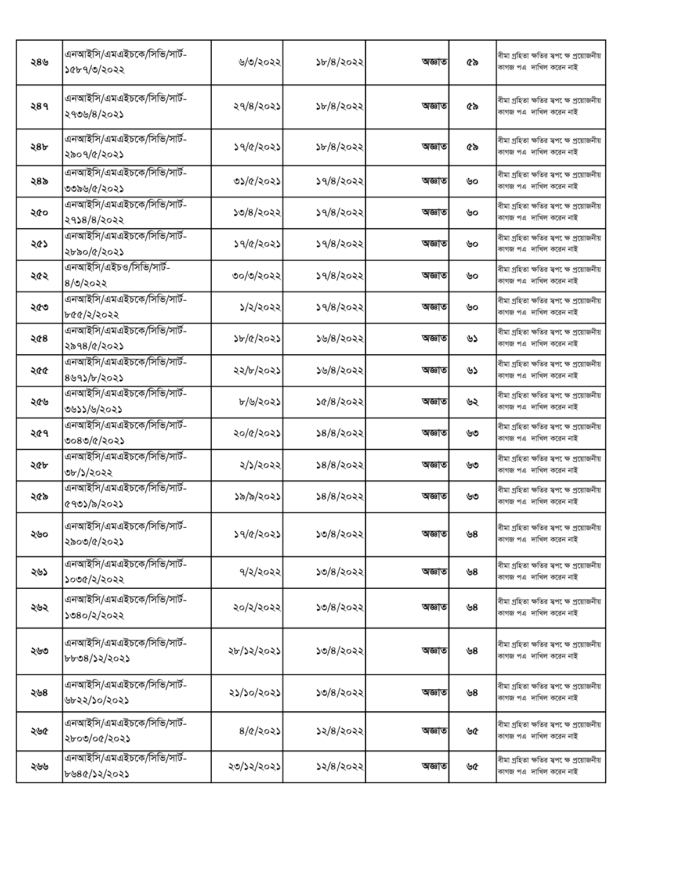| ২৪৬ | এনআইসি/এমএইচকে/সিভি/সার্ট-<br>১৫৮৭/৩/২০২২  | ৬/৩/২০২২          | ১৮/৪/২০২২           | অজ্ঞাত | ৫৯ | বীমা গ্ৰহিতা ক্ষতির ম্বপ েক্ষ প্ৰয়োজনীয়<br>কাগজ পএ দাখিল করেন নাই  |
|-----|--------------------------------------------|-------------------|---------------------|--------|----|----------------------------------------------------------------------|
| ২৪৭ | এনআইসি/এমএইচকে/সিভি/সার্ট-<br>২৭৩৬/৪/২০২১  | ২৭/৪/২০২১         | ১৮/৪/২০২২           | অজ্ঞাত | ৫৯ | বীমা গ্ৰহিতা ক্ষতির স্বপক্ষে প্ৰয়োজনীয়<br>কাগজ পএ দাখিল করেন নাই   |
| ২৪৮ | এনআইসি/এমএইচকে/সিভি/সার্ট-<br>২৯০৭/৫/২০২১  | ১৭/৫/২০২১         | ১৮/৪/২০২২           | অজ্ঞাত | ৫৯ | বীমা গ্ৰহিতা ক্ষতির স্বপ েক্ষ প্রয়োজনীয়<br>কাগজ পএ দাখিল করেন নাই  |
| ২৪৯ | এনআইসি/এমএইচকে/সিভি/সার্ট-<br>৩৩৯৬/৫/২০২১  | ৩১/৫/২০২১         | ১৭/৪/২০২২           | অজ্ঞাত | ৬০ | বীমা গ্ৰহিতা ক্ষতির স্বপ েক্ষ প্রয়োজনীয়<br>কাগজ পএ দাখিল করেন নাই  |
| ২৫০ | এনআইসি/এমএইচকে/সিভি/সার্ট-<br>২৭১৪/৪/২০২২  | 50/8/3022         | ১৭/৪/২০২২           | অজ্ঞাত | ৬০ | বীমা গ্ৰহিতা ক্ষতির স্বপ েক্ষ প্ৰয়োজনীয়<br>কাগজ পএ দাখিল করেন নাই  |
| ২৫১ | এনআইসি/এমএইচকে/সিভি/সার্ট-<br>২৮৯০/৫/২০২১  | ১৭/৫/২০২১         | ১৭/৪/২০২২           | অজ্ঞাত | ৬০ | বীমা গ্ৰহিতা ক্ষতির স্বপ েক্ষ প্ৰয়োজনীয়<br>কাগজ পএ দাখিল করেন নাই  |
| ২৫২ | এনআইসি/এইচও/সিভি/সার্ট-<br>$8/0$ /২০২২     | ৩০/৩/২০২২         | ১৭/৪/২০২২           | অজ্ঞাত | ৬০ | বীমা গ্ৰহিতা ক্ষতির স্বপক্ষে প্রয়োজনীয়<br>কাগজ পএ দাখিল করেন নাই   |
| ২৫৩ | এনআইসি/এমএইচকে/সিভি/সার্ট-<br>৮৫৫/২/২০২২   | ১/২/২০২২          | $\frac{1}{9}$ /2022 | অজ্ঞাত | ৬০ | বীমা গ্ৰহিতা ক্ষতির স্বপক্ষে প্ৰয়োজনীয়<br>কাগজ পএ দাখিল করেন নাই   |
| ২৫৪ | এনআইসি/এমএইচকে/সিভি/সার্ট-<br>২৯৭৪/৫/২০২১  | ১৮/৫/২০২১         | ১৬/৪/২০২২           | অজ্ঞাত | ৬১ | বীমা গ্ৰহিতা ক্ষতির স্বপক্ষে প্ৰয়োজনীয়<br>কাগজ পএ দাখিল করেন নাই   |
| ২৫৫ | এনআইসি/এমএইচকে/সিভি/সার্ট-<br>৪৬৭১/৮/২০২১  | ২২/৮/২০২১         | ১৬/৪/২০২২           | অজ্ঞাত | ৬১ | বীমা গ্ৰহিতা ক্ষতির স্বপ েক্ষ প্ৰয়োজনীয়<br>কাগজ পএ  দাখিল করেন নাই |
| ২৫৬ | এনআইসি/এমএইচকে/সিভি/সার্ট-<br>৩৬১১/৬/২০২১  | ৮/৬/২০২১          | ১৫/৪/২০২২           | অজ্ঞাত | ৬২ | বীমা গ্ৰহিতা ক্ষতির স্বপ েক্ষ প্ৰয়োজনীয়<br>কাগজ পএ দাখিল করেন নাই  |
| ২৫৭ | এনআইসি/এমএইচকে/সিভি/সার্ট-<br>৩০৪৩/৫/২০২১  | ২০/৫/২০২১         | \$8/8/3022          | অজ্ঞাত | ৬৩ | বীমা গ্ৰহিতা ক্ষতির স্বপ েক্ষ প্ৰয়োজনীয়<br>কাগজ পএ দাখিল করেন নাই  |
| ২৫৮ | এনআইসি/এমএইচকে/সিভি/সার্ট-<br>৩৮/১/২০২২    | ২/১/২০২২          | ১৪/৪/২০২২           | অজ্ঞাত | ৬৩ | বীমা গ্ৰহিতা ক্ষতির স্বপ েক্ষ প্ৰয়োজনীয়<br>কাগজ পএ দাখিল করেন নাই  |
| ২৫৯ | এনআইসি/এমএইচকে/সিভি/সার্ট-<br>৫৭৩১/৯/২০২১  | ১৯/৯/২০২১         | ১৪/৪/২০২২           | অজ্ঞাত | ৬৩ | বীমা গ্ৰহিতা ক্ষতির স্বপ েক্ষ প্ৰয়োজনীয়<br>কাগজ পএ দাখিল করেন নাই  |
| ২৬০ | এনআইসি/এমএইচকে/সিভি/সার্ট-<br>২৯০৩/৫/২০২১  | ১৭/৫/২০২১         | ১৩/৪/২০২২           | অজ্ঞাত | ৬8 | বীমা গ্ৰহিতা ক্ষতির স্বপ েক্ষ প্রয়োজনীয়<br>কাগজ পএ দাখিল করেন নাই  |
| ২৬১ | এনআইসি/এমএইচকে/সিভি/সার্ট-<br>১০৩৫/২/২০২২  | ৭/২/২০২২          | ১৩/৪/২০২২           | অজ্ঞাত | ৬৪ | বীমা গ্ৰহিতা ক্ষতির স্বপক্ষে প্ৰয়োজনীয়<br>কাগজ পএ দাখিল করেন নাই   |
| ২৬২ | এনআইসি/এমএইচকে/সিভি/সার্ট-<br>১৩৪০/২/২০২২  | ২০/২/২০২২         | ১৩/৪/২০২২           | অজ্ঞাত | ৬8 | বীমা গ্ৰহিতা ক্ষতির স্বপ েক্ষ প্ৰয়োজনীয়<br>কাগজ পএ দাখিল করেন নাই  |
| ২৬৩ | এনআইসি/এমএইচকে/সিভি/সার্ট-<br>৮৮৩৪/১২/২০২১ | ২৮/১২/২০২১        | ১৩/৪/২০২২           | অজ্ঞাত | ৬৪ | বীমা গ্ৰহিতা ক্ষতির স্বপ েক্ষ প্ৰয়োজনীয়<br>কাগজ পএ দাখিল করেন নাই  |
| ২৬৪ | এনআইসি/এমএইচকে/সিভি/সার্ট-<br>৬৮২২/১০/২০২১ | ২১/১০/২০২১        | ১৩/৪/২০২২           | অজ্ঞাত | ৬৪ | বীমা গ্ৰহিতা ক্ষতির স্বপক্ষে প্রয়োজনীয়<br>কাগজ পএ দাখিল করেন নাই   |
| ২৬৫ | এনআইসি/এমএইচকে/সিভি/সার্ট-<br>২৮০৩/০৫/২০২১ | $8/Q/\lambda$ 02) | ১২/৪/২০২২           | অজ্ঞাত | ৬৫ | বীমা গ্ৰহিতা ক্ষতির স্বপক্ষে প্ৰয়োজনীয়<br>কাগজ পএ দাখিল করেন নাই   |
| ২৬৬ | এনআইসি/এমএইচকে/সিভি/সার্ট-<br>৮৬৪৫/১২/২০২১ | ২৩/১২/২০২১        | ১২/৪/২০২২           | অজ্ঞাত | ৬৫ | বীমা গ্ৰহিতা ক্ষতির স্বপ েক্ষ প্ৰয়োজনীয়<br>কাগজ পএ দাখিল করেন নাই  |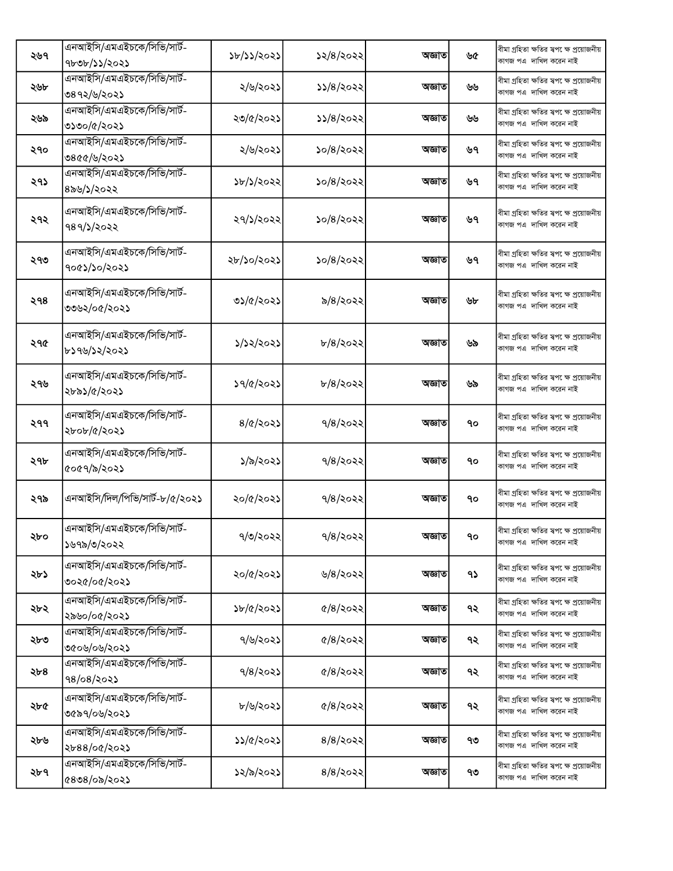| ২৬৭ | এনআইসি/এমএইচকে/সিভি/সার্ট-<br>9b0b/35/2025    | ১৮/১১/২০২১       | ১২/৪/২০২২                    | অজ্ঞাত | ৬৫ | বীমা গ্ৰহিতা ক্ষতির স্বপ েক্ষ প্ৰয়োজনীয়<br>কাগজ পএ দাখিল করেন নাই |
|-----|-----------------------------------------------|------------------|------------------------------|--------|----|---------------------------------------------------------------------|
| ২৬৮ | এনআইসি/এমএইচকে/সিভি/সার্ট-<br>৩৪৭২/৬/২০২১     | ২/৬/২০২১         | ১১/৪/২০২২                    | অজ্ঞাত | ৬৬ | বীমা গ্ৰহিতা ক্ষতির স্বপ েক্ষ প্ৰয়োজনীয়<br>কাগজ পএ দাখিল করেন নাই |
| ২৬৯ | এনআইসি/এমএইচকে/সিভি/সার্ট-<br>৩১৩০/৫/২০২১     | ২৩/৫/২০২১        | 55/8/2022                    | অজ্ঞাত | ৬৬ | বীমা গ্ৰহিতা ক্ষতির স্বপ েক্ষ প্ৰয়োজনীয়<br>কাগজ পএ দাখিল করেন নাই |
| ২৭০ | এনআইসি/এমএইচকে/সিভি/সার্ট-<br>৩৪৫৫/৬/২০২১     | ২/৬/২০২১         | ১০/৪/২০২২                    | অজ্ঞাত | ৬৭ | বীমা গ্ৰহিতা ক্ষতির স্বপ েক্ষ প্ৰয়োজনীয়<br>কাগজ পএ দাখিল করেন নাই |
| ২৭১ | এনআইসি/এমএইচকে/সিভি/সার্ট-<br>৪৯৬/১/২০২২      | ১৮/১/২০২২        | ১০/৪/২০২২                    | অজ্ঞাত | ৬৭ | বীমা গ্ৰহিতা ক্ষতির স্বপ েক্ষ প্ৰয়োজনীয়<br>কাগজ পএ দাখিল করেন নাই |
| ২৭২ | এনআইসি/এমএইচকে/সিভি/সার্ট-<br>৭৪৭/১/২০২২      | ২৭/১/২০২২        | ১০/৪/২০২২                    | অজ্ঞাত | ৬৭ | বীমা গ্ৰহিতা ক্ষতির স্বপ েক্ষ প্ৰয়োজনীয়<br>কাগজ পএ দাখিল করেন নাই |
| ২৭৩ | এনআইসি/এমএইচকে/সিভি/সার্ট-<br>१०৫১/১০/২০২১    | ২৮/১০/২০২১       | ১০/৪/২০২২                    | অজ্ঞাত | ৬৭ | বীমা গ্ৰহিতা ক্ষতির স্বপ েক্ষ প্ৰয়োজনীয়<br>কাগজ পএ দাখিল করেন নাই |
| ২৭৪ | এনআইসি/এমএইচকে/সিভি/সার্ট-<br>৩৩৬২/০৫/২০২১    | ৩১/৫/২০২১        | ৯/৪/২০২২                     | অজ্ঞাত | ৬৮ | বীমা গ্ৰহিতা ক্ষতির স্বপ েক্ষ প্ৰয়োজনীয়<br>কাগজ পএ দাখিল করেন নাই |
| ২৭৫ | এনআইসি/এমএইচকে/সিভি/সার্ট-<br>৮১৭৬/১২/২০২১    | ১/১২/২০২১        | $b/8/3$ ০২২                  | অজ্ঞাত | ৬৯ | বীমা গ্ৰহিতা ক্ষতির স্বপক্ষে প্ৰয়োজনীয়<br>কাগজ পএ দাখিল করেন নাই  |
| ২৭৬ | এনআইসি/এমএইচকে/সিভি/সার্ট-<br>২৮৯১/৫/২০২১     | ১৭/৫/২০২১        | $b/8/3$ ০২২                  | অজ্ঞাত | ৬৯ | বীমা গ্ৰহিতা ক্ষতির স্বপ েক্ষ প্ৰয়োজনীয়<br>কাগজ পএ দাখিল করেন নাই |
| ২৭৭ | এনআইসি/এমএইচকে/সিভি/সার্ট-<br>২৮০৮/৫/২০২১     | $8/\alpha$ /২০২১ | $9/8$ /২০২২                  | অজ্ঞাত | ٩o | বীমা গ্ৰহিতা ক্ষতির স্বপ েক্ষ প্ৰয়োজনীয়<br>কাগজ পএ দাখিল করেন নাই |
| ২৭৮ | এনআইসি/এমএইচকে/সিভি/সার্ট-<br>৫০৫৭/৯/২০২১     | ১/৯/২০২১         | $9/8$ /২০২২                  | অজ্ঞাত | ٩o | বীমা গ্ৰহিতা ক্ষতির স্বপক্ষে প্ৰয়োজনীয়<br>কাগজ পএ দাখিল করেন নাই  |
| ২৭৯ | এনআইসি/দিল/পিভি/সার্ট-৮/৫/২০২১                | ২০/৫/২০২১        | $9/8$ /২০২২                  | অজ্ঞাত | ٩o | বীমা গ্ৰহিতা ক্ষতির স্বপ েক্ষ প্ৰয়োজনীয়<br>কাগজ পএ দাখিল করেন নাই |
| ২৮০ | এনআইসি/এমএইচকে/সিভি/সার্ট-<br>১৬৭৯/৩/২০২২     | 9/0/2022         | $9/8$ /২০২২                  | অজ্ঞাত | 90 | বীমা গ্ৰহিতা ক্ষতির স্বপক্ষে প্ৰয়োজনীয়<br>কাগজ পএ দাখিল করেন নাই  |
| ২৮১ | এনআইসি/এমএইচকে/সিভি/সার্ট-<br>৩০২৫/০৫/২০২১    | ২০/৫/২০২১        | ৬/৪/২০২২                     | অজ্ঞাত | ۹১ | বীমা গ্ৰহিতা ক্ষতির স্বপ েক্ষ প্ৰয়োজনীয়<br>কাগজ পএ দাখিল করেন নাই |
| ২৮২ | এনআইসি/এমএইচকে/সিভি/সার্ট-<br>২৯৬০/০৫/২০২১    | ১৮/৫/২০২১        | $\frac{6}{8}$ $\frac{20}{8}$ | অজ্ঞাত | ৭২ | বীমা গ্ৰহিতা ক্ষতির স্বপ েক্ষ প্ৰয়োজনীয়<br>কাগজ পএ দাখিল করেন নাই |
| ২৮৩ | এনআইসি/এমএইচকে/সিভি/সার্ট-<br>৩৫০৬/০৬/২০২১    | ৭/৬/২০২১         | $\frac{6}{8}$ 2022           | অজ্ঞাত | ৭২ | বীমা গ্ৰহিতা ক্ষতির স্বপ েক্ষ প্ৰয়োজনীয়<br>কাগজ পএ দাখিল করেন নাই |
| ২৮৪ | এনআইসি/এমএইচকে/পিভি/সার্ট-<br>98/08/202       | $9/8$ /২০২১      | $\frac{6}{8}$ $\frac{20}{8}$ | অজ্ঞাত | ৭২ | বীমা গ্ৰহিতা ক্ষতির স্বপক্ষে প্ৰয়োজনীয়<br>কাগজ পএ দাখিল করেন নাই  |
| ২৮৫ | এনআইসি/এমএইচকে/সিভি/সার্ট-<br>৩৫৯৭/০৬/২০২১    | ৮/৬/২০২১         | $\frac{6}{8}$ $\frac{20}{8}$ | অজ্ঞাত | ৭২ | বীমা গ্ৰহিতা ক্ষতির স্বপ েক্ষ প্ৰয়োজনীয়<br>কাগজ পএ দাখিল করেন নাই |
| ২৮৬ | এনআইসি/এমএইচকে/সিভি/সার্ট-<br>২৮৪৪/০৫/২০২১    | ১১/৫/২০২১        | $8/8$ /২০২২                  | অজ্ঞাত | ৭৩ | বীমা গ্ৰহিতা ক্ষতির স্বপ েক্ষ প্ৰয়োজনীয়<br>কাগজ পএ দাখিল করেন নাই |
| ২৮৭ | এনআইসি/এমএইচকে/সিভি/সার্ট-<br>$6808$ /0৯/২০২১ | ১২/৯/২০২১        | $8/8/\log 8$                 | অজ্ঞাত | ৭৩ | বীমা গ্ৰহিতা ক্ষতির স্বপক্ষে প্ৰয়োজনীয়<br>কাগজ পএ দাখিল করেন নাই  |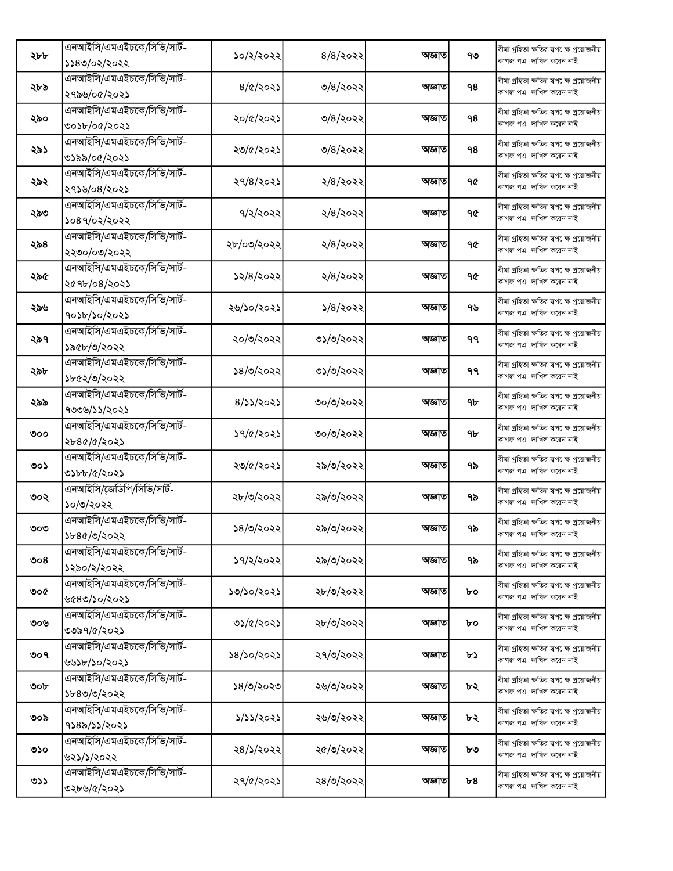|     | এনআইসি/এমএইচকে/সিভি/সার্ট- |                  |                    | অজ্ঞাত |    | বীমা গ্ৰহিতা ক্ষতির স্বপ েক্ষ প্ৰয়োজনীয়                            |
|-----|----------------------------|------------------|--------------------|--------|----|----------------------------------------------------------------------|
| ২৮৮ | ১১৪৩/০২/২০২২               | ১০/২/২০২২        | $8/8$ /২০২২        |        | ৭৩ | কাগজ পএ  দাখিল করেন নাই                                              |
|     | এনআইসি/এমএইচকে/সিভি/সার্ট- |                  |                    |        |    | বীমা গ্ৰহিতা ক্ষতির স্বপ েক্ষ প্ৰয়োজনীয়                            |
| ২৮৯ | ২৭৯৬/০৫/২০২১               | $8/\alpha$ /২০২১ | ৩/৪/২০২২           | অজ্ঞাত | ۹8 | কাগজ পএ দাখিল করেন নাই                                               |
|     | এনআইসি/এমএইচকে/সিভি/সার্ট- |                  |                    |        |    | বীমা গ্ৰহিতা ক্ষতির স্বপ েক্ষ প্ৰয়োজনীয়                            |
| ২৯০ | ৩০১৮/০৫/২০২১               | ২০/৫/২০২১        | ৩/৪/২০২২           | অজ্ঞাত | 98 | কাগজ পএ দাখিল করেন নাই                                               |
|     | এনআইসি/এমএইচকে/সিভি/সার্ট- |                  |                    |        |    | বীমা গ্ৰহিতা ক্ষতির স্বপ েক্ষ প্ৰয়োজনীয়                            |
| ২৯১ | ৩১৯৯/০৫/২০২১               | ২৩/৫/২০২১        | ৩/৪/২০২২           | অজ্ঞাত | ٩8 | কাগজ পএ দাখিল করেন নাই                                               |
|     | এনআইসি/এমএইচকে/সিভি/সার্ট- |                  |                    |        |    | বীমা গ্ৰহিতা ক্ষতির স্বপ েক্ষ প্ৰয়োজনীয়                            |
| ২৯২ | ২৭১৬/০৪/২০২১               | ২৭/৪/২০২১        | ২/৪/২০২২           | অজ্ঞাত | ঀ৫ | কাগজ পএ দাখিল করেন নাই                                               |
|     | এনআইসি/এমএইচকে/সিভি/সার্ট- |                  |                    |        |    |                                                                      |
| ২৯৩ | ১০৪৭/০২/২০২২               | ৭/২/২০২২         | ২/৪/২০২২           | অজ্ঞাত | 9¢ | বীমা গ্ৰহিতা ক্ষতির স্বপ েক্ষ প্ৰয়োজনীয়<br>কাগজ পএ  দাখিল করেন নাই |
|     | এনআইসি/এমএইচকে/সিভি/সার্ট- |                  |                    |        |    |                                                                      |
| ২৯৪ |                            | ২৮/০৩/২০২২       | ২/৪/২০২২           | অজ্ঞাত | 9¢ | বীমা গ্ৰহিতা ক্ষতির স্বপ েক্ষ প্ৰয়োজনীয়<br>কাগজ পএ দাখিল করেন নাই  |
|     | ২২৩০/০৩/২০২২               |                  |                    |        |    |                                                                      |
| ২৯৫ | এনআইসি/এমএইচকে/সিভি/সার্ট- | ১২/৪/২০২২        | ২/৪/২০২২           | অজ্ঞাত | ዓ৫ | বীমা গ্ৰহিতা ক্ষতির স্বপক্ষে প্ৰয়োজনীয়<br>কাগজ পএ দাখিল করেন নাই   |
|     | ২৫৭৮/০৪/২০২১               |                  |                    |        |    |                                                                      |
| ২৯৬ | এনআইসি/এমএইচকে/সিভি/সার্ট- | ২৬/১০/২০২১       | $\frac{5}{8}$ ২০২২ | অজ্ঞাত | ৭৬ | বীমা গ্ৰহিতা ক্ষতির স্বপ েক্ষ প্ৰয়োজনীয়                            |
|     | ৭০১৮/১০/২০২১               |                  |                    |        |    | কাগজ পএ দাখিল করেন নাই                                               |
| ২৯৭ | এনআইসি/এমএইচকে/সিভি/সার্ট- | ২০/৩/২০২২        | ৩১/৩/২০২২          | অজ্ঞাত | ۹۹ | বীমা গ্ৰহিতা ক্ষতির স্বপ েক্ষ প্ৰয়োজনীয়                            |
|     | ১৯৫৮/৩/২০২২                |                  |                    |        |    | কাগজ পএ দাখিল করেন নাই                                               |
| ২৯৮ | এনআইসি/এমএইচকে/সিভি/সার্ট- | ১৪/৩/২০২২        | ৩১/৩/২০২২          | অজ্ঞাত | ۹۹ | বীমা গ্ৰহিতা ক্ষতির স্বপ েক্ষ প্ৰয়োজনীয়                            |
|     | ১৮৫২/৩/২০২২                |                  |                    |        |    | কাগজ পএ দাখিল করেন নাই                                               |
| ২৯৯ | এনআইসি/এমএইচকে/সিভি/সার্ট- |                  |                    |        | ঀ৮ | বীমা গ্ৰহিতা ক্ষতির স্বপ েক্ষ প্ৰয়োজনীয়                            |
|     | ৭৩৩৬/১১/২০২১               | 8/33/2023        | ৩০/৩/২০২২          | অজ্ঞাত |    | কাগজ পএ দাখিল করেন নাই                                               |
|     | এনআইসি/এমএইচকে/সিভি/সার্ট- |                  |                    |        |    | বীমা গ্ৰহিতা ক্ষতির স্বপ েক্ষ প্ৰয়োজনীয়                            |
| ৩০০ | ২৮৪৫/৫/২০২১                | ১৭/৫/২০২১        | ৩০/৩/২০২২          | অজ্ঞাত | ঀ৮ | কাগজ পএ দাখিল করেন নাই                                               |
|     | এনআইসি/এমএইচকে/সিভি/সার্ট- |                  |                    |        |    | বীমা গ্ৰহিতা ক্ষতির স্বপ েক্ষ প্ৰয়োজনীয়                            |
| ৩০১ | ৩১৮৮/৫/২০২১                | ২৩/৫/২০২১        | ২৯/৩/২০২২          | অজ্ঞাত | ৭৯ | কাগজ পএ দাখিল করেন নাই                                               |
|     | এনআইসি/জেডিপি/সিভি/সার্ট-  |                  |                    |        |    | বীমা গ্ৰহিতা ক্ষতির স্বপ েক্ষ প্ৰয়োজনীয়                            |
| ৩০২ | ১০/৩/২০২২                  | ২৮/৩/২০২২        | ২৯/৩/২০২২          | অজ্ঞাত | ৭৯ | কাগজ পএ দাখিল করেন নাই                                               |
|     | এনআইসি/এমএইচকে/সিভি/সার্ট- |                  |                    |        |    | বীমা গ্ৰহিতা ক্ষতির স্বপ েক্ষ প্ৰয়োজনীয়                            |
| ৩০৩ | ১৮৪৫/৩/২০২২                | ১৪/৩/২০২২        | ২৯/৩/২০২২          | অজ্ঞাত | ৭৯ | কাগজ পএ দাখিল করেন নাই                                               |
|     | এনআইসি/এমএইচকে/সিভি/সার্ট- |                  |                    |        |    | বীমা গ্ৰহিতা ক্ষতির স্বপ েক্ষ প্ৰয়োজনীয়                            |
| ಿಂ8 | ১২৯০/২/২০২২                | ১৭/২/২০২২        | ২৯/৩/২০২২          | অজ্ঞাত | ৭৯ | কাগজ পএ দাখিল করেন নাই                                               |
|     | এনআইসি/এমএইচকে/সিভি/সার্ট- |                  |                    |        |    | বীমা গ্ৰহিতা ক্ষতির স্বপক্ষে প্ৰয়োজনীয়                             |
| ৩০৫ | ৬৫৪৩/১০/২০২১               | ১৩/১০/২০২১       | ২৮/৩/২০২২          | অজ্ঞাত | ৮০ | কাগজ পএ দাখিল করেন নাই                                               |
|     | এনআইসি/এমএইচকে/সিভি/সার্ট- |                  |                    |        |    |                                                                      |
| ৩০৬ | ৩৩৯৭/৫/২০২১                | ৩১/৫/২০২১        | ২৮/৩/২০২২          | অজ্ঞাত | ৮০ | বীমা গ্ৰহিতা ক্ষতির স্বপ েক্ষ প্ৰয়োজনীয়<br>কাগজ পএ দাখিল করেন নাই  |
|     | এনআইসি/এমএইচকে/সিভি/সার্ট- |                  |                    |        |    |                                                                      |
| ৩০৭ | ৬৬১৮/১০/২০২১               | ১৪/১০/২০২১       | ২৭/৩/২০২২          | অজ্ঞাত | ৮১ | বীমা গ্ৰহিতা ক্ষতির স্বপ েক্ষ প্ৰয়োজনীয়<br>কাগজ পএ দাখিল করেন নাই  |
|     | এনআইসি/এমএইচকে/সিভি/সার্ট- |                  |                    |        |    |                                                                      |
| ৩০৮ |                            | ১৪/৩/২০২৩        | ২৬/৩/২০২২          | অজ্ঞাত | ৮২ | বীমা গ্ৰহিতা ক্ষতির স্বপক্ষে প্ৰয়োজনীয়<br>কাগজ পএ দাখিল করেন নাই   |
|     | ১৮৪৩/৩/২০২২                |                  |                    |        |    |                                                                      |
| ৩০৯ | এনআইসি/এমএইচকে/সিভি/সার্ট- | ১/১১/২০২১        | ২৬/৩/২০২২          | অজ্ঞাত | ৮২ | বীমা গ্ৰহিতা ক্ষতির স্বপ েক্ষ প্ৰয়োজনীয়<br>কাগজ পএ দাখিল করেন নাই  |
|     | 9382/33/2023               |                  |                    |        |    |                                                                      |
| ৩১০ | এনআইসি/এমএইচকে/সিভি/সার্ট- | ২৪/১/২০২২        | ২৫/৩/২০২২          | অজ্ঞাত | ৮৩ | বীমা গ্ৰহিতা ক্ষতির স্বপ েক্ষ প্ৰয়োজনীয়                            |
|     | ৬২১/১/২০২২                 |                  |                    |        |    | কাগজ পএ দাখিল করেন নাই                                               |
| ৩১১ | এনআইসি/এমএইচকে/সিভি/সার্ট- | ২৭/৫/২০২১        | ২৪/৩/২০২২          | অজ্ঞাত | b8 | বীমা গ্ৰহিতা ক্ষতির স্বপ েক্ষ প্ৰয়োজনীয়                            |
|     | ৩২৮৬/৫/২০২১                |                  |                    |        |    | কাগজ পএ  দাখিল করেন নাই                                              |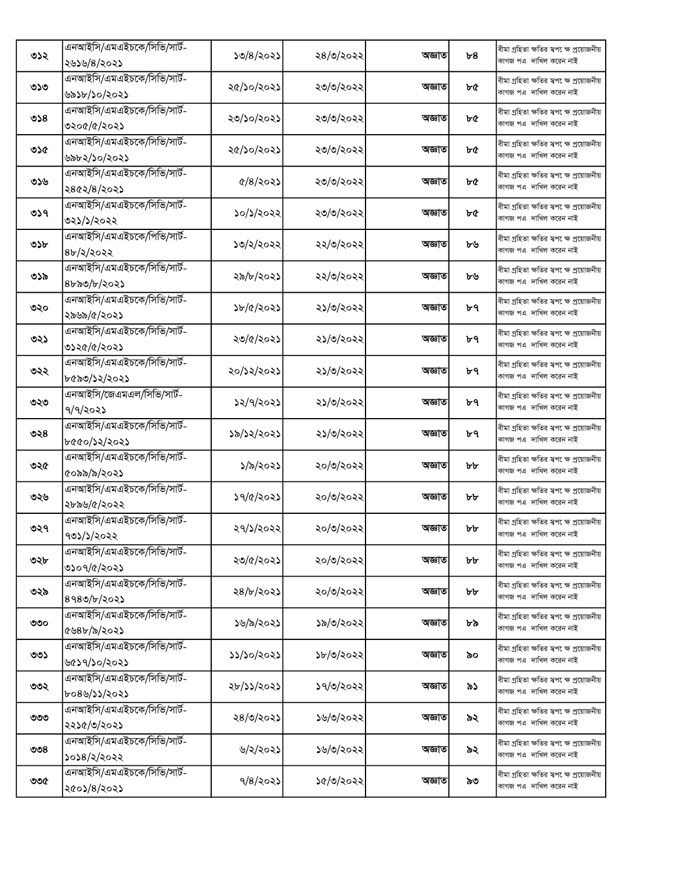|     | এনআইসি/এমএইচকে/সিভি/সার্ট- |                         |           |        |    | বীমা গ্ৰহিতা ক্ষতির স্বপ েক্ষ প্ৰয়োজনীয় |
|-----|----------------------------|-------------------------|-----------|--------|----|-------------------------------------------|
| ৩১২ | ২৬১৬/৪/২০২১                | ১৩/৪/২০২১               | ২৪/৩/২০২২ | অজ্ঞাত | b8 | কাগজ পএ দাখিল করেন নাই                    |
|     | এনআইসি/এমএইচকে/সিভি/সার্ট- |                         |           |        |    | বীমা গ্ৰহিতা ক্ষতির স্বপ েক্ষ প্ৰয়োজনীয় |
| ৩১৩ | ৬৯১৮/১০/২০২১               | ২৫/১০/২০২১              | ২৩/৩/২০২২ | অজ্ঞাত | ৮৫ | কাগজ পএ দাখিল করেন নাই                    |
|     | এনআইসি/এমএইচকে/সিভি/সার্ট- |                         |           |        |    | বীমা গ্ৰহিতা ক্ষতির স্বপ েক্ষ প্ৰয়োজনীয় |
| ৩১৪ | ৩২০৫/৫/২০২১                | ২৩/১০/২০২১              | ২৩/৩/২০২২ | অজ্ঞাত | ৮৫ | কাগজ পএ দাখিল করেন নাই                    |
|     | এনআইসি/এমএইচকে/সিভি/সার্ট- |                         |           |        |    | বীমা গ্ৰহিতা ক্ষতির স্বপ েক্ষ প্ৰয়োজনীয় |
| ৩১৫ | ৬৯৮২/১০/২০২১               | ২৫/১০/২০২১              | ২৩/৩/২০২২ | অজ্ঞাত | ৮৫ | কাগজ পএ দাখিল করেন নাই                    |
|     | এনআইসি/এমএইচকে/সিভি/সার্ট- |                         |           |        |    | বীমা গ্ৰহিতা ক্ষতির স্বপ েক্ষ প্রয়োজনীয় |
| ৩১৬ | ২৪৫২/৪/২০২১                | $\frac{6}{8}$ $\approx$ | ২৩/৩/২০২২ | অজ্ঞাত | ৮৫ | কাগজ পএ দাখিল করেন নাই                    |
|     | এনআইসি/এমএইচকে/সিভি/সার্ট- |                         |           |        |    | বীমা গ্ৰহিতা ক্ষতির স্বপ েক্ষ প্ৰয়োজনীয় |
| ৩১৭ | ৩২১/১/২০২২                 | ১০/১/২০২২               | ২৩/৩/২০২২ | অজ্ঞাত | ৮৫ | কাগজ পএ দাখিল করেন নাই                    |
|     | এনআইসি/এমএইচকে/পিভি/সার্ট- |                         |           |        |    | বীমা গ্ৰহিতা ক্ষতির স্বপ েক্ষ প্ৰয়োজনীয় |
| ৩১৮ | ৪৮/২/২০২২                  | ১৩/২/২০২২               | ২২/৩/২০২২ | অজ্ঞাত | ৮৬ | কাগজ পএ দাখিল করেন নাই                    |
|     | এনআইসি/এমএইচকে/সিভি/সার্ট- |                         |           |        |    | বীমা গ্ৰহিতা ক্ষতির স্বপ েক্ষ প্ৰয়োজনীয় |
| ৩১৯ | ৪৮৯৩/৮/২০২১                | ২৯/৮/২০২১               | ২২/৩/২০২২ | অজ্ঞাত | ৮৬ | কাগজ পএ দাখিল করেন নাই                    |
|     | এনআইসি/এমএইচকে/সিভি/সার্ট- |                         |           |        |    | বীমা গ্ৰহিতা ক্ষতির স্বপ েক্ষ প্ৰয়োজনীয় |
| ৩২০ | ২৯৬৯/৫/২০২১                | ১৮/৫/২০২১               | ২১/৩/২০২২ | অজ্ঞাত | ৮৭ | কাগজ পএ দাখিল করেন নাই                    |
|     | এনআইসি/এমএইচকে/সিভি/সার্ট- |                         |           |        |    | বীমা গ্ৰহিতা ক্ষতির স্বপক্ষে প্ৰয়োজনীয়  |
| ৩২১ | ৩১২৫/৫/২০২১                | ২৩/৫/২০২১               | ২১/৩/২০২২ | অজ্ঞাত | ৮৭ | কাগজ পএ দাখিল করেন নাই                    |
|     | এনআইসি/এমএইচকে/সিভি/সার্ট- |                         |           |        |    | বীমা গ্ৰহিতা ক্ষতির স্বপ েক্ষ প্ৰয়োজনীয় |
| ৩২২ | ৮৫৯৩/১২/২০২১               | ২০/১২/২০২১              | ২১/৩/২০২২ | অজ্ঞাত | ৮৭ | কাগজ পএ দাখিল করেন নাই                    |
|     | এনআইসি/জেএমএল/সিভি/সার্ট-  |                         |           |        |    | বীমা গ্ৰহিতা ক্ষতির স্বপ েক্ষ প্ৰয়োজনীয় |
| ৩২৩ | ৭/৭/২০২১                   | ১২/৭/২০২১               | ২১/৩/২০২২ | অজ্ঞাত | ৮৭ | কাগজ পএ দাখিল করেন নাই                    |
|     | এনআইসি/এমএইচকে/সিভি/সার্ট- |                         |           |        |    | বীমা গ্ৰহিতা ক্ষতির স্বপ েক্ষ প্ৰয়োজনীয় |
| ৩২৪ | ৮৫৫০/১২/২০২১               | ১৯/১২/২০২১              | ২১/৩/২০২২ | অজ্ঞাত | ৮৭ | কাগজ পএ দাখিল করেন নাই                    |
|     | এনআইসি/এমএইচকে/সিভি/সার্ট- |                         |           |        |    | বীমা গ্ৰহিতা ক্ষতির স্বপ েক্ষ প্ৰয়োজনীয় |
| ৩২৫ | ৫০৯৯/৯/২০২১                | ১/৯/২০২১                | ২০/৩/২০২২ | অজ্ঞাত | ৮৮ | কাগজ পএ দাখিল করেন নাই                    |
|     | এনআইসি/এমএইচকে/সিভি/সার্ট- |                         |           |        |    | বীমা গ্ৰহিতা ক্ষতির স্বপ েক্ষ প্ৰয়োজনীয় |
| ৩২৬ | ২৮৯৬/৫/২০২২                | ১৭/৫/২০২১               | ২০/৩/২০২২ | অজ্ঞাত | ৮৮ | কাগজ পএ দাখিল করেন নাই                    |
|     | এনআইসি/এমএইচকে/সিভি/সার্ট- |                         |           |        |    | বীমা গ্ৰহিতা ক্ষতির ম্বপ েক্ষ প্ৰয়োজনীয় |
| ৩২৭ | ৭৩১/১/২০২২                 | ২৭/১/২০২২               | ২০/৩/২০২২ | অজ্ঞাত | ৮৮ | কাগজ পএ  দাখিল করেন নাই                   |
|     | এনআইসি/এমএইচকে/সিভি/সার্ট- |                         |           |        |    | বীমা গ্ৰহিতা ক্ষতির স্বপ েক্ষ প্ৰয়োজনীয় |
| ৩২৮ | ৩১০৭/৫/২০২১                | ২৩/৫/২০২১               | ২০/৩/২০২২ | অজ্ঞাত | ৮৮ | কাগজ পএ দাখিল করেন নাই                    |
|     | এনআইসি/এমএইচকে/সিভি/সার্ট- |                         |           |        |    | বীমা গ্ৰহিতা ক্ষতির স্বপ েক্ষ প্ৰয়োজনীয় |
| ৩২৯ | 8980/b/2025                | ২৪/৮/২০২১               | ২০/৩/২০২২ | অজ্ঞাত | ৮৮ | কাগজ পএ দাখিল করেন নাই                    |
|     | এনআইসি/এমএইচকে/সিভি/সার্ট- |                         |           |        |    | বীমা গ্ৰহিতা ক্ষতির স্বপ েক্ষ প্ৰয়োজনীয় |
| ৩৩০ | ৫৬৪৮/৯/২০২১                | ১৬/৯/২০২১               | ১৯/৩/২০২২ | অজ্ঞাত | ৮৯ | কাগজ পএ দাখিল করেন নাই                    |
|     | এনআইসি/এমএইচকে/সিভি/সার্ট- |                         |           |        |    | বীমা গ্ৰহিতা ক্ষতির স্বপ েক্ষ প্ৰয়োজনীয় |
| ৩৩১ | ৬৫১৭/১০/২০২১               | ১১/১০/২০২১              | ১৮/৩/২০২২ | অজ্ঞাত | ৯০ | কাগজ পএ দাখিল করেন নাই                    |
|     | এনআইসি/এমএইচকে/সিভি/সার্ট- |                         |           |        |    | বীমা গ্ৰহিতা ক্ষতির স্বপক্ষে প্ৰয়োজনীয়  |
| ৩৩২ | ৮০৪৬/১১/২০২১               | ২৮/১১/২০২১              | ১৭/৩/২০২২ | অজ্ঞাত | ৯১ | কাগজ পএ দাখিল করেন নাই                    |
|     | এনআইসি/এমএইচকে/সিভি/সার্ট- |                         |           |        |    | বীমা গ্ৰহিতা ক্ষতির স্বপ েক্ষ প্ৰয়োজনীয় |
| ৩৩৩ | ২২১৫/৩/২০২১                | ২৪/৩/২০২১               | ১৬/৩/২০২২ | অজ্ঞাত | ৯২ | কাগজ পএ দাখিল করেন নাই                    |
|     | এনআইসি/এমএইচকে/সিভি/সার্ট- |                         |           |        |    | বীমা গ্ৰহিতা ক্ষতির স্বপ েক্ষ প্ৰয়োজনীয় |
| ৩৩৪ | ১০১৪/২/২০২২                | ৬/২/২০২১                | ১৬/৩/২০২২ | অজ্ঞাত | ৯২ | কাগজ পএ দাখিল করেন নাই                    |
|     | এনআইসি/এমএইচকে/সিভি/সার্ট- |                         |           |        |    | বীমা গ্ৰহিতা ক্ষতির স্বপ েক্ষ প্ৰয়োজনীয় |
| ৩৩৫ | ২৫০১/৪/২০২১                | $9/8$ /২০২১             | ১৫/৩/২০২২ | অজ্ঞাত | ৯৩ | কাগজ পএ  দাখিল করেন নাই                   |
|     |                            |                         |           |        |    |                                           |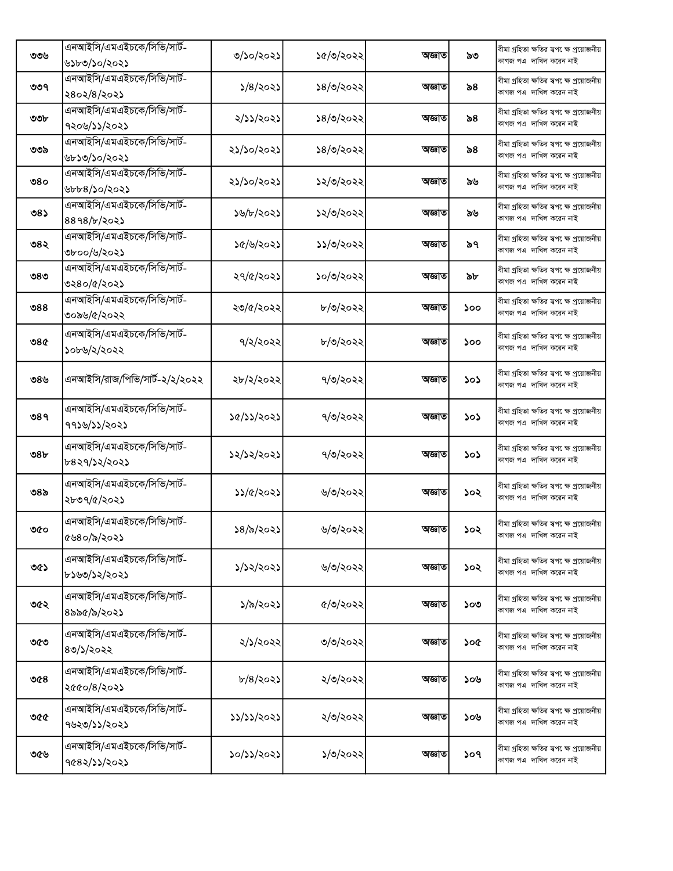| ৩৩৬             | এনআইসি/এমএইচকে/সিভি/সার্ট-<br>৬১৮৩/১০/২০২১ | ৩/১০/২০২১                       | ১৫/৩/২০২২ | অজ্ঞাত | ৯৩  | বীমা গ্ৰহিতা ক্ষতির স্বপ েক্ষ প্ৰয়োজনীয়<br>কাগজ পএ দাখিল করেন নাই  |
|-----------------|--------------------------------------------|---------------------------------|-----------|--------|-----|----------------------------------------------------------------------|
| ৩৩৭             | এনআইসি/এমএইচকে/সিভি/সার্ট-<br>২৪০২/৪/২০২১  | $\frac{5}{8}$<br>$\frac{20}{8}$ | ১৪/৩/২০২২ | অজ্ঞাত | ৯৪  | বীমা গ্ৰহিতা ক্ষতির স্বপ েক্ষ প্ৰয়োজনীয়<br>কাগজ পএ দাখিল করেন নাই  |
| ৩৩৮             | এনআইসি/এমএইচকে/সিভি/সার্ট-<br>৭২০৬/১১/২০২১ | ২/১১/২০২১                       | ১৪/৩/২০২২ | অজ্ঞাত | ৯৪  | বীমা গ্ৰহিতা ক্ষতির স্বপ েক্ষ প্ৰয়োজনীয়<br>কাগজ পএ দাখিল করেন নাই  |
| ৩৩৯             | এনআইসি/এমএইচকে/সিভি/সার্ট-<br>৬৮১৩/১০/২০২১ | ২১/১০/২০২১                      | ১৪/৩/২০২২ | অজ্ঞাত | ৯৪  | বীমা গ্ৰহিতা ক্ষতির স্বপ েক্ষ প্ৰয়োজনীয়<br>কাগজ পএ দাখিল করেন নাই  |
| ৩৪০             | এনআইসি/এমএইচকে/সিভি/সার্ট-<br>৬৮৮৪/১০/২০২১ | ২১/১০/২০২১                      | ১২/৩/২০২২ | অজ্ঞাত | ৯৬  | বীমা গ্ৰহিতা ক্ষতির স্বপ েক্ষ প্ৰয়োজনীয়<br>কাগজ পএ দাখিল করেন নাই  |
| ৩৪১             | এনআইসি/এমএইচকে/সিভি/সার্ট-<br>8898/b/2025  | ১৬/৮/২০২১                       | ১২/৩/২০২২ | অজ্ঞাত | ৯৬  | বীমা গ্ৰহিতা ক্ষতির স্বপ েক্ষ প্ৰয়োজনীয়<br>কাগজ পএ দাখিল করেন নাই  |
| ৩৪২             | এনআইসি/এমএইচকে/সিভি/সার্ট-<br>৩৮০০/৬/২০২১  | ১৫/৬/২০২১                       | ১১/৩/২০২২ | অজ্ঞাত | ৯৭  | বীমা গ্ৰহিতা ক্ষতির স্বপ েক্ষ প্ৰয়োজনীয়<br>কাগজ পএ দাখিল করেন নাই  |
| ৩৪৩             | এনআইসি/এমএইচকে/সিভি/সার্ট-<br>৩২৪০/৫/২০২১  | ২৭/৫/২০২১                       | ১০/৩/২০২২ | অজ্ঞাত | ৯৮  | বীমা গ্ৰহিতা ক্ষতির স্বপ েক্ষ প্ৰয়োজনীয়<br>কাগজ পএ দাখিল করেন নাই  |
| ల $88$          | এনআইসি/এমএইচকে/সিভি/সার্ট-<br>৩০৯৬/৫/২০২২  | ২৩/৫/২০২২                       | ৮/৩/২০২২  | অজ্ঞাত | ১০০ | বীমা গ্ৰহিতা ক্ষতির স্বপ েক্ষ প্ৰয়োজনীয়<br>কাগজ পএ দাখিল করেন নাই  |
| ৩৪৫             | এনআইসি/এমএইচকে/সিভি/সার্ট-<br>১০৮৬/২/২০২২  | 9/2/2022                        | ৮/৩/২০২২  | অজ্ঞাত | ১০০ | বীমা গ্ৰহিতা ক্ষতির স্বপ েক্ষ প্ৰয়োজনীয়<br>কাগজ পএ দাখিল করেন নাই  |
| ৩৪৬             | এনআইসি/রাজ/পিভি/সার্ট-২/২/২০২২             | ২৮/২/২০২২                       | ৭/৩/২০২২  | অজ্ঞাত | ১০১ | বীমা গ্ৰহিতা ক্ষতির স্বপ েক্ষ প্ৰয়োজনীয়<br>কাগজ পএ  দাখিল করেন নাই |
| ৩৪৭             | এনআইসি/এমএইচকে/সিভি/সার্ট-<br>৭৭১৬/১১/২০২১ | ১৫/১১/২০২১                      | ৭/৩/২০২২  | অজ্ঞাত | ১০১ | বীমা গ্ৰহিতা ক্ষতির স্বপ েক্ষ প্ৰয়োজনীয়<br>কাগজ পএ দাখিল করেন নাই  |
| 98 <sub>b</sub> | এনআইসি/এমএইচকে/সিভি/সার্ট-<br>৮৪২৭/১২/২০২১ | ১২/১২/২০২১                      | ৭/৩/২০২২  | অজ্ঞাত | ১০১ | বীমা গ্ৰহিতা ক্ষতির স্বপ েক্ষ প্ৰয়োজনীয়<br>কাগজ পএ দাখিল করেন নাই  |
| ৩৪৯             | এনআইসি/এমএইচকে/সিভি/সার্ট-<br>২৮৩৭/৫/২০২১  | ১১/৫/২০২১                       | ৬/৩/২০২২  | অজ্ঞাত | ১০২ | বীমা গ্ৰহিতা ক্ষতির স্বপ েক্ষ প্ৰয়োজনীয়<br>কাগজ পএ দাখিল করেন নাই  |
| ৩৫০             | এনআইসি/এমএইচকে/সিভি/সার্ট-<br>৫৬৪০/৯/২০২১  | ১৪/৯/২০২১                       | ৬/৩/২০২২  | অজ্ঞাত | ১০২ | বীমা গ্ৰহিতা ক্ষতির স্বপক্ষে প্ৰয়োজনীয়<br>কাগজ পএ দাখিল করেন নাই   |
| ৩৫১             | এনআইসি/এমএইচকে/সিভি/সার্ট-<br>৮১৬৩/১২/২০২১ | ১/১২/২০২১                       | ৬/৩/২০২২  | অজ্ঞাত | ১০২ | বীমা গ্ৰহিতা ক্ষতির স্বপ েক্ষ প্ৰয়োজনীয়<br>কাগজ পএ দাখিল করেন নাই  |
| ৩৫২             | এনআইসি/এমএইচকে/সিভি/সার্ট-<br>৪৯৯৫/৯/২০২১  | ১/৯/২০২১                        | ৫/৩/২০২২  | অজ্ঞাত | ১০৩ | বীমা গ্ৰহিতা ক্ষতির স্বপক্ষে প্ৰয়োজনীয়<br>কাগজ পএ দাখিল করেন নাই   |
| ৩৫৩             | এনআইসি/এমএইচকে/সিভি/সার্ট-<br>80/5/2022    | ২/১/২০২২                        | ৩/৩/২০২২  | অজ্ঞাত | ১০৫ | বীমা গ্ৰহিতা ক্ষতির স্বপ েক্ষ প্ৰয়োজনীয়<br>কাগজ পএ দাখিল করেন নাই  |
| ৩৫৪             | এনআইসি/এমএইচকে/সিভি/সার্ট-<br>২৫৫০/৪/২০২১  | b/8/302                         | ২/৩/২০২২  | অজ্ঞাত | ১০৬ | বীমা গ্ৰহিতা ক্ষতির স্বপ েক্ষ প্ৰয়োজনীয়<br>কাগজ পএ দাখিল করেন নাই  |
| ৩৫৫             | এনআইসি/এমএইচকে/সিভি/সার্ট-<br>৭৬২৩/১১/২০২১ | ১১/১১/২০২১                      | ২/৩/২০২২  | অজ্ঞাত | ১০৬ | বীমা গ্ৰহিতা ক্ষতির স্বপ েক্ষ প্ৰয়োজনীয়<br>কাগজ পএ দাখিল করেন নাই  |
| ৩৫৬             | এনআইসি/এমএইচকে/সিভি/সার্ট-<br>9082/22/2022 | ১০/১১/২০২১                      | ১/৩/২০২২  | অজ্ঞাত | ১০৭ | বীমা গ্ৰহিতা ক্ষতির স্বপ েক্ষ প্ৰয়োজনীয়<br>কাগজ পএ দাখিল করেন নাই  |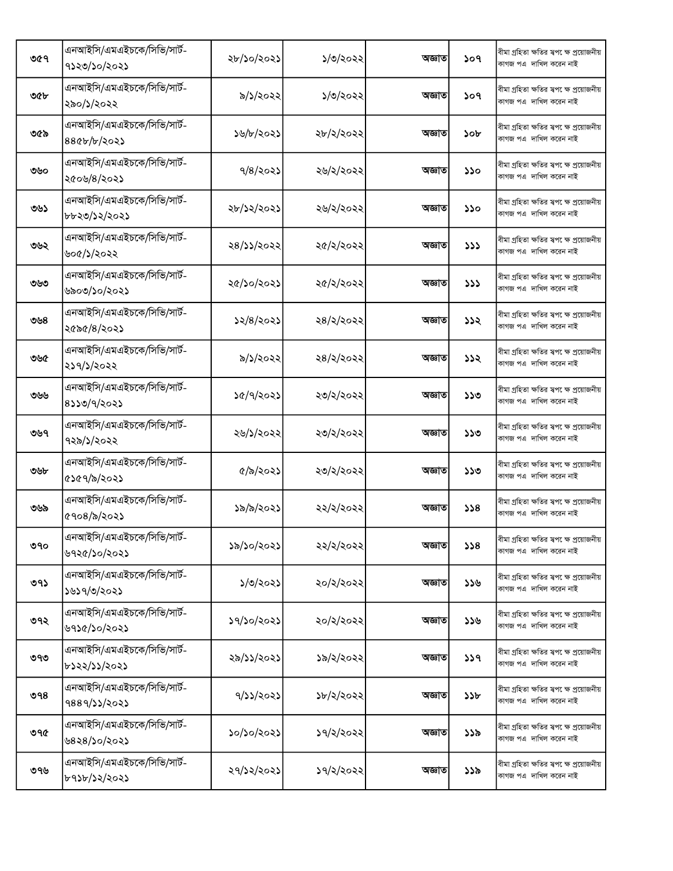| ৩৫৭ | এনআইসি/এমএইচকে/সিভি/সার্ট-<br>৭১২৩/১০/২০২১ | ২৮/১০/২০২১ | ১/৩/২০২২  | অজ্ঞাত | ১০৭ | বীমা গ্ৰহিতা ক্ষতির স্বপ েক্ষ প্ৰয়োজনীয়<br>কাগজ পএ দাখিল করেন নাই  |
|-----|--------------------------------------------|------------|-----------|--------|-----|----------------------------------------------------------------------|
| ৩৫৮ | এনআইসি/এমএইচকে/সিভি/সার্ট-<br>২৯০/১/২০২২   | ৯/১/২০২২   | ১/৩/২০২২  | অজ্ঞাত | ১০৭ | বীমা গ্ৰহিতা ক্ষতির স্বপ েক্ষ প্ৰয়োজনীয়<br>কাগজ পএ দাখিল করেন নাই  |
| ৩৫৯ | এনআইসি/এমএইচকে/সিভি/সার্ট-<br>880b/b/2023  | ১৬/৮/২০২১  | ২৮/২/২০২২ | অজ্ঞাত | ১০৮ | বীমা গ্ৰহিতা ক্ষতির স্বপ েক্ষ প্ৰয়োজনীয়<br>কাগজ পএ দাখিল করেন নাই  |
| ৩৬০ | এনআইসি/এমএইচকে/সিভি/সার্ট-<br>২৫০৬/৪/২০২১  | $9/8$ 202) | ২৬/২/২০২২ | অজ্ঞাত | ১১০ | বীমা গ্ৰহিতা ক্ষতির স্বপ েক্ষ প্ৰয়োজনীয়<br>কাগজ পএ দাখিল করেন নাই  |
| ৩৬১ | এনআইসি/এমএইচকে/সিভি/সার্ট-<br>৮৮২৩/১২/২০২১ | ২৮/১২/২০২১ | ২৬/২/২০২২ | অজ্ঞাত | ১১০ | বীমা গ্ৰহিতা ক্ষতির স্বপ েক্ষ প্ৰয়োজনীয়<br>কাগজ পএ দাখিল করেন নাই  |
| ৩৬২ | এনআইসি/এমএইচকে/সিভি/সার্ট-<br>৬০৫/১/২০২২   | ২৪/১১/২০২২ | ২৫/২/২০২২ | অজ্ঞাত | 777 | বীমা গ্ৰহিতা ক্ষতির স্বপ েক্ষ প্রয়োজনীয়<br>কাগজ পএ দাখিল করেন নাই  |
| ৩৬৩ | এনআইসি/এমএইচকে/সিভি/সার্ট-<br>৬৯০৩/১০/২০২১ | ২৫/১০/২০২১ | ২৫/২/২০২২ | অজ্ঞাত | 333 | বীমা গ্ৰহিতা ক্ষতির স্বপক্ষে প্ৰয়োজনীয়<br>কাগজ পএ দাখিল করেন নাই   |
| ৩৬৪ | এনআইসি/এমএইচকে/সিভি/সার্ট-<br>২৫৯৫/৪/২০২১  | ১২/৪/২০২১  | ২৪/২/২০২২ | অজ্ঞাত | ১১২ | বীমা গ্ৰহিতা ক্ষতির স্বপ েক্ষ প্ৰয়োজনীয়<br>কাগজ পএ দাখিল করেন নাই  |
| ৩৬৫ | এনআইসি/এমএইচকে/সিভি/সার্ট-<br>২১৭/১/২০২২   | ৯/১/২০২২   | ২৪/২/২০২২ | অজ্ঞাত | ১১২ | বীমা গ্ৰহিতা ক্ষতির স্বপ েক্ষ প্ৰয়োজনীয়<br>কাগজ পএ দাখিল করেন নাই  |
| ৩৬৬ | এনআইসি/এমএইচকে/সিভি/সার্ট-<br>8330/9/2023  | ১৫/৭/২০২১  | ২৩/২/২০২২ | অজ্ঞাত | ১১৩ | বীমা গ্ৰহিতা ক্ষতির স্বপ েক্ষ প্ৰয়োজনীয়<br>কাগজ পএ দাখিল করেন নাই  |
| ৩৬৭ | এনআইসি/এমএইচকে/সিভি/সার্ট-<br>৭২৯/১/২০২২   | ২৬/১/২০২২  | ২৩/২/২০২২ | অজ্ঞাত | ১১৩ | বীমা গ্ৰহিতা ক্ষতির স্বপ েক্ষ প্ৰয়োজনীয়<br>কাগজ পএ দাখিল করেন নাই  |
| ৩৬৮ | এনআইসি/এমএইচকে/সিভি/সার্ট-<br>৫১৫৭/৯/২০২১  | ৫/৯/২০২১   | ২৩/২/২০২২ | অজ্ঞাত | ১১৩ | বীমা গ্ৰহিতা ক্ষতির স্বপ েক্ষ প্ৰয়োজনীয়<br>কাগজ পএ দাখিল করেন নাই  |
| ৩৬৯ | এনআইসি/এমএইচকে/সিভি/সার্ট-<br>৫৭০৪/৯/২০২১  | ১৯/৯/২০২১  | ২২/২/২০২২ | অজ্ঞাত | 358 | বীমা গ্ৰহিতা ক্ষতির স্বপ েক্ষ প্ৰয়োজনীয়<br>কাগজ পএ দাখিল করেন নাই  |
| ৩৭০ | এনআইসি/এমএইচকে/সিভি/সার্ট-<br>৬৭২৫/১০/২০২১ | ১৯/১০/২০২১ | ২২/২/২০২২ | অজ্ঞাত | 358 | বীমা গ্ৰহিতা ক্ষতির স্বপ েক্ষ প্ৰয়োজনীয়<br>কাগজ পএ দাখিল করেন নাই  |
| ৩৭১ | এনআইসি/এমএইচকে/সিভি/সার্ট-<br>১৬১৭/৩/২০২১  | ১/৩/২০২১   | ২০/২/২০২২ | অজ্ঞাত | ১১৬ | বীমা গ্ৰহিতা ক্ষতির ম্বপ েক্ষ প্ৰয়োজনীয়<br>কাগজ পএ  দাখিল করেন নাই |
| ৩৭২ | এনআইসি/এমএইচকে/সিভি/সার্ট-<br>৬৭১৫/১০/২০২১ | ১৭/১০/২০২১ | ২০/২/২০২২ | অজ্ঞাত | ১১৬ | বীমা গ্ৰহিতা ক্ষতির স্বপক্ষে প্ৰয়োজনীয়<br>কাগজ পএ দাখিল করেন নাই   |
| ৩৭৩ | এনআইসি/এমএইচকে/সিভি/সার্ট-<br>৮১২২/১১/২০২১ | ২৯/১১/২০২১ | ১৯/২/২০২২ | অজ্ঞাত | 339 | বীমা গ্ৰহিতা ক্ষতির স্বপক্ষে প্রয়োজনীয়<br>কাগজ পএ দাখিল করেন নাই   |
| ৩৭৪ | এনআইসি/এমএইচকে/সিভি/সার্ট-<br>9889/22/2022 | 9/22/2022  | ১৮/২/২০২২ | অজ্ঞাত | ১১৮ | বীমা গ্ৰহিতা ক্ষতির স্বপ েক্ষ প্ৰয়োজনীয়<br>কাগজ পএ দাখিল করেন নাই  |
| ৩৭৫ | এনআইসি/এমএইচকে/সিভি/সার্ট-<br>৬৪২৪/১০/২০২১ | ১০/১০/২০২১ | ১৭/২/২০২২ | অজ্ঞাত | ১১৯ | বীমা গ্ৰহিতা ক্ষতির স্বপক্ষে প্ৰয়োজনীয়<br>কাগজ পএ দাখিল করেন নাই   |
| ৩৭৬ | এনআইসি/এমএইচকে/সিভি/সার্ট-<br>৮৭১৮/১২/২০২১ | ২৭/১২/২০২১ | ১৭/২/২০২২ | অজ্ঞাত | ১১৯ | বীমা গ্ৰহিতা ক্ষতির স্বপ েক্ষ প্ৰয়োজনীয়<br>কাগজ পএ দাখিল করেন নাই  |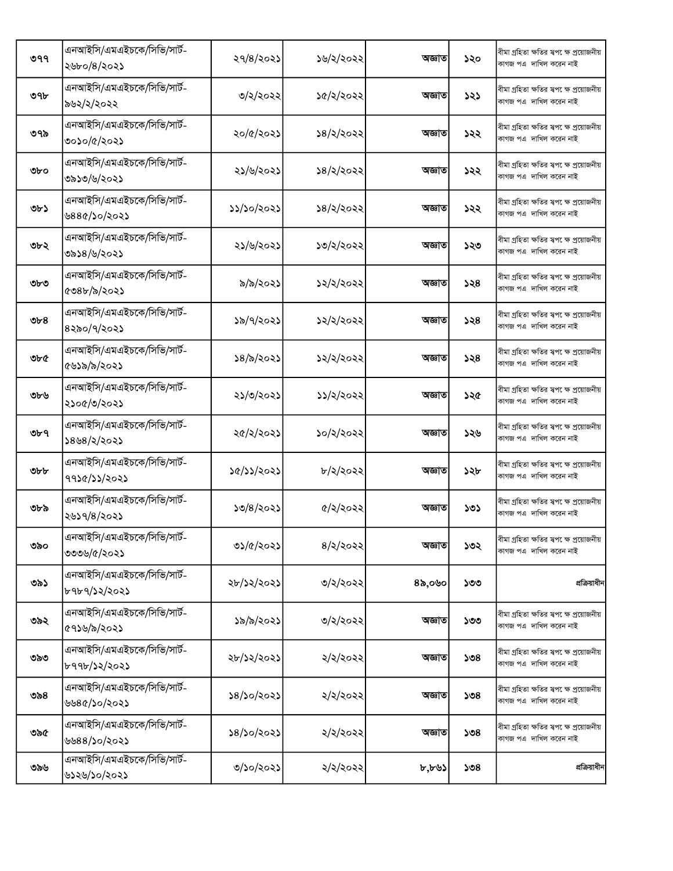| ৩৭৭ | এনআইসি/এমএইচকে/সিভি/সার্ট-<br>২৬৮০/৪/২০২১  | ২৭/৪/২০২১    | ১৬/২/২০২২       | অজ্ঞাত | ১২০ | বীমা গ্ৰহিতা ক্ষতির স্বপ েক্ষ প্রয়োজনীয়<br>কাগজ পএ দাখিল করেন নাই |
|-----|--------------------------------------------|--------------|-----------------|--------|-----|---------------------------------------------------------------------|
| ৩৭৮ | এনআইসি/এমএইচকে/সিভি/সার্ট-<br>৯৬২/২/২০২২   | ৩/২/২০২২     | ১৫/২/২০২২       | অজ্ঞাত | ১২১ | বীমা গ্ৰহিতা ক্ষতির স্বপ েক্ষ প্ৰয়োজনীয়<br>কাগজ পএ দাখিল করেন নাই |
| ৩৭৯ | এনআইসি/এমএইচকে/সিভি/সার্ট-<br>৩০১০/৫/২০২১  | ২০/৫/২০২১    | ১৪/২/২০২২       | অজ্ঞাত | ১২২ | বীমা গ্ৰহিতা ক্ষতির স্বপ েক্ষ প্ৰয়োজনীয়<br>কাগজ পএ দাখিল করেন নাই |
| ৩৮০ | এনআইসি/এমএইচকে/সিভি/সার্ট-<br>৩৯১৩/৬/২০২১  | ২১/৬/২০২১    | ১৪/২/২০২২       | অজ্ঞাত | ১২২ | বীমা গ্ৰহিতা ক্ষতির স্বপ েক্ষ প্ৰয়োজনীয়<br>কাগজ পএ দাখিল করেন নাই |
| ৩৮১ | এনআইসি/এমএইচকে/সিভি/সার্ট-<br>৬৪৪৫/১০/২০২১ | ১১/১০/২০২১   | ১৪/২/২০২২       | অজ্ঞাত | ১২২ | বীমা গ্ৰহিতা ক্ষতির স্বপক্ষে প্ৰয়োজনীয়<br>কাগজ পএ দাখিল করেন নাই  |
| ৩৮২ | এনআইসি/এমএইচকে/সিভি/সার্ট-<br>৩৯১৪/৬/২০২১  | ২১/৬/২০২১    | ১৩/২/২০২২       | অজ্ঞাত | ১২৩ | বীমা গ্ৰহিতা ক্ষতির স্বপ েক্ষ প্ৰয়োজনীয়<br>কাগজ পএ দাখিল করেন নাই |
| ৩৮৩ | এনআইসি/এমএইচকে/সিভি/সার্ট-<br>৫৩৪৮/৯/২০২১  | ৯/৯/২০২১     | ১২/২/২০২২       | অজ্ঞাত | ১২৪ | বীমা গ্ৰহিতা ক্ষতির স্বপক্ষে প্ৰয়োজনীয়<br>কাগজ পএ দাখিল করেন নাই  |
| ৩৮৪ | এনআইসি/এমএইচকে/সিভি/সার্ট-<br>৪২৯০/৭/২০২১  | ১৯/৭/২০২১    | ১২/২/২০২২       | অজ্ঞাত | ১২৪ | বীমা গ্ৰহিতা ক্ষতির স্বপ েক্ষ প্ৰয়োজনীয়<br>কাগজ পএ দাখিল করেন নাই |
| ৩৮৫ | এনআইসি/এমএইচকে/সিভি/সার্ট-<br>৫৬১৯/৯/২০২১  | ১৪/৯/২০২১    | ১২/২/২০২২       | অজ্ঞাত | ১২৪ | বীমা গ্ৰহিতা ক্ষতির স্বপ েক্ষ প্ৰয়োজনীয়<br>কাগজ পএ দাখিল করেন নাই |
| ৩৮৬ | এনআইসি/এমএইচকে/সিভি/সার্ট-<br>২১০৫/৩/২০২১  | ২১/৩/২০২১    | ১১/২/২০২২       | অজ্ঞাত | ১২৫ | বীমা গ্ৰহিতা ক্ষতির স্বপ েক্ষ প্ৰয়োজনীয়<br>কাগজ পএ দাখিল করেন নাই |
| ৩৮৭ | এনআইসি/এমএইচকে/সিভি/সার্ট-<br>১৪৬৪/২/২০২১  | ২৫/২/২০২১    | ১০/২/২০২২       | অজ্ঞাত | ১২৬ | বীমা গ্ৰহিতা ক্ষতির স্বপ েক্ষ প্ৰয়োজনীয়<br>কাগজ পএ দাখিল করেন নাই |
| ৩৮৮ | এনআইসি/এমএইচকে/সিভি/সার্ট-<br>৭৭১৫/১১/২০২১ | ১৫/১১/২০২১   | ৮/২/২০২২        | অজ্ঞাত | ১২৮ | বীমা গ্ৰহিতা ক্ষতির স্বপ েক্ষ প্ৰয়োজনীয়<br>কাগজ পএ দাখিল করেন নাই |
| ৩৮৯ | এনআইসি/এমএইচকে/সিভি/সার্ট-<br>২৬১৭/৪/২০২১  | $50/8$ /2025 | ৫/২/২০২২        | অজ্ঞাত | ১৩১ | বীমা গ্ৰহিতা ক্ষতির স্বপ েক্ষ প্ৰয়োজনীয়<br>কাগজ পএ দাখিল করেন নাই |
| ৩৯০ | এনআইসি/এমএইচকে/সিভি/সার্ট-<br>৩৩৩৬/৫/২০২১  | ৩১/৫/২০২১    | $8/\sqrt{2022}$ | অজ্ঞাত | ১৩২ | বীমা গ্ৰহিতা ক্ষতির স্বপ েক্ষ প্ৰয়োজনীয়<br>কাগজ পএ দাখিল করেন নাই |
| ৩৯১ | এনআইসি/এমএইচকে/সিভি/সার্ট-<br>৮৭৮৭/১২/২০২১ | ২৮/১২/২০২১   | ৩/২/২০২২        | ৪৯,০৬০ | ১৩৩ | প্রক্রিয়াধীন                                                       |
| ৩৯২ | এনআইসি/এমএইচকে/সিভি/সার্ট-<br>৫৭১৬/৯/২০২১  | ১৯/৯/২০২১    | ৩/২/২০২২        | অজ্ঞাত | ১৩৩ | বীমা গ্ৰহিতা ক্ষতির স্বপ েক্ষ প্ৰয়োজনীয়<br>কাগজ পএ দাখিল করেন নাই |
| ৩৯৩ | এনআইসি/এমএইচকে/সিভি/সার্ট-<br>৮৭৭৮/১২/২০২১ | ২৮/১২/২০২১   | ২/২/২০২২        | অজ্ঞাত | 508 | বীমা গ্ৰহিতা ক্ষতির স্বপক্ষে প্রয়োজনীয়<br>কাগজ পএ দাখিল করেন নাই  |
| ৩৯৪ | এনআইসি/এমএইচকে/সিভি/সার্ট-<br>৬৬৪৫/১০/২০২১ | ১৪/১০/২০২১   | ২/২/২০২২        | অজ্ঞাত | ১৩৪ | বীমা গ্ৰহিতা ক্ষতির স্বপক্ষে প্ৰয়োজনীয়<br>কাগজ পএ দাখিল করেন নাই  |
| ৩৯৫ | এনআইসি/এমএইচকে/সিভি/সার্ট-<br>৬৬৪৪/১০/২০২১ | ১৪/১০/২০২১   | ২/২/২০২২        | অজ্ঞাত | 508 | বীমা গ্ৰহিতা ক্ষতির স্বপ েক্ষ প্ৰয়োজনীয়<br>কাগজ পএ দাখিল করেন নাই |
| ৩৯৬ | এনআইসি/এমএইচকে/সিভি/সার্ট-<br>৬১২৬/১০/২০২১ | ৩/১০/২০২১    | ২/২/২০২২        | ৮,৮৬১  | 508 | প্রক্রিয়াধীন                                                       |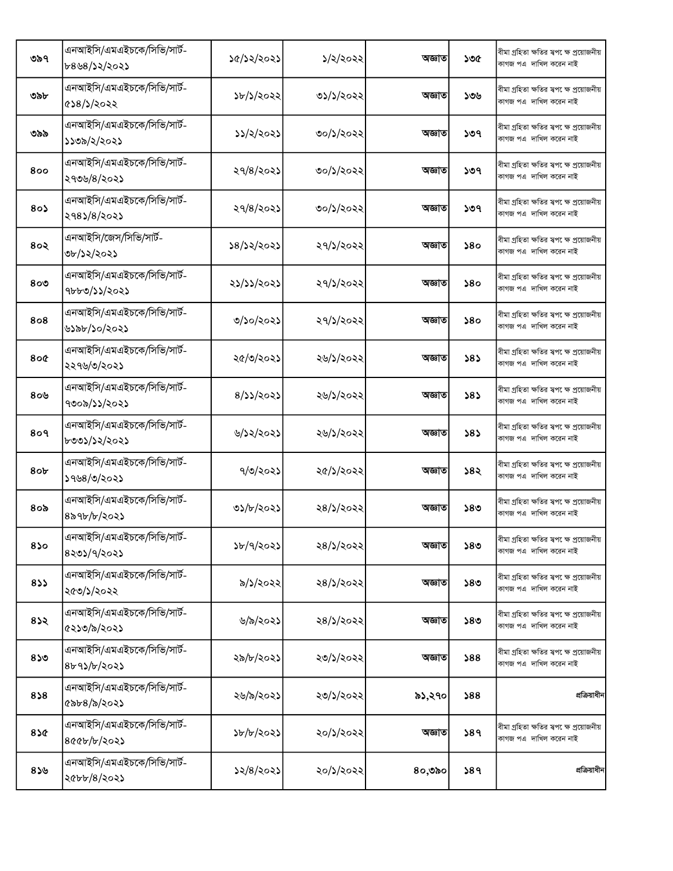| ৩৯৭             | এনআইসি/এমএইচকে/সিভি/সার্ট-<br>৮৪৬৪/১২/২০২১ | ১৫/১২/২০২১ | ১/২/২০২২  | অজ্ঞাত | ১৩৫ | বীমা গ্ৰহিতা ক্ষতির স্বপ েক্ষ প্ৰয়োজনীয়<br>কাগজ পএ দাখিল করেন নাই  |
|-----------------|--------------------------------------------|------------|-----------|--------|-----|----------------------------------------------------------------------|
| ৩৯৮             | এনআইসি/এমএইচকে/সিভি/সার্ট-<br>৫১৪/১/২০২২   | ১৮/১/২০২২  | ৩১/১/২০২২ | অজ্ঞাত | ১৩৬ | বীমা গ্ৰহিতা ক্ষতির স্বপ েক্ষ প্ৰয়োজনীয়<br>কাগজ পএ দাখিল করেন নাই  |
| ৩৯৯             | এনআইসি/এমএইচকে/সিভি/সার্ট-<br>১১৩৯/২/২০২১  | ১১/২/২০২১  | ৩০/১/২০২২ | অজ্ঞাত | ১৩৭ | বীমা গ্ৰহিতা ক্ষতির স্বপ েক্ষ প্ৰয়োজনীয়<br>কাগজ পএ  দাখিল করেন নাই |
| 800             | এনআইসি/এমএইচকে/সিভি/সার্ট-<br>২৭৩৬/৪/২০২১  | ২৭/৪/২০২১  | ৩০/১/২০২২ | অজ্ঞাত | ১৩৭ | বীমা গ্ৰহিতা ক্ষতির স্বপক্ষে প্ৰয়োজনীয়<br>কাগজ পএ দাখিল করেন নাই   |
| $80\lambda$     | এনআইসি/এমএইচকে/সিভি/সার্ট-<br>২৭৪১/৪/২০২১  | 29/8/202   | ৩০/১/২০২২ | অজ্ঞাত | ১৩৭ | বীমা গ্ৰহিতা ক্ষতির স্বপ েক্ষ প্ৰয়োজনীয়<br>কাগজ পএ দাখিল করেন নাই  |
| 8०२             | এনআইসি/জেস/সিভি/সার্ট-<br>৩৮/১২/২০২১       | ১৪/১২/২০২১ | ২৭/১/২০২২ | অজ্ঞাত | 580 | বীমা গ্ৰহিতা ক্ষতির স্বপ েক্ষ প্ৰয়োজনীয়<br>কাগজ পএ দাখিল করেন নাই  |
| 800             | এনআইসি/এমএইচকে/সিভি/সার্ট-<br>৭৮৮৩/১১/২০২১ | ২১/১১/২০২১ | ২৭/১/২০২২ | অজ্ঞাত | 580 | বীমা গ্ৰহিতা ক্ষতির স্বপক্ষে প্ৰয়োজনীয়<br>কাগজ পএ দাখিল করেন নাই   |
| 808             | এনআইসি/এমএইচকে/সিভি/সার্ট-<br>৬১৯৮/১০/২০২১ | ৩/১০/২০২১  | ২৭/১/২০২২ | অজ্ঞাত | 580 | বীমা গ্ৰহিতা ক্ষতির স্বপক্ষে প্ৰয়োজনীয়<br>কাগজ পএ দাখিল করেন নাই   |
| 800             | এনআইসি/এমএইচকে/সিভি/সার্ট-<br>২২৭৬/৩/২০২১  | ২৫/৩/২০২১  | ২৬/১/২০২২ | অজ্ঞাত | ১৪১ | বীমা গ্ৰহিতা ক্ষতির স্বপ েক্ষ প্ৰয়োজনীয়<br>কাগজ পএ দাখিল করেন নাই  |
| 80 <sup>6</sup> | এনআইসি/এমএইচকে/সিভি/সার্ট-<br>৭৩০৯/১১/২০২১ | 8/22/2022  | ২৬/১/২০২২ | অজ্ঞাত | 585 | বীমা গ্ৰহিতা ক্ষতির স্বপ েক্ষ প্ৰয়োজনীয়<br>কাগজ পএ দাখিল করেন নাই  |
| 8०१             | এনআইসি/এমএইচকে/সিভি/সার্ট-<br>৮৩৩১/১২/২০২১ | ৬/১২/২০২১  | ২৬/১/২০২২ | অজ্ঞাত | 585 | বীমা গ্ৰহিতা ক্ষতির স্বপক্ষে প্রয়োজনীয়<br>কাগজ পএ দাখিল করেন নাই   |
| 8 <sub>ob</sub> | এনআইসি/এমএইচকে/সিভি/সার্ট-<br>১৭৬৪/৩/২০২১  | ৭/৩/২০২১   | ২৫/১/২০২২ | অজ্ঞাত | ১৪২ | বীমা গ্ৰহিতা ক্ষতির স্বপ েক্ষ প্ৰয়োজনীয়<br>কাগজ পএ দাখিল করেন নাই  |
| $8$ ಂ৯          | এনআইসি/এমএইচকে/সিভি/সার্ট-<br>৪৯৭৮/৮/২০২১  | ৩১/৮/২০২১  | ২৪/১/২০২২ | অজ্ঞাত | ১৪৩ | বীমা গ্ৰহিতা ক্ষতির স্বপ েক্ষ প্ৰয়োজনীয়<br>কাগজ পএ দাখিল করেন নাই  |
| 850             | এনআইসি/এমএইচকে/সিভি/সার্ট-<br>8205/9/2025  | b/9/3025   | ২৪/১/২০২২ | অজ্ঞাত | ১৪৩ | বীমা গ্ৰহিতা ক্ষতির স্বপ েক্ষ প্ৰয়োজনীয়<br>কাগজ পএ দাখিল করেন নাই  |
| 833             | এনআইসি/এমএইচকে/সিভি/সার্ট-<br>২৫৩/১/২০২২   | ৯/১/২০২২   | ২৪/১/২০২২ | অজ্ঞাত | ১৪৩ | বীমা গ্ৰহিতা ক্ষতির স্বপ েক্ষ প্ৰয়োজনীয়<br>কাগজ পএ দাখিল করেন নাই  |
| 832             | এনআইসি/এমএইচকে/সিভি/সার্ট-<br>৫২১৩/৯/২০২১  | ৬/৯/২০২১   | ২৪/১/২০২২ | অজ্ঞাত | ১৪৩ | বীমা গ্ৰহিতা ক্ষতির স্বপক্ষে প্ৰয়োজনীয়<br>কাগজ পএ দাখিল করেন নাই   |
| 850             | এনআইসি/এমএইচকে/সিভি/সার্ট-<br>8b95/b/2025  | ২৯/৮/২০২১  | ২৩/১/২০২২ | অজ্ঞাত | 588 | বীমা গ্ৰহিতা ক্ষতির স্বপক্ষে প্ৰয়োজনীয়<br>কাগজ পএ দাখিল করেন নাই   |
| 858             | এনআইসি/এমএইচকে/সিভি/সার্ট-<br>৫৯৮৪/৯/২০২১  | ২৬/৯/২০২১  | ২৩/১/২০২২ | ৯১,২৭০ | 588 | প্রক্রিয়াধীন                                                        |
| 85¢             | এনআইসি/এমএইচকে/সিভি/সার্ট-<br>800b/b/2023  | ১৮/৮/২০২১  | ২০/১/২০২২ | অজ্ঞাত | 389 | বীমা গ্ৰহিতা ক্ষতির স্বপক্ষে প্ৰয়োজনীয়<br>কাগজ পএ দাখিল করেন নাই   |
| 859             | এনআইসি/এমএইচকে/সিভি/সার্ট-<br>২৫৮৮/৪/২০২১  | ১২/৪/২০২১  | ২০/১/২০২২ | ৪০,৩৯০ | 589 | প্রক্রিয়াধীন                                                        |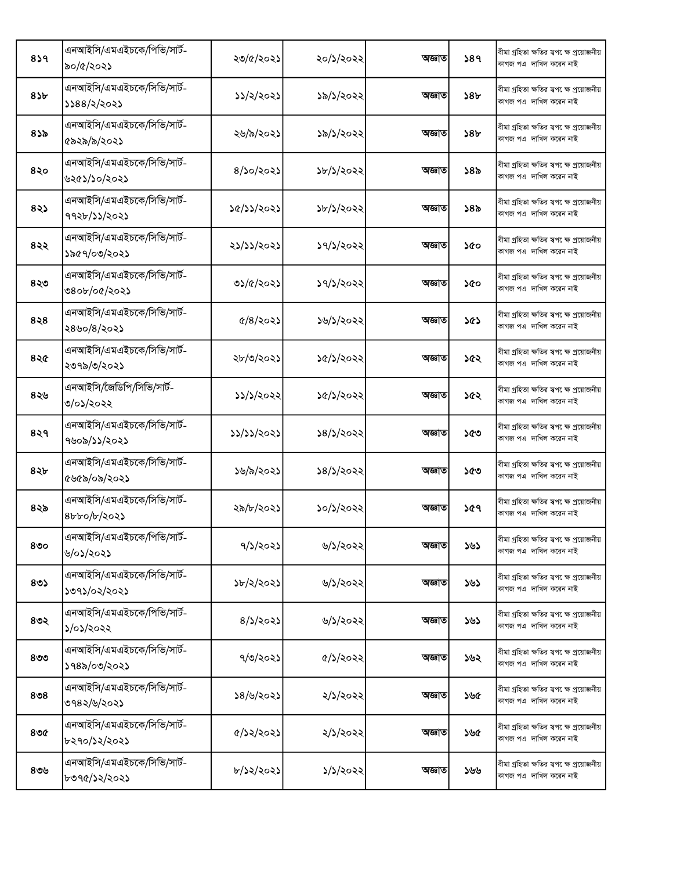| 859          | এনআইসি/এমএইচকে/পিভি/সার্ট-<br>৯০/৫/২০২১      | ২৩/৫/২০২১               | ২০/১/২০২২ | অজ্ঞাত | 589             | বীমা গ্ৰহিতা ক্ষতির স্বপ েক্ষ প্ৰয়োজনীয়<br>কাগজ পএ দাখিল করেন নাই |
|--------------|----------------------------------------------|-------------------------|-----------|--------|-----------------|---------------------------------------------------------------------|
| 85b          | এনআইসি/এমএইচকে/সিভি/সার্ট-<br>১১৪৪/২/২০২১    | ১১/২/২০২১               | ১৯/১/২০২২ | অজ্ঞাত | ১৪৮             | বীমা গ্ৰহিতা ক্ষতির স্বপ েক্ষ প্ৰয়োজনীয়<br>কাগজ পএ দাখিল করেন নাই |
| 835          | এনআইসি/এমএইচকে/সিভি/সার্ট-<br>৫৯২৯/৯/২০২১    | ২৬/৯/২০২১               | ১৯/১/২০২২ | অজ্ঞাত | 58 <sub>b</sub> | বীমা গ্ৰহিতা ক্ষতির স্বপ েক্ষ প্ৰয়োজনীয়<br>কাগজ পএ দাখিল করেন নাই |
| 8२०          | এনআইসি/এমএইচকে/সিভি/সার্ট-<br>৬২৫১/১০/২০২১   | $8/$ ১০/২০২১            | ১৮/১/২০২২ | অজ্ঞাত | ১৪৯             | বীমা গ্ৰহিতা ক্ষতির স্বপ েক্ষ প্ৰয়োজনীয়<br>কাগজ পএ দাখিল করেন নাই |
| 825          | এনআইসি/এমএইচকে/সিভি/সার্ট-<br>৭৭২৮/১১/২০২১   | ১৫/১১/২০২১              | ১৮/১/২০২২ | অজ্ঞাত | ১৪৯             | বীমা গ্ৰহিতা ক্ষতির স্বপক্ষে প্ৰয়োজনীয়<br>কাগজ পএ দাখিল করেন নাই  |
| ৪২২          | এনআইসি/এমএইচকে/সিভি/সার্ট-<br>১৯৫৭/০৩/২০২১   | ২১/১১/২০২১              | ১৭/১/২০২২ | অজ্ঞাত | ১৫০             | বীমা গ্ৰহিতা ক্ষতির স্বপ েক্ষ প্ৰয়োজনীয়<br>কাগজ পএ দাখিল করেন নাই |
| ৪২৩          | এনআইসি/এমএইচকে/সিভি/সার্ট-<br>৩৪০৮/০৫/২০২১   | ৩১/৫/২০২১               | ১৭/১/২০২২ | অজ্ঞাত | ১৫০             | বীমা গ্ৰহিতা ক্ষতির স্বপ েক্ষ প্ৰয়োজনীয়<br>কাগজ পএ দাখিল করেন নাই |
| 828          | এনআইসি/এমএইচকে/সিভি/সার্ট-<br>২৪৬০/৪/২০২১    | $\frac{6}{8}$ $\approx$ | ১৬/১/২০২২ | অজ্ঞাত | ১৫১             | বীমা গ্ৰহিতা ক্ষতির স্বপ েক্ষ প্ৰয়োজনীয়<br>কাগজ পএ দাখিল করেন নাই |
| 82           | এনআইসি/এমএইচকে/সিভি/সার্ট-<br>২৩৭৯/৩/২০২১    | ২৮/৩/২০২১               | ১৫/১/২০২২ | অজ্ঞাত | ১৫২             | বীমা গ্ৰহিতা ক্ষতির স্বপ েক্ষ প্ৰয়োজনীয়<br>কাগজ পএ দাখিল করেন নাই |
| ৪২৬          | এনআইসি/জৈডিপি/সিভি/সার্ট-<br>৩/০১/২০২২       | ১১/১/২০২২               | ১৫/১/২০২২ | অজ্ঞাত | ১৫২             | বীমা গ্ৰহিতা ক্ষতির স্বপ েক্ষ প্ৰয়োজনীয়<br>কাগজ পএ দাখিল করেন নাই |
| 8२१          | এনআইসি/এমএইচকে/সিভি/সার্ট-<br>৭৬০৯/১১/২০২১   | ३३/३১/२०२১              | ১৪/১/২০২২ | অজ্ঞাত | ১৫৩             | বীমা গ্ৰহিতা ক্ষতির স্বপ েক্ষ প্ৰয়োজনীয়<br>কাগজ পএ দাখিল করেন নাই |
| $8\lambda b$ | এনআইসি/এমএইচকে/সিভি/সার্ট-<br>৫৬৫৯/০৯/২০২১   | ১৬/৯/২০২১               | ১৪/১/২০২২ | অজ্ঞাত | ১৫৩             | বীমা গ্ৰহিতা ক্ষতির স্বপ েক্ষ প্ৰয়োজনীয়<br>কাগজ পএ দাখিল করেন নাই |
| ৪২৯          | এনআইসি/এমএইচকে/সিভি/সার্ট-<br>$8b$ bo/b/202) | ২৯/৮/২০২১               | ১০/১/২০২২ | অজ্ঞাত | ১৫৭             | বীমা গ্ৰহিতা ক্ষতির স্বপক্ষে প্ৰয়োজনীয়<br>কাগজ পএ দাখিল করেন নাই  |
| 800          | এনআইসি/এমএইচকে/পিভি/সার্ট-<br>৬/০১/২০২১      | ৭/১/২০২১                | ৬/১/২০২২  | অজ্ঞাত | ১৬১             | বীমা গ্ৰহিতা ক্ষতির স্বপ েক্ষ প্ৰয়োজনীয়<br>কাগজ পএ দাখিল করেন নাই |
| 80           | এনআইসি/এমএইচকে/সিভি/সার্ট-<br>১৩৭১/০২/২০২১   | ১৮/২/২০২১               | ৬/১/২০২২  | অজ্ঞাত | ১৬১             | বীমা গ্ৰহিতা ক্ষতির স্বপ েক্ষ প্ৰয়োজনীয়<br>কাগজ পএ দাখিল করেন নাই |
| ৪৩২          | এনআইসি/এমএইচকে/পিভি/সার্ট-<br>১/০১/২০২২      | 8/5/2025                | ৬/১/২০২২  | অজ্ঞাত | ১৬১             | বীমা গ্ৰহিতা ক্ষতির স্বপক্ষে প্ৰয়োজনীয়<br>কাগজ পএ দাখিল করেন নাই  |
| $8$ ৩৩       | এনআইসি/এমএইচকে/সিভি/সার্ট-<br>১৭৪৯/০৩/২০২১   | ৭/৩/২০২১                | ৫/১/২০২২  | অজ্ঞাত | ১৬২             | বীমা গ্ৰহিতা ক্ষতির স্বপ েক্ষ প্ৰয়োজনীয়<br>কাগজ পএ দাখিল করেন নাই |
| ৪৩৪          | এনআইসি/এমএইচকে/সিভি/সার্ট-<br>৩৭৪২/৬/২০২১    | ১৪/৬/২০২১               | ২/১/২০২২  | অজ্ঞাত | ১৬৫             | বীমা গ্ৰহিতা ক্ষতির স্বপ েক্ষ প্ৰয়োজনীয়<br>কাগজ পএ দাখিল করেন নাই |
| $8$ ৩৫       | এনআইসি/এমএইচকে/সিভি/সার্ট-<br>৮২৭০/১২/২০২১   | ৫/১২/২০২১               | ২/১/২০২২  | অজ্ঞাত | ১৬৫             | বীমা গ্ৰহিতা ক্ষতির স্বপ েক্ষ প্ৰয়োজনীয়<br>কাগজ পএ দাখিল করেন নাই |
| ৪৩৬          | এনআইসি/এমএইচকে/সিভি/সার্ট-<br>৮৩৭৫/১২/২০২১   | ৮/১২/২০২১               | ১/১/২০২২  | অজ্ঞাত | ১৬৬             | বীমা গ্ৰহিতা ক্ষতির স্বপ েক্ষ প্ৰয়োজনীয়<br>কাগজ পএ দাখিল করেন নাই |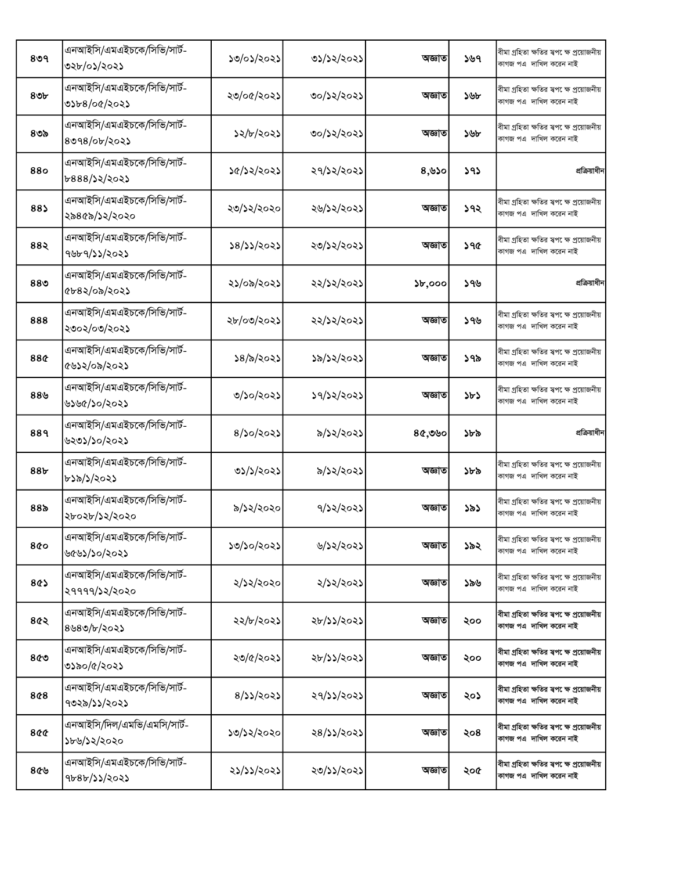| 809             | এনআইসি/এমএইচকে/সিভি/সার্ট-<br>৩২৮/০১/২০২১     | ১৩/০১/২০২১ | ৩১/১২/২০২১ | অজ্ঞাত | ১৬৭ | বীমা গ্ৰহিতা ক্ষতির স্বপ েক্ষ প্রয়োজনীয়<br>কাগজ পএ দাখিল করেন নাই  |
|-----------------|-----------------------------------------------|------------|------------|--------|-----|----------------------------------------------------------------------|
| ৪৩৮             | এনআইসি/এমএইচকে/সিভি/সার্ট-<br>৩১৮৪/০৫/২০২১    | ২৩/০৫/২০২১ | ৩০/১২/২০২১ | অজ্ঞাত | ১৬৮ | বীমা গ্ৰহিতা ক্ষতির স্বপ েক্ষ প্ৰয়োজনীয়<br>কাগজ পএ  দাখিল করেন নাই |
| ৪৩৯             | এনআইসি/এমএইচকে/সিভি/সার্ট-<br>$8098/$ ob/২০২১ | ১২/৮/২০২১  | ৩০/১২/২০২১ | অজ্ঞাত | ১৬৮ | বীমা গ্ৰহিতা ক্ষতির স্বপ েক্ষ প্ৰয়োজনীয়<br>কাগজ পএ  দাখিল করেন নাই |
| 880             | এনআইসি/এমএইচকে/সিভি/সার্ট-<br>৮৪৪৪/১২/২০২১    | ১৫/১২/২০২১ | ২৭/১২/২০২১ | 8,80   | ১৭১ | প্রক্রিয়াধীন                                                        |
| 88)             | এনআইসি/এমএইচকে/সিভি/সার্ট-<br>২৯৪৫৯/১২/২০২০   | ২৩/১২/২০২০ | ২৬/১২/২০২১ | অজ্ঞাত | ১৭২ | বীমা গ্ৰহিতা ক্ষতির স্বপ েক্ষ প্ৰয়োজনীয়<br>কাগজ পএ দাখিল করেন নাই  |
| 88२             | এনআইসি/এমএইচকে/সিভি/সার্ট-<br>৭৬৮৭/১১/২০২১    | ১৪/১১/২০২১ | ২৩/১২/২০২১ | অজ্ঞাত | ১৭৫ | বীমা গ্ৰহিতা ক্ষতির স্বপ েক্ষ প্ৰয়োজনীয়<br>কাগজ পএ দাখিল করেন নাই  |
| 88 <sub>0</sub> | এনআইসি/এমএইচকে/সিভি/সার্ট-<br>৫৮৪২/০৯/২০২১    | ২১/০৯/২০২১ | ২২/১২/২০২১ | 5b,000 | ১৭৬ | প্রক্রিয়াধীন                                                        |
| 888             | এনআইসি/এমএইচকে/সিভি/সার্ট-<br>২৩০২/০৩/২০২১    | ২৮/০৩/২০২১ | ২২/১২/২০২১ | অজ্ঞাত | ১৭৬ | বীমা গ্ৰহিতা ক্ষতির স্বপ েক্ষ প্ৰয়োজনীয়<br>কাগজ পএ দাখিল করেন নাই  |
| 88¢             | এনআইসি/এমএইচকে/সিভি/সার্ট-<br>৫৬১২/০৯/২০২১    | ১৪/৯/২০২১  | ১৯/১২/২০২১ | অজ্ঞাত | ১৭৯ | বীমা গ্ৰহিতা ক্ষতির স্বপক্ষে প্ৰয়োজনীয়<br>কাগজ পএ  দাখিল করেন নাই  |
| $88$ ৬          | এনআইসি/এমএইচকে/সিভি/সার্ট-<br>৬১৬৫/১০/২০২১    | ৩/১০/২০২১  | ১৭/১২/২০২১ | অজ্ঞাত | ১৮১ | বীমা গ্ৰহিতা ক্ষতির স্বপ েক্ষ প্ৰয়োজনীয়<br>কাগজ পএ দাখিল করেন নাই  |
|                 | এনআইসি/এমএইচকে/সিভি/সার্ট-                    |            |            |        |     |                                                                      |
| 889             | ৬২৩১/১০/২০২১                                  | 8/50/2025  | ৯/১২/২০২১  | ৪৫,৩৬০ | ১৮৯ | প্রক্রিয়াধীন                                                        |
| 88b             | এনআইসি/এমএইচকে/সিভি/সার্ট-<br>৮১৯/১/২০২১      | ৩১/১/২০২১  | ৯/১২/২০২১  | অজ্ঞাত | ১৮৯ | বীমা গ্ৰহিতা ক্ষতির স্বপ েক্ষ প্ৰয়োজনীয়<br>কাগজ পএ দাখিল করেন নাই  |
| 88৯             | এনআইসি/এমএইচকে/সিভি/সার্ট-<br>২৮০২৮/১২/২০২০   | ৯/১২/২০২০  | ৭/১২/২০২১  | অজ্ঞাত | ১৯১ | বীমা গ্ৰহিতা ক্ষতির স্বপক্ষে প্ৰয়োজনীয়<br>কাগজ পএ দাখিল করেন নাই   |
| 800             | এনআইসি/এমএইচকে/সিভি/সার্ট-<br>৬৫৬১/১০/২০২১    | ১৩/১০/২০২১ | ৬/১২/২০২১  | অজ্ঞাত | ১৯২ | বীমা গ্ৰহিতা ক্ষতির স্বপ েক্ষ প্ৰয়োজনীয়<br>কাগজ পএ দাখিল করেন নাই  |
| 8¢১             | এনআইসি/এমএইচকে/সিভি/সার্ট-<br>২৭৭৭৭/১২/২০২০   | ২/১২/২০২০  | ২/১২/২০২১  | অজ্ঞাত | ১৯৬ | বীমা গ্ৰহিতা ক্ষতির স্বপক্ষে প্রয়োজনীয়<br>কাগজ পএ দাখিল করেন নাই   |
| ৪৫২             | এনআইসি/এমএইচকে/সিভি/সার্ট-<br>8980/b/2025     | ২২/৮/২০২১  | ২৮/১১/২০২১ | অজ্ঞাত | ২০০ | বীমা গ্ৰহিতা ক্ষতির স্বপ েক্ষ প্ৰয়োজনীয়<br>কাগজ পএ দাখিল করেন নাই  |
| ৪৫৩             | এনআইসি/এমএইচকে/সিভি/সার্ট-<br>৩১৯০/৫/২০২১     | ২৩/৫/২০২১  | ২৮/১১/২০২১ | অজ্ঞাত | ২০০ | বীমা গ্ৰহিতা ক্ষতির স্বপ েক্ষ প্ৰয়োজনীয়<br>কাগজ পএ দাখিল করেন নাই  |
| 8¢8             | এনআইসি/এমএইচকে/সিভি/সার্ট-<br>৭৩২৯/১১/২০২১    | 8/35/2025  | ২৭/১১/২০২১ | অজ্ঞাত | ২০১ | বীমা গ্ৰহিতা ক্ষতির স্বপ েক্ষ প্ৰয়োজনীয়<br>কাগজ পএ দাখিল করেন নাই  |
| 800             | এনআইসি/দিল/এমভি/এমসি/সার্ট-<br>১৮৬/১২/২০২০    | ১৩/১২/২০২০ | ২৪/১১/২০২১ | অজ্ঞাত | ২০৪ | বীমা গ্ৰহিতা ক্ষতির স্বপক্ষে প্ৰয়োজনীয়<br>কাগজ পএ দাখিল করেন নাই   |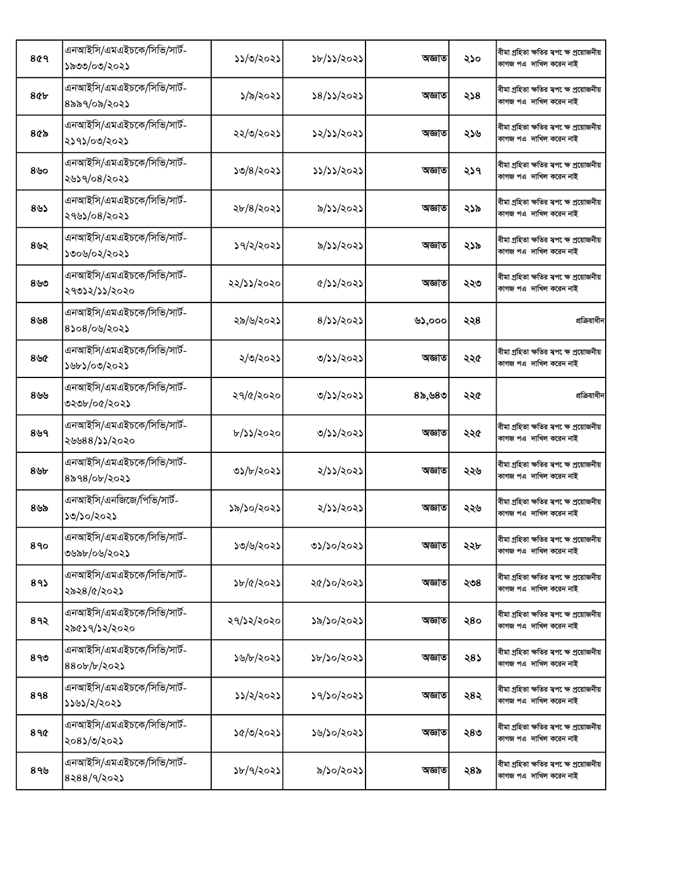| 809             | এনআইসি/এমএইচকে/সিভি/সার্ট-<br>১৯৩৩/০৩/২০২১  | ১১/৩/২০২১  | ১৮/১১/২০২১                  | অজ্ঞাত | ২১০ | বীমা গ্ৰহিতা ক্ষতির স্বপ েক্ষ প্রয়োজনীয়<br>কাগজ পএ দাখিল করেন নাই |
|-----------------|---------------------------------------------|------------|-----------------------------|--------|-----|---------------------------------------------------------------------|
| <b>8¢b</b>      | এনআইসি/এমএইচকে/সিভি/সার্ট-<br>৪৯৯৭/০৯/২০২১  | ১/৯/২০২১   | ১৪/১১/২০২১                  | অজ্ঞাত | ২১৪ | বীমা গ্ৰহিতা ক্ষতির স্বপ েক্ষ প্ৰয়োজনীয়<br>কাগজ পএ দাখিল করেন নাই |
| $8$ ৫৯          | এনআইসি/এমএইচকে/সিভি/সার্ট-<br>২১৭১/০৩/২০২১  | ২২/৩/২০২১  | ১২/১১/২০২১                  | অজ্ঞাত | ২১৬ | বীমা গ্ৰহিতা ক্ষতির স্বপ েক্ষ প্ৰয়োজনীয়<br>কাগজ পএ দাখিল করেন নাই |
| ৪৬০             | এনআইসি/এমএইচকে/সিভি/সার্ট-<br>২৬১৭/০৪/২০২১  | ১৩/৪/২০২১  | ১১/১১/২০২১                  | অজ্ঞাত | ২১৭ | বীমা গ্ৰহিতা ক্ষতির স্বপ েক্ষ প্ৰয়োজনীয়<br>কাগজ পএ দাখিল করেন নাই |
| 89              | এনআইসি/এমএইচকে/সিভি/সার্ট-<br>২৭৬১/০৪/২০২১  | ২৮/৪/২০২১  | ৯/১১/২০২১                   | অজ্ঞাত | ২১৯ | বীমা গ্ৰহিতা ক্ষতির স্বপ েক্ষ প্ৰয়োজনীয়<br>কাগজ পএ দাখিল করেন নাই |
| ৪৬২             | এনআইসি/এমএইচকে/সিভি/সার্ট-<br>১৩০৬/০২/২০২১  | ১৭/২/২০২১  | ৯/১১/২০২১                   | অজ্ঞাত | ২১৯ | বীমা গ্ৰহিতা ক্ষতির স্বপ েক্ষ প্ৰয়োজনীয়<br>কাগজ পএ দাখিল করেন নাই |
| ৪৬৩             | এনআইসি/এমএইচকে/সিভি/সার্ট-<br>২৭৩১২/১১/২০২০ | ২২/১১/২০২০ | $\frac{1}{2}$ $\frac{1}{2}$ | অজ্ঞাত | ২২৩ | বীমা গ্ৰহিতা ক্ষতির স্বপ েক্ষ প্রয়োজনীয়<br>কাগজ পএ দাখিল করেন নাই |
| $8\mathcal{B}8$ | এনআইসি/এমএইচকে/সিভি/সার্ট-<br>8১০৪/০৬/২০২১  | ২৯/৬/২০২১  | 8/33/2023                   | ৬১,০০০ | ২২৪ | প্রক্রিয়াধীন                                                       |
| ৪৬৫             | এনআইসি/এমএইচকে/সিভি/সার্ট-<br>১৬৮১/০৩/২০২১  | ২/৩/২০২১   | ৩/১১/২০২১                   | অজ্ঞাত | ২২৫ | বীমা গ্ৰহিতা ক্ষতির স্বপ েক্ষ প্ৰয়োজনীয়<br>কাগজ পএ দাখিল করেন নাই |
| ৪৬৬             | এনআইসি/এমএইচকে/সিভি/সার্ট-<br>৩২৩৮/০৫/২০২১  | ২৭/৫/২০২০  | ৩/১১/২০২১                   | ৪৯,৬৪৩ | ২২৫ | প্রক্রিয়াধীন                                                       |
| ৪৬৭             | এনআইসি/এমএইচকে/সিভি/সার্ট-<br>২৬৬৪৪/১১/২০২০ | ৮/১১/২০২০  | ৩/১১/২০২১                   | অজ্ঞাত | ২২৫ | বীমা গ্ৰহিতা ক্ষতির স্বপ েক্ষ প্ৰয়োজনীয়<br>কাগজ পএ দাখিল করেন নাই |
| ৪৬৮             | এনআইসি/এমএইচকে/সিভি/সার্ট-<br>৪৯৭৪/০৮/২০২১  | ৩১/৮/২০২১  | ২/১১/২০২১                   | অজ্ঞাত | ২২৬ | বীমা গ্ৰহিতা ক্ষতির স্বপ েক্ষ প্ৰয়োজনীয়<br>কাগজ পএ দাখিল করেন নাই |
| ৪৬৯             | এনআইসি/এনজিজে/পিভি/সার্ট-<br>১৩/১০/২০২১     | ১৯/১০/২০২১ | ২/১১/২০২১                   | অজ্ঞাত | ২২৬ | বীমা গ্ৰহিতা ক্ষতির স্বপক্ষে প্ৰয়োজনীয়<br>কাগজ পএ দাখিল করেন নাই  |
| 890             | এনআইসি/এমএইচকে/সিভি/সার্ট-<br>৩৬৯৮/০৬/২০২১  | ১৩/৬/২০২১  | ৩১/১০/২০২১                  | অজ্ঞাত | ২২৮ | বীমা গ্ৰহিতা ক্ষতির স্বপ েক্ষ প্ৰয়োজনীয়<br>কাগজ পএ দাখিল করেন নাই |
| 89              | এনআইসি/এমএইচকে/সিভি/সার্ট-<br>২৯২৪/৫/২০২১   | ১৮/৫/২০২১  | ২৫/১০/২০২১                  | অজ্ঞাত | ২৩৪ | বীমা গ্ৰহিতা ক্ষতির স্বপক্ষে প্ৰয়োজনীয়<br>কাগজ পএ দাখিল করেন নাই  |
| 8१२             | এনআইসি/এমএইচকে/সিভি/সার্ট-<br>২৯৫১৭/১২/২০২০ | ২৭/১২/২০২০ | ১৯/১০/২০২১                  | অজ্ঞাত | ২৪০ | বীমা গ্ৰহিতা ক্ষতির স্বপ েক্ষ প্ৰয়োজনীয়<br>কাগজ পএ দাখিল করেন নাই |
| 890             | এনআইসি/এমএইচকে/সিভি/সার্ট-<br>880b/b/2025   | ১৬/৮/২০২১  | ১৮/১০/২০২১                  | অজ্ঞাত | ২৪১ | বীমা গ্ৰহিতা ক্ষতির স্বপ েক্ষ প্ৰয়োজনীয়<br>কাগজ পএ দাখিল করেন নাই |
| 898             | এনআইসি/এমএইচকে/সিভি/সার্ট-<br>১১৬১/২/২০২১   | ১১/২/২০২১  | ১৭/১০/২০২১                  | অজ্ঞাত | ২৪২ | বীমা গ্ৰহিতা ক্ষতির স্বপ েক্ষ প্ৰয়োজনীয়<br>কাগজ পএ দাখিল করেন নাই |
| 89¢             | এনআইসি/এমএইচকে/সিভি/সার্ট-<br>২০৪১/৩/২০২১   | ১৫/৩/২০২১  | ১৬/১০/২০২১                  | অজ্ঞাত | ২৪৩ | বীমা গ্ৰহিতা ক্ষতির স্বপ েক্ষ প্ৰয়োজনীয়<br>কাগজ পএ দাখিল করেন নাই |
| ৪৭৬             | এনআইসি/এমএইচকে/সিভি/সার্ট-<br>8288/9/2023   | ১৮/৭/২০২১  | ৯/১০/২০২১                   | অজ্ঞাত | ২৪৯ | বীমা গ্ৰহিতা ক্ষতির স্বপ েক্ষ প্ৰয়োজনীয়<br>কাগজ পএ দাখিল করেন নাই |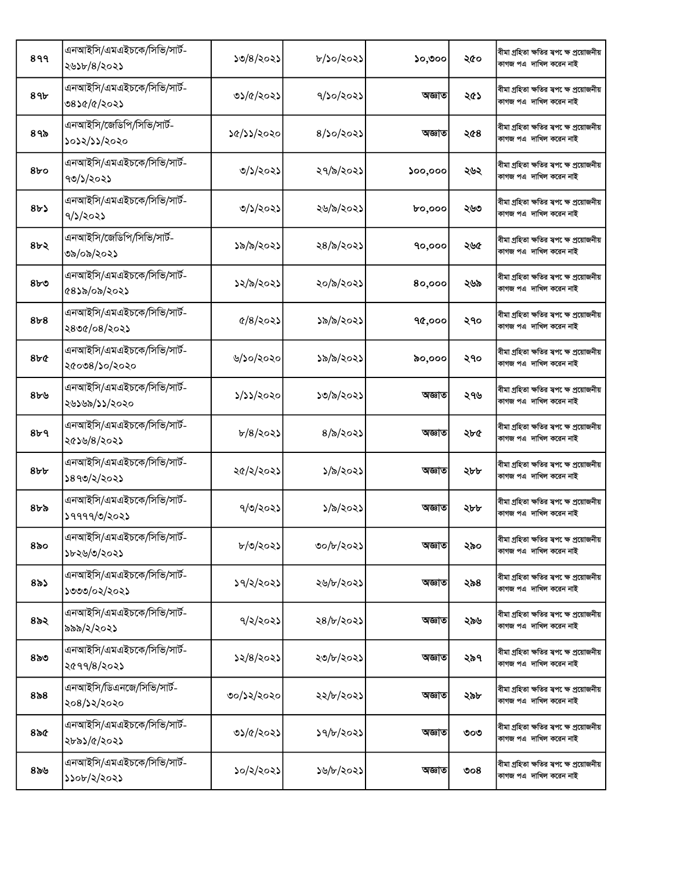| 899              | এনআইসি/এমএইচকে/সিভি/সার্ট-<br>২৬১৮/৪/২০২১   | ১৩/৪/২০২১               | ৮/১০/২০২১        | ১০,৩০০        | ২৫০ | বীমা গ্ৰহিতা ক্ষতির স্বপ েক্ষ প্ৰয়োজনীয়<br>কাগজ পএ দাখিল করেন নাই  |
|------------------|---------------------------------------------|-------------------------|------------------|---------------|-----|----------------------------------------------------------------------|
| 89৮              | এনআইসি/এমএইচকে/সিভি/সার্ট-<br>৩৪১৫/৫/২০২১   | ৩১/৫/২০২১               | ৭/১০/২০২১        | অজ্ঞাত        | ২৫১ | বীমা গ্ৰহিতা ক্ষতির স্বপ েক্ষ প্ৰয়োজনীয়<br>কাগজ পএ দাখিল করেন নাই  |
| ৪৭৯              | এনআইসি/জেডিপি/সিভি/সার্ট-<br>১০১২/১১/২০২০   | ১৫/১১/২০২০              | $8/$ ১০/২০২১     | অজ্ঞাত        | ২৫৪ | বীমা গ্ৰহিতা ক্ষতির স্বপ েক্ষ প্ৰয়োজনীয়<br>কাগজ পএ দাখিল করেন নাই  |
| 8 <sub>0</sub>   | এনআইসি/এমএইচকে/সিভি/সার্ট-<br>৭৩/১/২০২১     | ৩/১/২০২১                | ২৭/৯/২০২১        | 500,000       | ২৬২ | বীমা গ্ৰহিতা ক্ষতির স্বপ েক্ষ প্ৰয়োজনীয়<br>কাগজ পএ দাখিল করেন নাই  |
| 8b               | এনআইসি/এমএইচকে/সিভি/সার্ট-<br>9/5/2025      | ৩/১/২০২১                | ২৬/৯/২০২১        | <b>bo,000</b> | ২৬৩ | বীমা গ্ৰহিতা ক্ষতির স্বপ েক্ষ প্ৰয়োজনীয়<br>কাগজ পএ দাখিল করেন নাই  |
| ৪৮২              | এনআইসি/জেডিপি/সিভি/সার্ট-<br>৩৯/০৯/২০২১     | ১৯/৯/২০২১               | ২৪/৯/২০২১        | 90,000        | ২৬৫ | বীমা গ্ৰহিতা ক্ষতির স্বপ েক্ষ প্ৰয়োজনীয়<br>কাগজ পএ দাখিল করেন নাই  |
| $8b$ ৩           | এনআইসি/এমএইচকে/সিভি/সার্ট-<br>৫৪১৯/০৯/২০২১  | ১২/৯/২০২১               | ২০/৯/২০২১        | 80,000        | ২৬৯ | বীমা গ্ৰহিতা ক্ষতির স্বপ েক্ষ প্রয়োজনীয়<br>কাগজ পএ দাখিল করেন নাই  |
| 8 <sub>b</sub> 8 | এনআইসি/এমএইচকে/সিভি/সার্ট-<br>২৪৩৫/০৪/২০২১  | $\frac{6}{8}$ $\approx$ | ১৯/৯/২০২১        | 90,000        | ২৭০ | বীমা গ্ৰহিতা ক্ষতির স্বপ েক্ষ প্রয়োজনীয়<br>কাগজ পএ দাখিল করেন নাই  |
| 8bC              | এনআইসি/এমএইচকে/সিভি/সার্ট-<br>২৫০৩৪/১০/২০২০ | ৬/১০/২০২০               | ১৯/৯/২০২১        | ৯০,০০০        | ২৭০ | বীমা গ্ৰহিতা ক্ষতির স্বপ েক্ষ প্ৰয়োজনীয়<br>কাগজ পএ দাখিল করেন নাই  |
| ৪৮৬              | এনআইসি/এমএইচকে/সিভি/সার্ট-<br>২৬১৬৯/১১/২০২০ | ১/১১/২০২০               | ১৩/৯/২০২১        | অজ্ঞাত        | ২৭৬ | বীমা গ্ৰহিতা ক্ষতির স্বপ েক্ষ প্ৰয়োজনীয়<br>কাগজ পএ  দাখিল করেন নাই |
| 8b9              | এনআইসি/এমএইচকে/সিভি/সার্ট-<br>২৫১৬/৪/২০২১   | b/8/302                 | $8/\delta$ /২০২১ | অজ্ঞাত        | ২৮৫ | বীমা গ্ৰহিতা ক্ষতির স্বপ েক্ষ প্রয়োজনীয়<br>কাগজ পএ দাখিল করেন নাই  |
| 8b               | এনআইসি/এমএইচকে/সিভি/সার্ট-<br>১৪৭৩/২/২০২১   | ২৫/২/২০২১               | ১/৯/২০২১         | অজ্ঞাত        | ২৮৮ | বীমা গ্ৰহিতা ক্ষতির স্বপ েক্ষ প্ৰয়োজনীয়<br>কাগজ পএ দাখিল করেন নাই  |
| ৪৮৯              | এনআইসি/এমএইচকে/সিভি/সার্ট-<br>১৭৭৭৭/৩/২০২১  | ৭/৩/২০২১                | ১/৯/২০২১         | অজ্ঞাত        | ২৮৮ | বীমা গ্ৰহিতা ক্ষতির স্বপ েক্ষ প্ৰয়োজনীয়<br>কাগজ পএ দাখিল করেন নাই  |
| 850              | এনআইসি/এমএইচকে/সিভি/সার্ট-<br>১৮২৬/৩/২০২১   | ৮/৩/২০২১                | ৩০/৮/২০২১        | অজ্ঞাত        | ২৯০ | বীমা গ্ৰহিতা ক্ষতির স্বপ েক্ষ প্ৰয়োজনীয়<br>কাগজ পএ দাখিল করেন নাই  |
| $8\delta$ ১      | এনআইসি/এমএইচকে/সিভি/সার্ট-<br>১৩৩৩/০২/২০২১  | ১৭/২/২০২১               | ২৬/৮/২০২১        | অজ্ঞাত        | ২৯৪ | বীমা গ্ৰহিতা ক্ষতির স্বপ েক্ষ প্ৰয়োজনীয়<br>কাগজ পএ দাখিল করেন নাই  |
| $85$ ২           | এনআইসি/এমএইচকে/সিভি/সার্ট-<br>৯৯৯/২/২০২১    | 9/2/202                 | ২৪/৮/২০২১        | অজ্ঞাত        | ২৯৬ | বীমা গ্ৰহিতা ক্ষতির স্বপ েক্ষ প্রয়োজনীয়<br>কাগজ পএ দাখিল করেন নাই  |
| ৪৯৩              | এনআইসি/এমএইচকে/সিভি/সার্ট-<br>২৫৭৭/৪/২০২১   | ১২/৪/২০২১               | ২৩/৮/২০২১        | অজ্ঞাত        | ২৯৭ | বীমা গ্ৰহিতা ক্ষতির স্বপ েক্ষ প্রয়োজনীয়<br>কাগজ পএ দাখিল করেন নাই  |
| ৪৯৪              | এনআইসি/ডিএনজে/সিভি/সার্ট-<br>২০৪/১২/২০২০    | ৩০/১২/২০২০              | ২২/৮/২০২১        | অজ্ঞাত        | ২৯৮ | বীমা গ্ৰহিতা ক্ষতির স্বপ েক্ষ প্ৰয়োজনীয়<br>কাগজ পএ  দাখিল করেন নাই |
| $8\delta$        | এনআইসি/এমএইচকে/সিভি/সার্ট-<br>২৮৯১/৫/২০২১   | ৩১/৫/২০২১               | 39/b/2025        | অজ্ঞাত        | ৩০৩ | বীমা গ্ৰহিতা ক্ষতির স্বপ েক্ষ প্ৰয়োজনীয়<br>কাগজ পএ দাখিল করেন নাই  |
| ৪৯৬              | এনআইসি/এমএইচকে/সিভি/সার্ট-<br>১১০৮/২/২০২১   | ১০/২/২০২১               | ১৬/৮/২০২১        | অজ্ঞাত        | ৩০৪ | বীমা গ্ৰহিতা ক্ষতির স্বপ েক্ষ প্রয়োজনীয়<br>কাগজ পএ দাখিল করেন নাই  |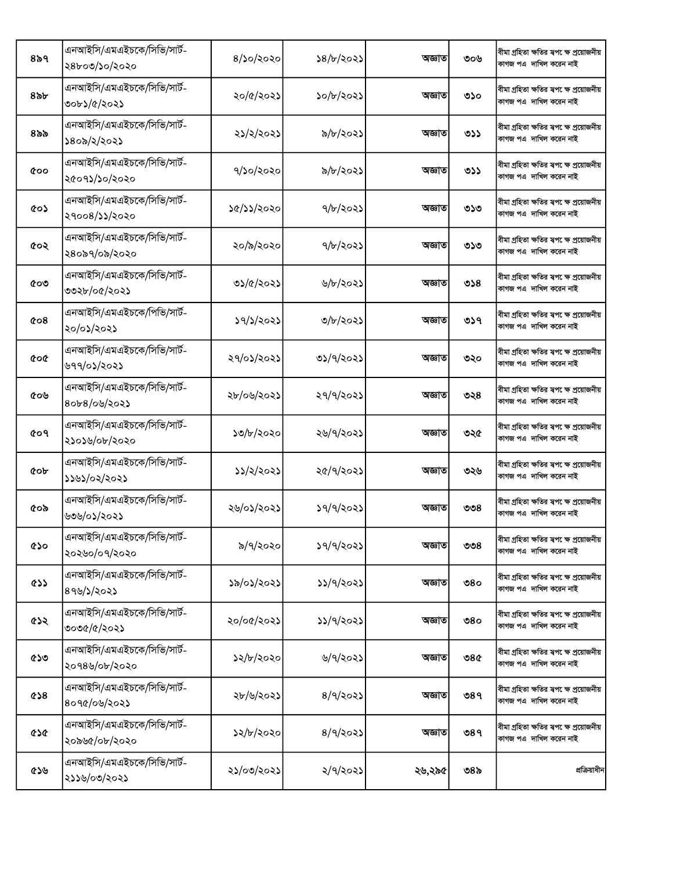| ৪৯৭        | এনআইসি/এমএইচকে/সিভি/সার্ট-<br>২৪৮০৩/১০/২০২০ | $8/$ ১০/২০২০ | ১৪/৮/২০২১ | অজ্ঞাত | ৩০৬ | বীমা গ্ৰহিতা ক্ষতির স্বপ েক্ষ প্রয়োজনীয়<br>কাগজ পএ দাখিল করেন নাই  |
|------------|---------------------------------------------|--------------|-----------|--------|-----|----------------------------------------------------------------------|
| ৪৯৮        | এনআইসি/এমএইচকে/সিভি/সার্ট-<br>৩০৮১/৫/২০২১   | ২০/৫/২০২১    | ১০/৮/২০২১ | অজ্ঞাত | ৩১০ | বীমা গ্ৰহিতা ক্ষতির স্বপ েক্ষ প্ৰয়োজনীয়<br>কাগজ পএ দাখিল করেন নাই  |
| ৪৯৯        | এনআইসি/এমএইচকে/সিভি/সার্ট-<br>১৪০৯/২/২০২১   | ২১/২/২০২১    | ৯/৮/২০২১  | অজ্ঞাত | ৩১১ | বীমা গ্ৰহিতা ক্ষতির স্বপ েক্ষ প্রয়োজনীয়<br>কাগজ পএ দাখিল করেন নাই  |
| <b>coo</b> | এনআইসি/এমএইচকে/সিভি/সার্ট-<br>২৫০৭১/১০/২০২০ | ৭/১০/২০২০    | ৯/৮/২০২১  | অজ্ঞাত | ৩১১ | বীমা গ্ৰহিতা ক্ষতির স্বপ েক্ষ প্রয়োজনীয়<br>কাগজ পএ দাখিল করেন নাই  |
| ৫০১        | এনআইসি/এমএইচকে/সিভি/সার্ট-<br>২৭০০৪/১১/২০২০ | ১৫/১১/২০২০   | ৭/৮/২০২১  | অজ্ঞাত | ৩১৩ | বীমা গ্ৰহিতা ক্ষতির স্বপ েক্ষ প্ৰয়োজনীয়<br>কাগজ পএ দাখিল করেন নাই  |
| ৫০২        | এনআইসি/এমএইচকে/সিভি/সার্ট-<br>২৪০৯৭/০৯/২০২০ | ২০/৯/২০২০    | ৭/৮/২০২১  | অজ্ঞাত | ৩১৩ | বীমা গ্ৰহিতা ক্ষতির স্বপ েক্ষ প্ৰয়োজনীয়<br>কাগজ পএ দাখিল করেন নাই  |
| ৫০৩        | এনআইসি/এমএইচকে/সিভি/সার্ট-<br>৩৩২৮/০৫/২০২১  | ৩১/৫/২০২১    | ৬/৮/২০২১  | অজ্ঞাত | ৩১৪ | বীমা গ্ৰহিতা ক্ষতির স্বপ েক্ষ প্রয়োজনীয়<br>কাগজ পএ দাখিল করেন নাই  |
| $\&$ 08    | এনআইসি/এমএইচকে/পিভি/সার্ট-<br>২০/০১/২০২১    | ১৭/১/২০২১    | ৩/৮/২০২১  | অজ্ঞাত | ৩১৭ | বীমা গ্ৰহিতা ক্ষতির স্বপ েক্ষ প্রয়োজনীয়<br>কাগজ পএ দাখিল করেন নাই  |
| coc        | এনআইসি/এমএইচকে/সিভি/সার্ট-<br>৬৭৭/০১/২০২১   | ২৭/০১/২০২১   | ৩১/৭/২০২১ | অজ্ঞাত | ৩২০ | বীমা গ্ৰহিতা ক্ষতির স্বপ েক্ষ প্ৰয়োজনীয়<br>কাগজ পএ দাখিল করেন নাই  |
| ৫০৬        | এনআইসি/এমএইচকে/সিভি/সার্ট-<br>৪০৮৪/০৬/২০২১  | ২৮/০৬/২০২১   | ২৭/৭/২০২১ | অজ্ঞাত | ৩২৪ | বীমা গ্ৰহিতা ক্ষতির স্বপ েক্ষ প্ৰয়োজনীয়<br>কাগজ পএ দাখিল করেন নাই  |
| <b>co9</b> | এনআইসি/এমএইচকে/সিভি/সার্ট-<br>২১০১৬/০৮/২০২০ | ১৩/৮/২০২০    | ২৬/৭/২০২১ | অজ্ঞাত | ৩২৫ | বীমা গ্ৰহিতা ক্ষতির স্বপ েক্ষ প্রয়োজনীয়<br>কাগজ পএ দাখিল করেন নাই  |
| <b>COP</b> | এনআইসি/এমএইচকে/সিভি/সার্ট-<br>১১৬১/০২/২০২১  | ১১/২/২০২১    | ২৫/৭/২০২১ | অজ্ঞাত | ৩২৬ | বীমা গ্ৰহিতা ক্ষতির স্বপ েক্ষ প্রয়োজনীয়<br>কাগজ পএ দাখিল করেন নাই  |
| ৫০৯        | এনআইসি/এমএইচকে/সিভি/সার্ট-<br>৬৩৬/০১/২০২১   | ২৬/০১/২০২১   | ১৭/৭/২০২১ | অজ্ঞাত | ৩৩৪ | বীমা গ্ৰহিতা ক্ষতির স্বপ েক্ষ প্ৰয়োজনীয়<br>কাগজ পএ দাখিল করেন নাই  |
| ৫১০        | এনআইসি/এমএইচকে/সিভি/সার্ট-<br>২০২৬০/০৭/২০২০ | ৯/৭/২০২০     | ১৭/৭/২০২১ | অজ্ঞাত | ৩৩৪ | বীমা গ্ৰহিতা ক্ষতির স্বপ েক্ষ প্ৰয়োজনীয়<br>কাগজ পএ দাখিল করেন নাই  |
| ৫১১        | এনআইসি/এমএইচকে/সিভি/সার্ট-<br>899/2022      | ১৯/০১/২০২১   | ১১/৭/২০২১ | অজ্ঞাত | ৩৪০ | বীমা গ্ৰহিতা ক্ষতির স্বপ েক্ষ প্ৰয়োজনীয়<br>কাগজ পএ দাখিল করেন নাই  |
| ৫১২        | এনআইসি/এমএইচকে/সিভি/সার্ট-<br>৩০৩৫/৫/২০২১   | ২০/০৫/২০২১   | ১১/৭/২০২১ | অজ্ঞাত | ৩৪০ | বীমা গ্ৰহিতা ক্ষতির স্বপ েক্ষ প্ৰয়োজনীয়<br>কাগজ পএ দাখিল করেন নাই  |
| ৫১৩        | এনআইসি/এমএইচকে/সিভি/সার্ট-<br>২০৭৪৬/০৮/২০২০ | ১২/৮/২০২০    | ৬/৭/২০২১  | অজ্ঞাত | ৩৪৫ | বীমা গ্ৰহিতা ক্ষতির ষপ েক্ষ প্ৰয়োজনীয়<br>কাগজ পএ দাখিল করেন নাই    |
| &8         | এনআইসি/এমএইচকে/সিভি/সার্ট-<br>৪০৭৫/০৬/২০২১  | ২৮/৬/২০২১    | 8/9/202   | অজ্ঞাত | 989 | বীমা গ্ৰহিতা ক্ষতির স্বপ েক্ষ প্ৰয়োজনীয়<br>কাগজ পএ  দাখিল করেন নাই |
| ৫১৫        | এনআইসি/এমএইচকে/সিভি/সার্ট-<br>২০৯৬৫/০৮/২০২০ | ১২/৮/২০২০    | 8/9/202   | অজ্ঞাত | ৩৪৭ | বীমা গ্ৰহিতা ক্ষতির স্বপ েক্ষ প্ৰয়োজনীয়<br>কাগজ পএ দাখিল করেন নাই  |
| ৫১৬        | এনআইসি/এমএইচকে/সিভি/সার্ট-<br>২১১৬/০৩/২০২১  | ২১/০৩/২০২১   | ২/৭/২০২১  | ২৬,২৯৫ | ৩৪৯ | প্রক্রিয়াধীন                                                        |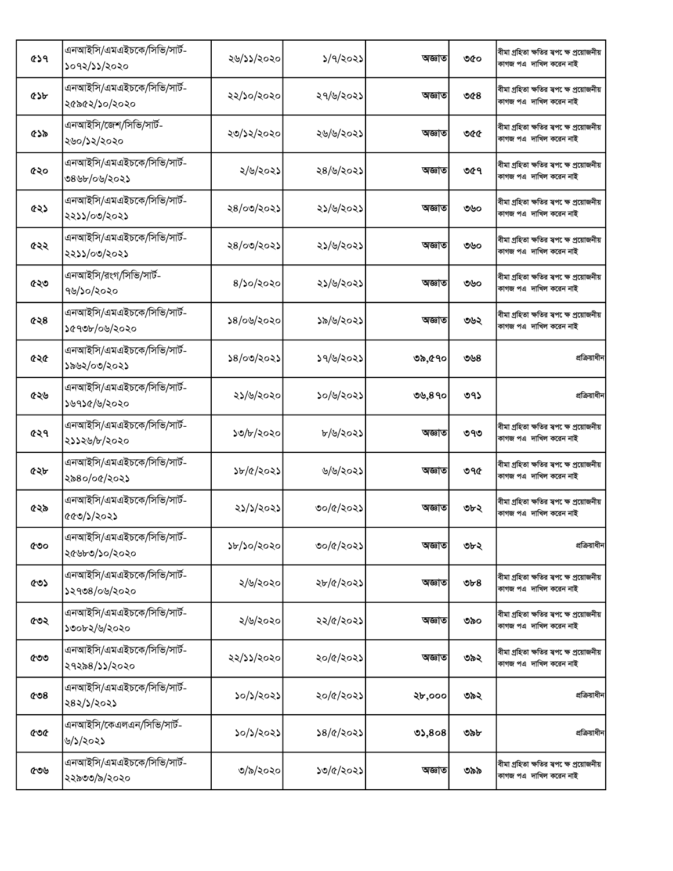| ৫১৭ | এনআইসি/এমএইচকে/সিভি/সার্ট-<br>১০৭২/১১/২০২০  | ২৬/১১/২০২০     | $\frac{5}{9}$ | অজ্ঞাত | ৩৫০   | বীমা গ্ৰহিতা ক্ষতির স্বপ েক্ষ প্ৰয়োজনীয়<br>কাগজ পএ দাখিল করেন নাই |
|-----|---------------------------------------------|----------------|---------------|--------|-------|---------------------------------------------------------------------|
| ৫১৮ | এনআইসি/এমএইচকে/সিভি/সার্ট-<br>২৫৯৫২/১০/২০২০ | ২২/১০/২০২০     | ২৭/৬/২০২১     | অজ্ঞাত | ৩৫৪   | বীমা গ্ৰহিতা ক্ষতির স্বপ েক্ষ প্ৰয়োজনীয়<br>কাগজ পএ দাখিল করেন নাই |
| ৫১৯ | এনআইসি/জেশ/সিভি/সার্ট-<br>২৬০/১২/২০২০       | ২৩/১২/২০২০     | ২৬/৬/২০২১     | অজ্ঞাত | ৩৫৫   | বীমা গ্ৰহিতা ক্ষতির স্বপ েক্ষ প্ৰয়োজনীয়<br>কাগজ পএ দাখিল করেন নাই |
| ৫২০ | এনআইসি/এমএইচকে/সিভি/সার্ট-<br>৩৪৬৮/০৬/২০২১  | ২/৬/২০২১       | ২৪/৬/২০২১     | অজ্ঞাত | ৩৫৭   | বীমা গ্ৰহিতা ক্ষতির স্বপ েক্ষ প্ৰয়োজনীয়<br>কাগজ পএ দাখিল করেন নাই |
| ৫২১ | এনআইসি/এমএইচকে/সিভি/সার্ট-<br>২২১১/০৩/২০২১  | ২৪/০৩/২০২১     | ২১/৬/২০২১     | অজ্ঞাত | ৩৬০   | বীমা গ্ৰহিতা ক্ষতির স্বপ েক্ষ প্ৰয়োজনীয়<br>কাগজ পএ দাখিল করেন নাই |
| ৫২২ | এনআইসি/এমএইচকে/সিভি/সার্ট-<br>২২১১/০৩/২০২১  | ২৪/০৩/২০২১     | ২১/৬/২০২১     | অজ্ঞাত | ৩৬০   | বীমা গ্ৰহিতা ক্ষতির স্বপ েক্ষ প্ৰয়োজনীয়<br>কাগজ পএ দাখিল করেন নাই |
| ৫২৩ | এনআইসি/রংগ/সিভি/সার্ট-<br>৭৬/১০/২০২০        | $8/$ ১০/২০২০   | ২১/৬/২০২১     | অজ্ঞাত | ৩৬০   | বীমা গ্ৰহিতা ক্ষতির স্বপ েক্ষ প্ৰয়োজনীয়<br>কাগজ পএ দাখিল করেন নাই |
| ৫২৪ | এনআইসি/এমএইচকে/সিভি/সার্ট-<br>১৫৭৩৮/০৬/২০২০ | ১৪/০৬/২০২০     | ১৯/৬/২০২১     | অজ্ঞাত | ৩৬২   | বীমা গ্ৰহিতা ক্ষতির স্বপ েক্ষ প্ৰয়োজনীয়<br>কাগজ পএ দাখিল করেন নাই |
| ৫২৫ | এনআইসি/এমএইচকে/সিভি/সার্ট-<br>১৯৬২/০৩/২০২১  | ১৪/০৩/২০২১     | ১৭/৬/২০২১     | ৩৯,৫৭০ | ৩৬৪   | প্রক্রিয়াধীন                                                       |
| ৫২৬ | এনআইসি/এমএইচকে/সিভি/সার্ট-<br>১৬৭১৫/৬/২০২০  | ২১/৬/২০২০      | ১০/৬/২০২১     | ৩৬,৪৭০ | ৩৭১   | প্রক্রিয়াধীন                                                       |
| ৫২৭ | এনআইসি/এমএইচকে/সিভি/সার্ট-<br>২১১২৬/৮/২০২০  | ১৩/৮/২০২০      | ৮/৬/২০২১      | অজ্ঞাত | ৩৭৩   | বীমা গ্ৰহিতা ক্ষতির স্বপ েক্ষ প্ৰয়োজনীয়<br>কাগজ পএ দাখিল করেন নাই |
| ৫২৮ | এনআইসি/এমএইচকে/সিভি/সার্ট-<br>২৯৪০/০৫/২০২১  | $\frac{5b}{d}$ | ৬/৬/২০২১      | অজ্ঞাত | ৩৭৫   | বীমা গ্ৰহিতা ক্ষতির স্বপ েক্ষ প্ৰয়োজনীয়<br>কাগজ পএ দাখিল করেন নাই |
| ৫২৯ | এনআইসি/এমএইচকে/সিভি/সার্ট-<br>৫৫৩/১/২০২১    | ২১/১/২০২১      | ৩০/৫/২০২১     | অজ্ঞাত | ৩৮২   | বীমা গ্ৰহিতা ক্ষতির স্বপক্ষে প্ৰয়োজনীয়<br>কাগজ পএ দাখিল করেন নাই  |
| ৫৩০ | এনআইসি/এমএইচকে/সিভি/সার্ট-<br>২৫৬৮৩/১০/২০২০ | ১৮/১০/২০২০     | ৩০/৫/২০২১     | অজ্ঞাত | ৩৮২   | প্রক্রিয়াধীন                                                       |
| ৫৩১ | এনআইসি/এমএইচকে/সিভি/সার্ট-<br>১২৭৩৪/০৬/২০২০ | ২/৬/২০২০       | ২৮/৫/২০২১     | অজ্ঞাত | $v_6$ | বীমা গ্ৰহিতা ক্ষতির স্বপক্ষে প্ৰয়োজনীয়<br>কাগজ পএ দাখিল করেন নাই  |
| ৫৩২ | এনআইসি/এমএইচকে/সিভি/সার্ট-<br>১৩০৮২/৬/২০২০  | ২/৬/২০২০       | ২২/৫/২০২১     | অজ্ঞাত | ৩৯০   | বীমা গ্ৰহিতা ক্ষতির স্বপ েক্ষ প্ৰয়োজনীয়<br>কাগজ পএ দাখিল করেন নাই |
| ৫৩৩ | এনআইসি/এমএইচকে/সিভি/সার্ট-<br>২৭২৯৪/১১/২০২০ | ২২/১১/২০২০     | ২০/৫/২০২১     | অজ্ঞাত | ৩৯২   | বীমা গ্ৰহিতা ক্ষতির স্বপ েক্ষ প্ৰয়োজনীয়<br>কাগজ পএ দাখিল করেন নাই |
| ৫৩৪ | এনআইসি/এমএইচকে/সিভি/সার্ট-<br>২৪২/১/২০২১    | ১০/১/২০২১      | ২০/৫/২০২১     | ২৮,০০০ | ৩৯২   | প্রক্রিয়াধীন                                                       |
| ৫৩৫ | এনআইসি/কেএলএন/সিভি/সার্ট-<br>৬/১/২০২১       | ১০/১/২০২১      | ১৪/৫/২০২১     | 02,808 | ৩৯৮   | প্রক্রিয়াধীন                                                       |
| ৫৩৬ | এনআইসি/এমএইচকে/সিভি/সার্ট-<br>২২৯৩৩/৯/২০২০  | ৩/৯/২০২০       | ১৩/৫/২০২১     | অজ্ঞাত | ৩৯৯   | বীমা গ্ৰহিতা ক্ষতির স্বপ েক্ষ প্ৰয়োজনীয়<br>কাগজ পএ দাখিল করেন নাই |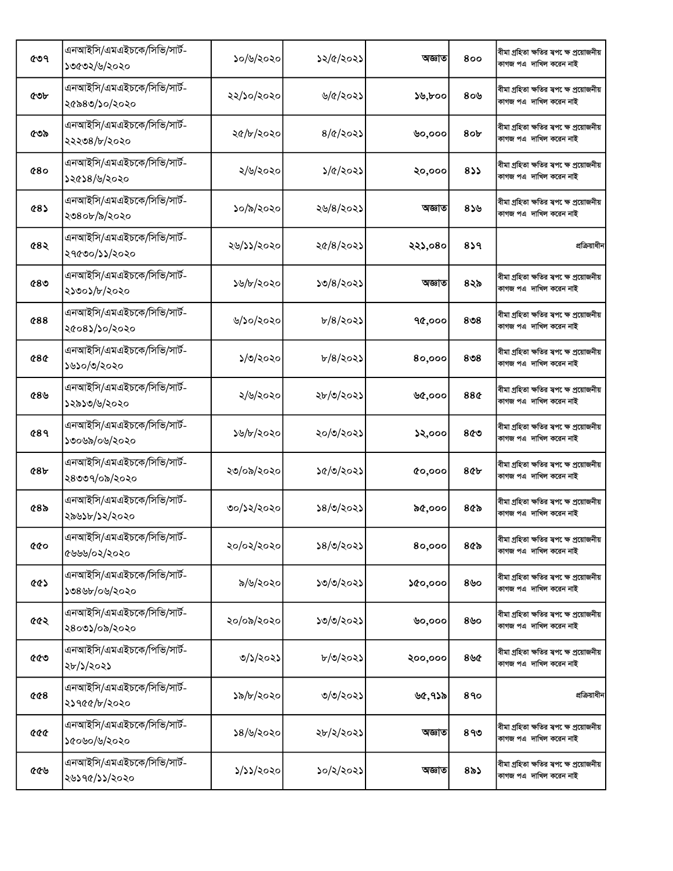| ৫৩৭                | এনআইসি/এমএইচকে/সিভি/সার্ট-<br>১৩৫৩২/৬/২০২০  | ১০/৬/২০২০  | ১২/৫/২০২১        | অজ্ঞাত  | 800             | বীমা গ্ৰহিতা ক্ষতির স্বপ েক্ষ প্ৰয়োজনীয়<br>কাগজ পএ দাখিল করেন নাই |
|--------------------|---------------------------------------------|------------|------------------|---------|-----------------|---------------------------------------------------------------------|
| ৫৩৮                | এনআইসি/এমএইচকে/সিভি/সার্ট-<br>২৫৯৪৩/১০/২০২০ | ২২/১০/২০২০ | ৬/৫/২০২১         | ১৬,৮০০  | 80 <sup>6</sup> | বীমা গ্ৰহিতা ক্ষতির স্বপ েক্ষ প্ৰয়োজনীয়<br>কাগজ পএ দাখিল করেন নাই |
| ৫৩৯                | এনআইসি/এমএইচকে/সিভি/সার্ট-<br>২২২৩৪/৮/২০২০  | ২৫/৮/২০২০  | $8/\alpha$ /২০২১ | ৬০,০০০  | 8 <sub>ob</sub> | বীমা গ্ৰহিতা ক্ষতির স্বপ েক্ষ প্ৰয়োজনীয়<br>কাগজ পএ দাখিল করেন নাই |
| 680                | এনআইসি/এমএইচকে/সিভি/সার্ট-<br>১২৫১৪/৬/২০২০  | ২/৬/২০২০   | ১/৫/২০২১         | ২০,০০০  | 833             | বীমা গ্ৰহিতা ক্ষতির স্বপ েক্ষ প্ৰয়োজনীয়<br>কাগজ পএ দাখিল করেন নাই |
| <b>485</b>         | এনআইসি/এমএইচকে/সিভি/সার্ট-<br>২৩৪০৮/৯/২০২০  | ১০/৯/২০২০  | ২৬/৪/২০২১        | অজ্ঞাত  | 859             | বীমা গ্ৰহিতা ক্ষতির স্বপ েক্ষ প্ৰয়োজনীয়<br>কাগজ পএ দাখিল করেন নাই |
| 682                | এনআইসি/এমএইচকে/সিভি/সার্ট-<br>২৭৫৩০/১১/২০২০ | ২৬/১১/২০২০ | ২৫/৪/২০২১        | ২২১,০৪০ | 8১৭             | প্রক্রিয়াধীন                                                       |
| 680                | এনআইসি/এমএইচকে/সিভি/সার্ট-<br>২১৩০১/৮/২০২০  | ১৬/৮/২০২০  | ১৩/৪/২০২১        | অজ্ঞাত  | ৪২৯             | বীমা গ্ৰহিতা ক্ষতির স্বপ েক্ষ প্ৰয়োজনীয়<br>কাগজ পএ দাখিল করেন নাই |
| <b>¢88</b>         | এনআইসি/এমএইচকে/সিভি/সার্ট-<br>২৫০৪১/১০/২০২০ | ৬/১০/২০২০  | $b/8/303$ ১      | 90,000  | 8 <sub>08</sub> | বীমা গ্ৰহিতা ক্ষতির স্বপ েক্ষ প্ৰয়োজনীয়<br>কাগজ পএ দাখিল করেন নাই |
| <b>¢8¢</b>         | এনআইসি/এমএইচকে/সিভি/সার্ট-<br>১৬১০/৩/২০২০   | ১/৩/২০২০   | $b/8/303$ ১      | 80,000  | 8 <sub>08</sub> | বীমা গ্ৰহিতা ক্ষতির স্বপ েক্ষ প্ৰয়োজনীয়<br>কাগজ পএ দাখিল করেন নাই |
| ৫৪৬                | এনআইসি/এমএইচকে/সিভি/সার্ট-<br>১২৯১৩/৬/২০২০  | ২/৬/২০২০   | ২৮/৩/২০২১        | ৬৫,০০০  | 88¢             | বীমা গ্ৰহিতা ক্ষতির স্বপ েক্ষ প্ৰয়োজনীয়<br>কাগজ পএ দাখিল করেন নাই |
| <b>489</b>         | এনআইসি/এমএইচকে/সিভি/সার্ট-<br>১৩০৬৯/০৬/২০২০ | ১৬/৮/২০২০  | ২০/৩/২০২১        | ১২,০০০  | ৪৫৩             | বীমা গ্ৰহিতা ক্ষতির স্বপ েক্ষ প্ৰয়োজনীয়<br>কাগজ পএ দাখিল করেন নাই |
| 68 <sub>b</sub>    | এনআইসি/এমএইচকে/সিভি/সার্ট-<br>২৪৩৩৭/০৯/২০২০ | ২৩/০৯/২০২০ | ১৫/৩/২০২১        | 00,000  | <b>8¢b</b>      | বীমা গ্ৰহিতা ক্ষতির স্বপ েক্ষ প্ৰয়োজনীয়<br>কাগজ পএ দাখিল করেন নাই |
| $68$ ৯             | এনআইসি/এমএইচকে/সিভি/সার্ট-<br>২৯৬১৮/১২/২০২০ | ৩০/১২/২০২০ | ১৪/৩/২০২১        | ৯৫,০০০  | ৪৫৯             | বীমা গ্ৰহিতা ক্ষতির স্বপ েক্ষ প্ৰয়োজনীয়<br>কাগজ পএ দাখিল করেন নাই |
| <b>cco</b>         | এনআইসি/এমএইচকে/সিভি/সার্ট-<br>৫৬৬৬/০২/২০২০  | ২০/০২/২০২০ | ১৪/৩/২০২১        | 80,000  | ৪৫৯             | বীমা গ্ৰহিতা ক্ষতির স্বপ েক্ষ প্ৰয়োজনীয়<br>কাগজ পএ দাখিল করেন নাই |
| <b>৫৫১</b>         | এনআইসি/এমএইচকে/সিভি/সার্ট-<br>১৩৪৬৮/০৬/২০২০ | ৯/৬/২০২০   | ১৩/৩/২০২১        | 0.000   | ৪৬০             | বীমা গ্ৰহিতা ক্ষতির স্বপক্ষে প্ৰয়োজনীয়<br>কাগজ পএ দাখিল করেন নাই  |
| ৫৫২                | এনআইসি/এমএইচকে/সিভি/সার্ট-<br>২৪০৩১/০৯/২০২০ | ২০/০৯/২০২০ | ১৩/৩/২০২১        | ৬০,০০০  | ৪৬০             | বীমা গ্ৰহিতা ক্ষতির স্বপক্ষে প্ৰয়োজনীয়<br>কাগজ পএ দাখিল করেন নাই  |
| ৫৫৩                | এনআইসি/এমএইচকে/পিভি/সার্ট-<br>২৮/১/২০২১     | ৩/১/২০২১   | ৮/৩/২০২১         | ২০০,০০০ | ৪৬৫             | বীমা গ্ৰহিতা ক্ষতির স্বপ েক্ষ প্ৰয়োজনীয়<br>কাগজ পএ দাখিল করেন নাই |
| <b>&amp;&amp;8</b> | এনআইসি/এমএইচকে/সিভি/সার্ট-<br>২১৭৫৫/৮/২০২০  | ১৯/৮/২০২০  | ৩/৩/২০২১         | ৬৫,৭১৯  | 890             | প্রক্রিয়াধীন                                                       |
| 666                | এনআইসি/এমএইচকে/সিভি/সার্ট-<br>১৫০৬০/৬/২০২০  | ১৪/৬/২০২০  | ২৮/২/২০২১        | অজ্ঞাত  | 890             | বীমা গ্ৰহিতা ক্ষতির স্বপ েক্ষ প্ৰয়োজনীয়<br>কাগজ পএ দাখিল করেন নাই |
| ৫৫৬                | এনআইসি/এমএইচকে/সিভি/সার্ট-<br>২৬১৭৫/১১/২০২০ | ১/১১/২০২০  | ১০/২/২০২১        | অজ্ঞাত  | $8\delta$ ১     | বীমা গ্ৰহিতা ক্ষতির স্বপ েক্ষ প্ৰয়োজনীয়<br>কাগজ পএ দাখিল করেন নাই |